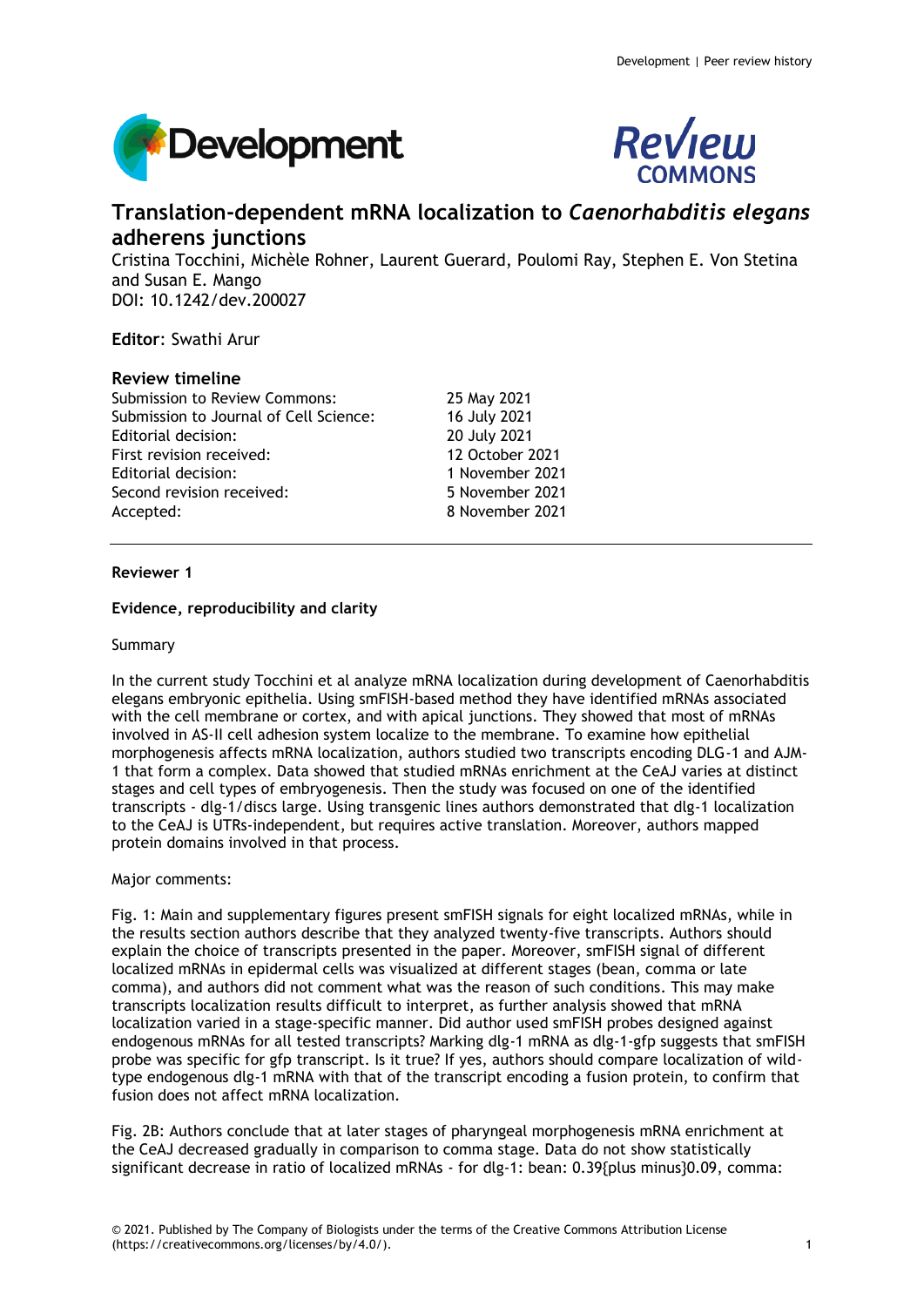



# **Translation-dependent mRNA localization to** *Caenorhabditis elegans* **adherens junctions**

Cristina Tocchini, Michèle Rohner, Laurent Guerard, Poulomi Ray, Stephen E. Von Stetina and Susan E. Mango DOI: 10.1242/dev.200027

# **Editor**: Swathi Arur

# **Review timeline**

Submission to Review Commons: 25 May 2021 Submission to Journal of Cell Science: 16 July 2021 Editorial decision: 20 July 2021 First revision received: 12 October 2021 Editorial decision: 1 November 2021 Second revision received: 5 November 2021 Accepted: 8 November 2021

# **Reviewer 1**

# **Evidence, reproducibility and clarity**

# Summary

In the current study Tocchini et al analyze mRNA localization during development of Caenorhabditis elegans embryonic epithelia. Using smFISH-based method they have identified mRNAs associated with the cell membrane or cortex, and with apical junctions. They showed that most of mRNAs involved in AS-II cell adhesion system localize to the membrane. To examine how epithelial morphogenesis affects mRNA localization, authors studied two transcripts encoding DLG-1 and AJM-1 that form a complex. Data showed that studied mRNAs enrichment at the CeAJ varies at distinct stages and cell types of embryogenesis. Then the study was focused on one of the identified transcripts - dlg-1/discs large. Using transgenic lines authors demonstrated that dlg-1 localization to the CeAJ is UTRs-independent, but requires active translation. Moreover, authors mapped protein domains involved in that process.

# Major comments:

Fig. 1: Main and supplementary figures present smFISH signals for eight localized mRNAs, while in the results section authors describe that they analyzed twenty-five transcripts. Authors should explain the choice of transcripts presented in the paper. Moreover, smFISH signal of different localized mRNAs in epidermal cells was visualized at different stages (bean, comma or late comma), and authors did not comment what was the reason of such conditions. This may make transcripts localization results difficult to interpret, as further analysis showed that mRNA localization varied in a stage-specific manner. Did author used smFISH probes designed against endogenous mRNAs for all tested transcripts? Marking dlg-1 mRNA as dlg-1-gfp suggests that smFISH probe was specific for gfp transcript. Is it true? If yes, authors should compare localization of wildtype endogenous dlg-1 mRNA with that of the transcript encoding a fusion protein, to confirm that fusion does not affect mRNA localization.

Fig. 2B: Authors conclude that at later stages of pharyngeal morphogenesis mRNA enrichment at the CeAJ decreased gradually in comparison to comma stage. Data do not show statistically significant decrease in ratio of localized mRNAs - for dlg-1: bean: 0.39{plus minus}0.09, comma: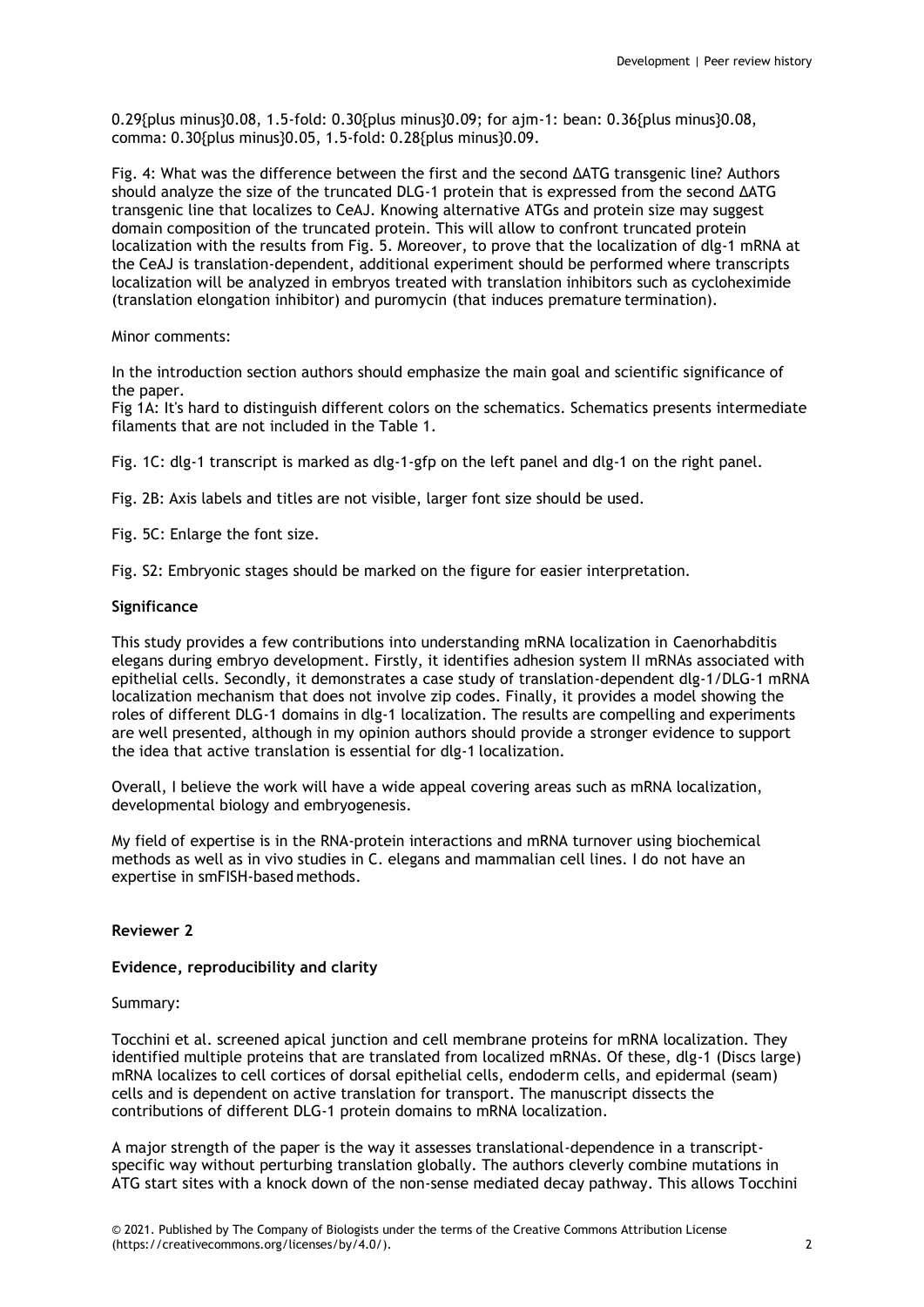0.29{plus minus}0.08, 1.5-fold: 0.30{plus minus}0.09; for ajm-1: bean: 0.36{plus minus}0.08, comma: 0.30{plus minus}0.05, 1.5-fold: 0.28{plus minus}0.09.

Fig. 4: What was the difference between the first and the second ΔATG transgenic line? Authors should analyze the size of the truncated DLG-1 protein that is expressed from the second ΔATG transgenic line that localizes to CeAJ. Knowing alternative ATGs and protein size may suggest domain composition of the truncated protein. This will allow to confront truncated protein localization with the results from Fig. 5. Moreover, to prove that the localization of dlg-1 mRNA at the CeAJ is translation-dependent, additional experiment should be performed where transcripts localization will be analyzed in embryos treated with translation inhibitors such as cycloheximide (translation elongation inhibitor) and puromycin (that induces premature termination).

Minor comments:

In the introduction section authors should emphasize the main goal and scientific significance of the paper.

Fig 1A: It's hard to distinguish different colors on the schematics. Schematics presents intermediate filaments that are not included in the Table 1.

Fig. 1C: dlg-1 transcript is marked as dlg-1-gfp on the left panel and dlg-1 on the right panel.

Fig. 2B: Axis labels and titles are not visible, larger font size should be used.

Fig. 5C: Enlarge the font size.

Fig. S2: Embryonic stages should be marked on the figure for easier interpretation.

# **Significance**

This study provides a few contributions into understanding mRNA localization in Caenorhabditis elegans during embryo development. Firstly, it identifies adhesion system II mRNAs associated with epithelial cells. Secondly, it demonstrates a case study of translation-dependent dlg-1/DLG-1 mRNA localization mechanism that does not involve zip codes. Finally, it provides a model showing the roles of different DLG-1 domains in dlg-1 localization. The results are compelling and experiments are well presented, although in my opinion authors should provide a stronger evidence to support the idea that active translation is essential for dlg-1 localization.

Overall, I believe the work will have a wide appeal covering areas such as mRNA localization, developmental biology and embryogenesis.

My field of expertise is in the RNA-protein interactions and mRNA turnover using biochemical methods as well as in vivo studies in C. elegans and mammalian cell lines. I do not have an expertise in smFISH-based methods.

# **Reviewer 2**

# **Evidence, reproducibility and clarity**

# Summary:

Tocchini et al. screened apical junction and cell membrane proteins for mRNA localization. They identified multiple proteins that are translated from localized mRNAs. Of these, dlg-1 (Discs large) mRNA localizes to cell cortices of dorsal epithelial cells, endoderm cells, and epidermal (seam) cells and is dependent on active translation for transport. The manuscript dissects the contributions of different DLG-1 protein domains to mRNA localization.

A major strength of the paper is the way it assesses translational-dependence in a transcriptspecific way without perturbing translation globally. The authors cleverly combine mutations in ATG start sites with a knock down of the non-sense mediated decay pathway. This allows Tocchini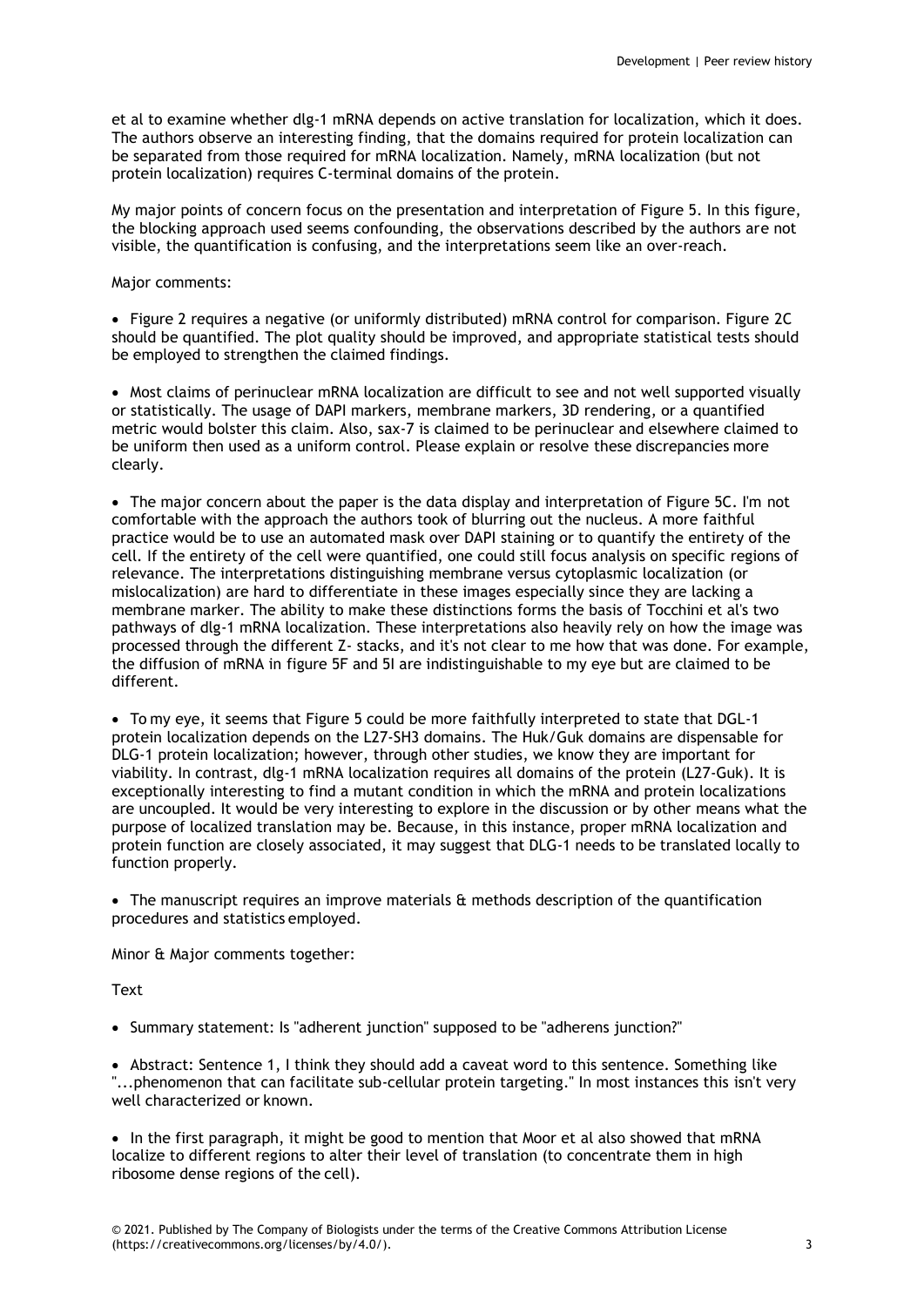et al to examine whether dlg-1 mRNA depends on active translation for localization, which it does. The authors observe an interesting finding, that the domains required for protein localization can be separated from those required for mRNA localization. Namely, mRNA localization (but not protein localization) requires C-terminal domains of the protein.

My major points of concern focus on the presentation and interpretation of Figure 5. In this figure, the blocking approach used seems confounding, the observations described by the authors are not visible, the quantification is confusing, and the interpretations seem like an over-reach.

# Major comments:

 Figure 2 requires a negative (or uniformly distributed) mRNA control for comparison. Figure 2C should be quantified. The plot quality should be improved, and appropriate statistical tests should be employed to strengthen the claimed findings.

• Most claims of perinuclear mRNA localization are difficult to see and not well supported visually or statistically. The usage of DAPI markers, membrane markers, 3D rendering, or a quantified metric would bolster this claim. Also, sax-7 is claimed to be perinuclear and elsewhere claimed to be uniform then used as a uniform control. Please explain or resolve these discrepancies more clearly.

• The major concern about the paper is the data display and interpretation of Figure 5C. I'm not comfortable with the approach the authors took of blurring out the nucleus. A more faithful practice would be to use an automated mask over DAPI staining or to quantify the entirety of the cell. If the entirety of the cell were quantified, one could still focus analysis on specific regions of relevance. The interpretations distinguishing membrane versus cytoplasmic localization (or mislocalization) are hard to differentiate in these images especially since they are lacking a membrane marker. The ability to make these distinctions forms the basis of Tocchini et al's two pathways of dlg-1 mRNA localization. These interpretations also heavily rely on how the image was processed through the different Z- stacks, and it's not clear to me how that was done. For example, the diffusion of mRNA in figure 5F and 5I are indistinguishable to my eye but are claimed to be different.

• To my eye, it seems that Figure 5 could be more faithfully interpreted to state that DGL-1 protein localization depends on the L27-SH3 domains. The Huk/Guk domains are dispensable for DLG-1 protein localization; however, through other studies, we know they are important for viability. In contrast, dlg-1 mRNA localization requires all domains of the protein (L27-Guk). It is exceptionally interesting to find a mutant condition in which the mRNA and protein localizations are uncoupled. It would be very interesting to explore in the discussion or by other means what the purpose of localized translation may be. Because, in this instance, proper mRNA localization and protein function are closely associated, it may suggest that DLG-1 needs to be translated locally to function properly.

• The manuscript requires an improve materials & methods description of the quantification procedures and statistics employed.

Minor & Major comments together:

**Text** 

• Summary statement: Is "adherent junction" supposed to be "adherens junction?"

 Abstract: Sentence 1, I think they should add a caveat word to this sentence. Something like "...phenomenon that can facilitate sub-cellular protein targeting." In most instances this isn't very well characterized or known.

• In the first paragraph, it might be good to mention that Moor et al also showed that mRNA localize to different regions to alter their level of translation (to concentrate them in high ribosome dense regions of the cell).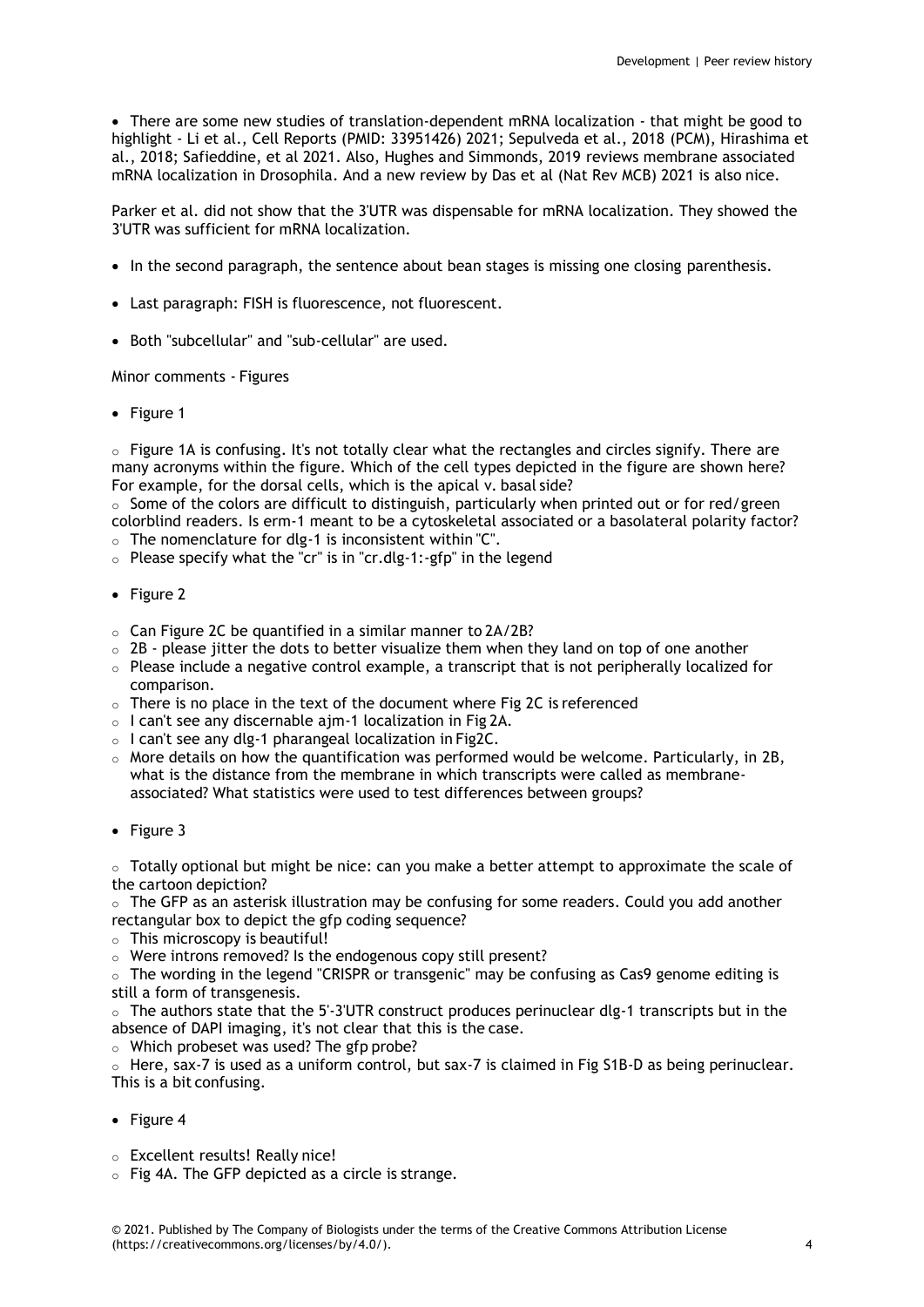There are some new studies of translation-dependent mRNA localization - that might be good to highlight - Li et al., Cell Reports (PMID: 33951426) 2021; Sepulveda et al., 2018 (PCM), Hirashima et al., 2018; Safieddine, et al 2021. Also, Hughes and Simmonds, 2019 reviews membrane associated mRNA localization in Drosophila. And a new review by Das et al (Nat Rev MCB) 2021 is also nice.

Parker et al. did not show that the 3'UTR was dispensable for mRNA localization. They showed the 3'UTR was sufficient for mRNA localization.

- In the second paragraph, the sentence about bean stages is missing one closing parenthesis.
- Last paragraph: FISH is fluorescence, not fluorescent.
- Both "subcellular" and "sub-cellular" are used.

Minor comments - Figures

• Figure 1

o Figure 1A is confusing. It's not totally clear what the rectangles and circles signify. There are many acronyms within the figure. Which of the cell types depicted in the figure are shown here? For example, for the dorsal cells, which is the apical v. basal side?

 $\circ$  Some of the colors are difficult to distinguish, particularly when printed out or for red/green colorblind readers. Is erm-1 meant to be a cytoskeletal associated or a basolateral polarity factor?  $\circ$  The nomenclature for dlg-1 is inconsistent within "C".

- o Please specify what the "cr" is in "cr.dlg-1:-gfp" in the legend
- Figure 2
- o Can Figure 2C be quantified in a similar manner to 2A/2B?
- $\circ$  2B please jitter the dots to better visualize them when they land on top of one another
- $\circ$  Please include a negative control example, a transcript that is not peripherally localized for comparison.
- o There is no place in the text of the document where Fig 2C is referenced
- o I can't see any discernable ajm-1 localization in Fig 2A.
- o I can't see any dlg-1 pharangeal localization in Fig2C.
- $\circ$  More details on how the quantification was performed would be welcome. Particularly, in 2B, what is the distance from the membrane in which transcripts were called as membraneassociated? What statistics were used to test differences between groups?
- Figure 3

 $\circ$  Totally optional but might be nice: can you make a better attempt to approximate the scale of the cartoon depiction?

 $\circ$  The GFP as an asterisk illustration may be confusing for some readers. Could you add another rectangular box to depict the gfp coding sequence?

- o This microscopy is beautiful!
- o Were introns removed? Is the endogenous copy still present?

 $\circ$  The wording in the legend "CRISPR or transgenic" may be confusing as Cas9 genome editing is still a form of transgenesis.

 $\circ$  The authors state that the 5'-3'UTR construct produces perinuclear dlg-1 transcripts but in the absence of DAPI imaging, it's not clear that this is the case.

o Which probeset was used? The gfp probe?

 $\circ$  Here, sax-7 is used as a uniform control, but sax-7 is claimed in Fig S1B-D as being perinuclear. This is a bit confusing.

- Figure 4
- o Excellent results! Really nice!
- o Fig 4A. The GFP depicted as a circle is strange.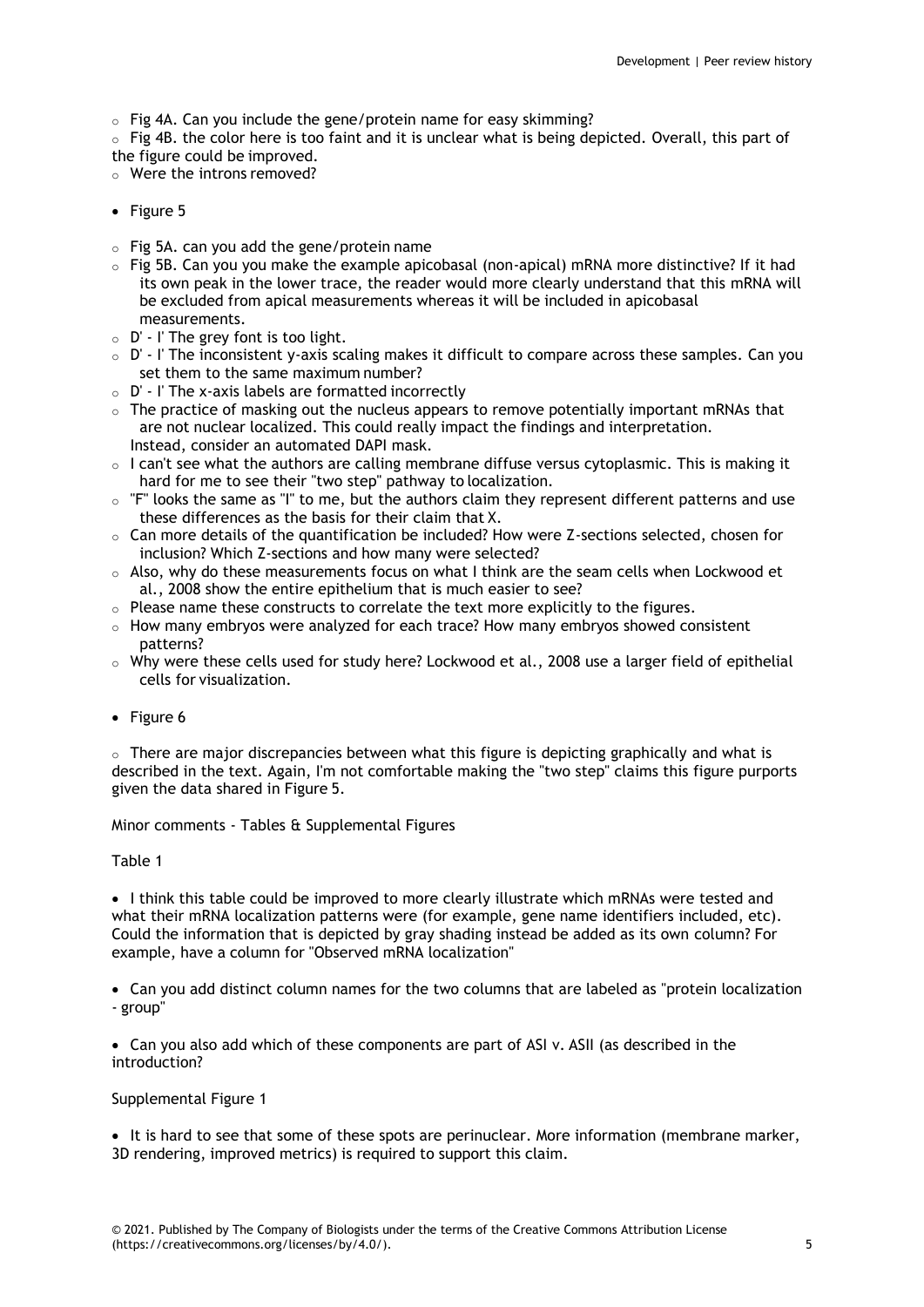o Fig 4A. Can you include the gene/protein name for easy skimming?

 $\circ$  Fig 4B, the color here is too faint and it is unclear what is being depicted. Overall, this part of the figure could be improved.

- o Were the introns removed?
- $\bullet$  Figure 5
- $\circ$  Fig 5A. can you add the gene/protein name
- $\circ$  Fig 5B. Can you you make the example apicobasal (non-apical) mRNA more distinctive? If it had its own peak in the lower trace, the reader would more clearly understand that this mRNA will be excluded from apical measurements whereas it will be included in apicobasal measurements.
- $\circ$  D' I' The grey font is too light.
- o D' I' The inconsistent y-axis scaling makes it difficult to compare across these samples. Can you set them to the same maximum number?
- $\circ$  D' I' The x-axis labels are formatted incorrectly
- $\circ$  The practice of masking out the nucleus appears to remove potentially important mRNAs that are not nuclear localized. This could really impact the findings and interpretation. Instead, consider an automated DAPI mask.
- $\circ$  I can't see what the authors are calling membrane diffuse versus cytoplasmic. This is making it hard for me to see their "two step" pathway to localization.
- o "F" looks the same as "I" to me, but the authors claim they represent different patterns and use these differences as the basis for their claim that X.
- $\circ$  Can more details of the quantification be included? How were Z-sections selected, chosen for inclusion? Which Z-sections and how many were selected?
- o Also, why do these measurements focus on what I think are the seam cells when Lockwood et al., 2008 show the entire epithelium that is much easier to see?
- $\circ$  Please name these constructs to correlate the text more explicitly to the figures.
- $\circ$  How many embryos were analyzed for each trace? How many embryos showed consistent patterns?
- o Why were these cells used for study here? Lockwood et al., 2008 use a larger field of epithelial cells for visualization.
- Figure 6

 $\circ$  There are major discrepancies between what this figure is depicting graphically and what is described in the text. Again, I'm not comfortable making the "two step" claims this figure purports given the data shared in Figure 5.

Minor comments - Tables & Supplemental Figures

Table 1

• I think this table could be improved to more clearly illustrate which mRNAs were tested and what their mRNA localization patterns were (for example, gene name identifiers included, etc). Could the information that is depicted by gray shading instead be added as its own column? For example, have a column for "Observed mRNA localization"

 Can you add distinct column names for the two columns that are labeled as "protein localization - group"

 Can you also add which of these components are part of ASI v. ASII (as described in the introduction?

Supplemental Figure 1

• It is hard to see that some of these spots are perinuclear. More information (membrane marker, 3D rendering, improved metrics) is required to support this claim.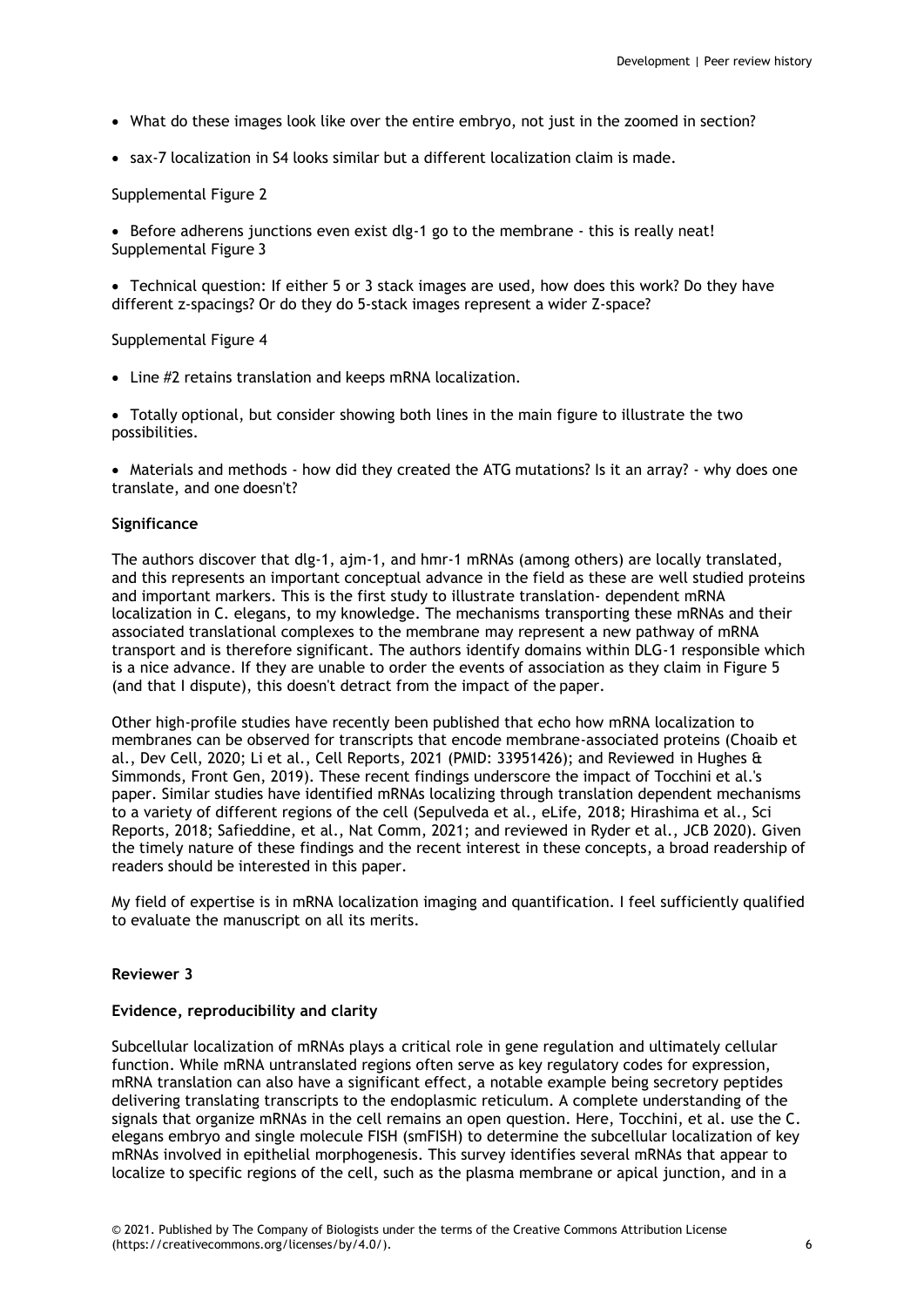- What do these images look like over the entire embryo, not just in the zoomed in section?
- sax-7 localization in S4 looks similar but a different localization claim is made.

Supplemental Figure 2

Before adherens junctions even exist dlg-1 go to the membrane - this is really neat! Supplemental Figure 3

 Technical question: If either 5 or 3 stack images are used, how does this work? Do they have different z-spacings? Or do they do 5-stack images represent a wider Z-space?

Supplemental Figure 4

Line #2 retains translation and keeps mRNA localization.

 Totally optional, but consider showing both lines in the main figure to illustrate the two possibilities.

 Materials and methods - how did they created the ATG mutations? Is it an array? - why does one translate, and one doesn't?

# **Significance**

The authors discover that dlg-1, ajm-1, and hmr-1 mRNAs (among others) are locally translated, and this represents an important conceptual advance in the field as these are well studied proteins and important markers. This is the first study to illustrate translation- dependent mRNA localization in C. elegans, to my knowledge. The mechanisms transporting these mRNAs and their associated translational complexes to the membrane may represent a new pathway of mRNA transport and is therefore significant. The authors identify domains within DLG-1 responsible which is a nice advance. If they are unable to order the events of association as they claim in Figure 5 (and that I dispute), this doesn't detract from the impact of the paper.

Other high-profile studies have recently been published that echo how mRNA localization to membranes can be observed for transcripts that encode membrane-associated proteins (Choaib et al., Dev Cell, 2020; Li et al., Cell Reports, 2021 (PMID: 33951426); and Reviewed in Hughes & Simmonds, Front Gen, 2019). These recent findings underscore the impact of Tocchini et al.'s paper. Similar studies have identified mRNAs localizing through translation dependent mechanisms to a variety of different regions of the cell (Sepulveda et al., eLife, 2018; Hirashima et al., Sci Reports, 2018; Safieddine, et al., Nat Comm, 2021; and reviewed in Ryder et al., JCB 2020). Given the timely nature of these findings and the recent interest in these concepts, a broad readership of readers should be interested in this paper.

My field of expertise is in mRNA localization imaging and quantification. I feel sufficiently qualified to evaluate the manuscript on all its merits.

#### **Reviewer 3**

# **Evidence, reproducibility and clarity**

Subcellular localization of mRNAs plays a critical role in gene regulation and ultimately cellular function. While mRNA untranslated regions often serve as key regulatory codes for expression, mRNA translation can also have a significant effect, a notable example being secretory peptides delivering translating transcripts to the endoplasmic reticulum. A complete understanding of the signals that organize mRNAs in the cell remains an open question. Here, Tocchini, et al. use the C. elegans embryo and single molecule FISH (smFISH) to determine the subcellular localization of key mRNAs involved in epithelial morphogenesis. This survey identifies several mRNAs that appear to localize to specific regions of the cell, such as the plasma membrane or apical junction, and in a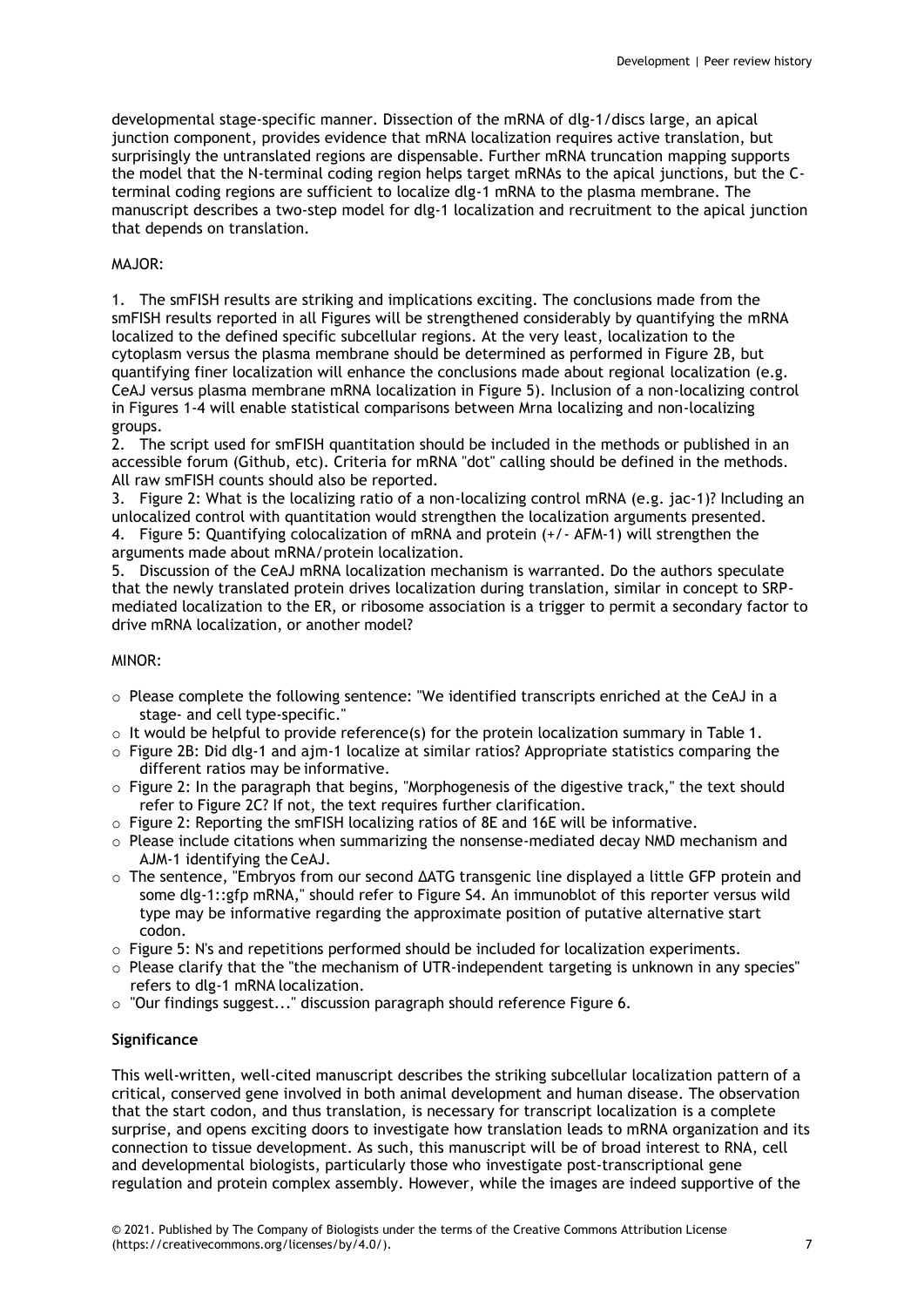developmental stage-specific manner. Dissection of the mRNA of dlg-1/discs large, an apical junction component, provides evidence that mRNA localization requires active translation, but surprisingly the untranslated regions are dispensable. Further mRNA truncation mapping supports the model that the N-terminal coding region helps target mRNAs to the apical junctions, but the Cterminal coding regions are sufficient to localize dlg-1 mRNA to the plasma membrane. The manuscript describes a two-step model for dlg-1 localization and recruitment to the apical junction that depends on translation.

# MAJOR:

1. The smFISH results are striking and implications exciting. The conclusions made from the smFISH results reported in all Figures will be strengthened considerably by quantifying the mRNA localized to the defined specific subcellular regions. At the very least, localization to the cytoplasm versus the plasma membrane should be determined as performed in Figure 2B, but quantifying finer localization will enhance the conclusions made about regional localization (e.g. CeAJ versus plasma membrane mRNA localization in Figure 5). Inclusion of a non-localizing control in Figures 1-4 will enable statistical comparisons between Mrna localizing and non-localizing groups.

2. The script used for smFISH quantitation should be included in the methods or published in an accessible forum (Github, etc). Criteria for mRNA "dot" calling should be defined in the methods. All raw smFISH counts should also be reported.

3. Figure 2: What is the localizing ratio of a non-localizing control mRNA (e.g. jac-1)? Including an unlocalized control with quantitation would strengthen the localization arguments presented. 4. Figure 5: Quantifying colocalization of mRNA and protein (+/- AFM-1) will strengthen the arguments made about mRNA/protein localization.

5. Discussion of the CeAJ mRNA localization mechanism is warranted. Do the authors speculate that the newly translated protein drives localization during translation, similar in concept to SRPmediated localization to the ER, or ribosome association is a trigger to permit a secondary factor to drive mRNA localization, or another model?

# MINOR:

- $\circ$  Please complete the following sentence: "We identified transcripts enriched at the CeAJ in a stage- and cell type-specific."
- $\circ$  It would be helpful to provide reference(s) for the protein localization summary in Table 1.
- o Figure 2B: Did dlg-1 and ajm-1 localize at similar ratios? Appropriate statistics comparing the different ratios may be informative.
- $\circ$  Figure 2: In the paragraph that begins, "Morphogenesis of the digestive track," the text should refer to Figure 2C? If not, the text requires further clarification.
- $\circ$  Figure 2: Reporting the smFISH localizing ratios of 8E and 16E will be informative.
- $\circ$  Please include citations when summarizing the nonsense-mediated decay NMD mechanism and AJM-1 identifying the CeAJ.
- o The sentence, "Embryos from our second ΔATG transgenic line displayed a little GFP protein and some dlg-1::gfp mRNA," should refer to Figure S4. An immunoblot of this reporter versus wild type may be informative regarding the approximate position of putative alternative start codon.
- $\circ$  Figure 5: N's and repetitions performed should be included for localization experiments.
- $\circ$  Please clarify that the "the mechanism of UTR-independent targeting is unknown in any species" refers to dlg-1 mRNA localization.
- o "Our findings suggest..." discussion paragraph should reference Figure 6.

# **Significance**

This well-written, well-cited manuscript describes the striking subcellular localization pattern of a critical, conserved gene involved in both animal development and human disease. The observation that the start codon, and thus translation, is necessary for transcript localization is a complete surprise, and opens exciting doors to investigate how translation leads to mRNA organization and its connection to tissue development. As such, this manuscript will be of broad interest to RNA, cell and developmental biologists, particularly those who investigate post-transcriptional gene regulation and protein complex assembly. However, while the images are indeed supportive of the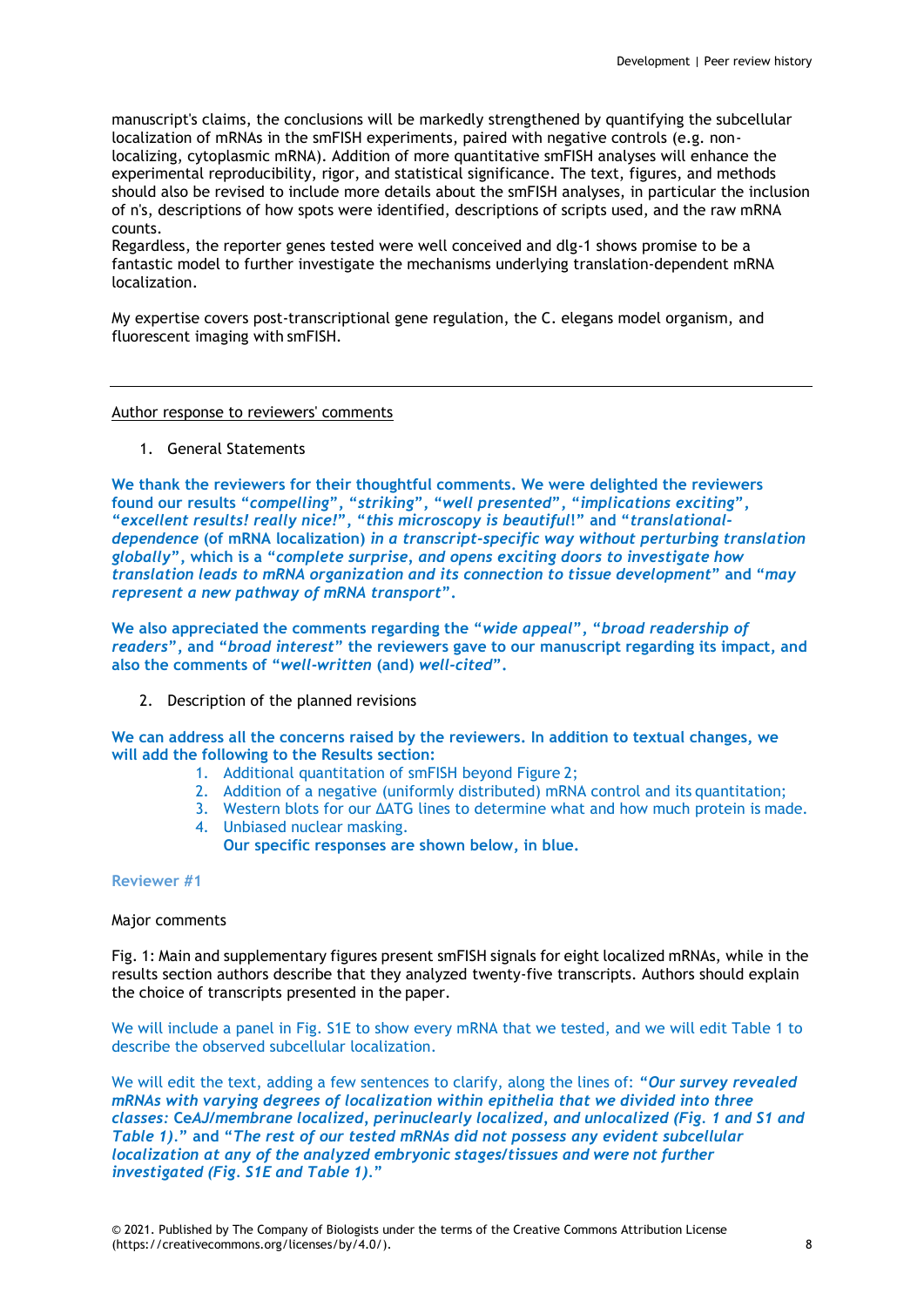manuscript's claims, the conclusions will be markedly strengthened by quantifying the subcellular localization of mRNAs in the smFISH experiments, paired with negative controls (e.g. nonlocalizing, cytoplasmic mRNA). Addition of more quantitative smFISH analyses will enhance the experimental reproducibility, rigor, and statistical significance. The text, figures, and methods should also be revised to include more details about the smFISH analyses, in particular the inclusion of n's, descriptions of how spots were identified, descriptions of scripts used, and the raw mRNA counts.

Regardless, the reporter genes tested were well conceived and dlg-1 shows promise to be a fantastic model to further investigate the mechanisms underlying translation-dependent mRNA localization.

My expertise covers post-transcriptional gene regulation, the C. elegans model organism, and fluorescent imaging with smFISH.

Author response to reviewers' comments

1. General Statements

**We thank the reviewers for their thoughtful comments. We were delighted the reviewers found our results "***compelling***", "***striking***", "***well presented***", "***implications exciting***", "***excellent results! really nice!***", "***this microscopy is beautiful***!" and "***translationaldependence* **(of mRNA localization)** *in a transcript-specific way without perturbing translation globally***", which is a "***complete surprise, and opens exciting doors to investigate how translation leads to mRNA organization and its connection to tissue development***" and "***may represent a new pathway of mRNA transport***".**

**We also appreciated the comments regarding the "***wide appeal***", "***broad readership of readers***", and "***broad interest***" the reviewers gave to our manuscript regarding its impact, and also the comments of "***well-written* **(and)** *well-cited***".**

2. Description of the planned revisions

**We can address all the concerns raised by the reviewers. In addition to textual changes, we will add the following to the Results section:**

- 1. Additional quantitation of smFISH beyond Figure 2;
- 2. Addition of a negative (uniformly distributed) mRNA control and its quantitation;
- 3. Western blots for our ΔATG lines to determine what and how much protein is made. 4. Unbiased nuclear masking.

**Our specific responses are shown below, in blue.**

**Reviewer #1**

# Major comments

Fig. 1: Main and supplementary figures present smFISH signals for eight localized mRNAs, while in the results section authors describe that they analyzed twenty-five transcripts. Authors should explain the choice of transcripts presented in the paper.

We will include a panel in Fig. S1E to show every mRNA that we tested, and we will edit Table 1 to describe the observed subcellular localization.

We will edit the text, adding a few sentences to clarify, along the lines of: **"***Our survey revealed mRNAs with varying degrees of localization within epithelia that we divided into three classes:* **Ce***AJ/membrane localized, perinuclearly localized, and unlocalized (Fig. 1 and S1 and Table 1).***" and "***The rest of our tested mRNAs did not possess any evident subcellular localization at any of the analyzed embryonic stages/tissues and were not further investigated (Fig. S1E and Table 1).***"**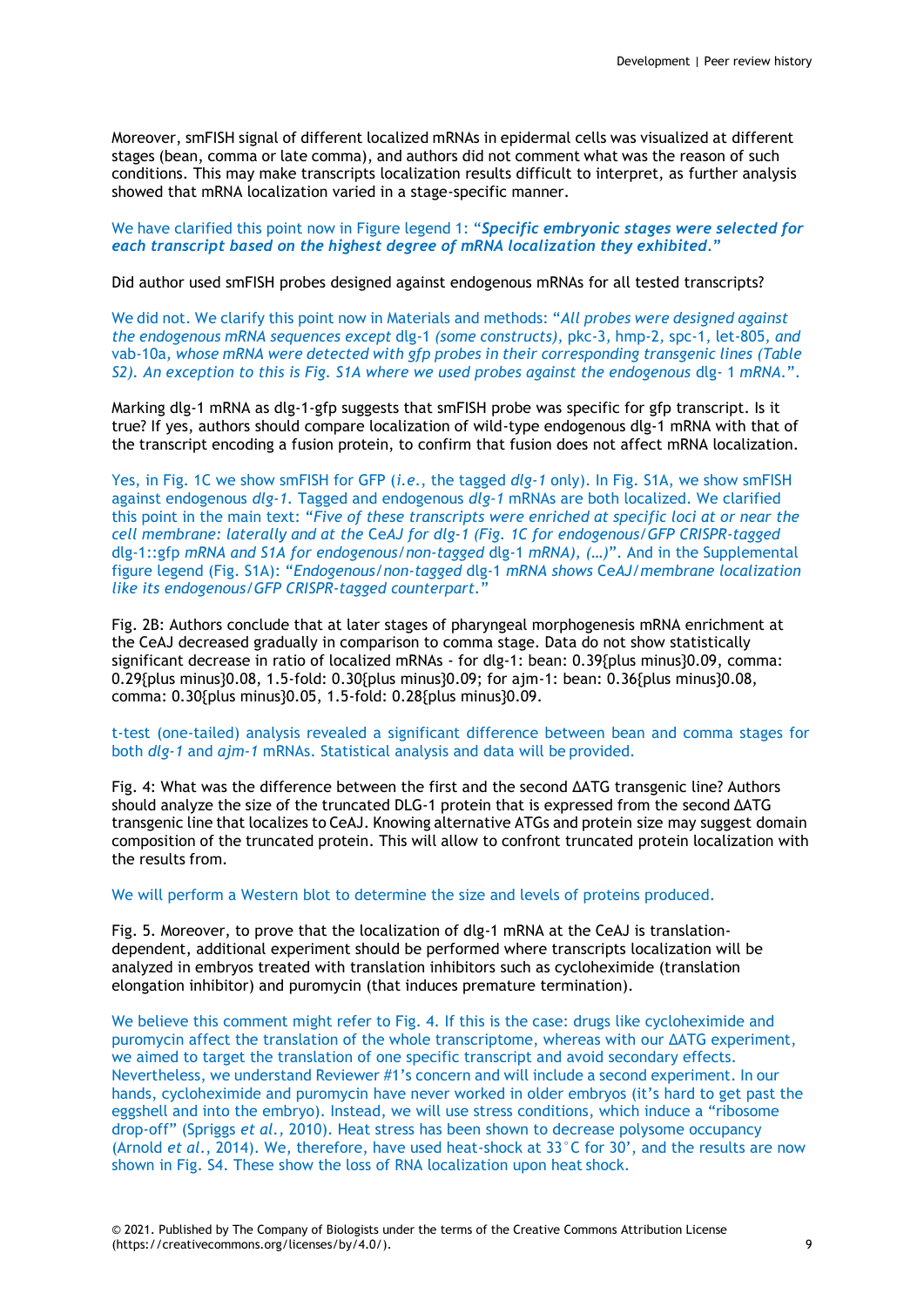Moreover, smFISH signal of different localized mRNAs in epidermal cells was visualized at different stages (bean, comma or late comma), and authors did not comment what was the reason of such conditions. This may make transcripts localization results difficult to interpret, as further analysis showed that mRNA localization varied in a stage-specific manner.

We have clarified this point now in Figure legend 1: "*Specific embryonic stages were selected for each transcript based on the highest degree of mRNA localization they exhibited.***"**

Did author used smFISH probes designed against endogenous mRNAs for all tested transcripts?

We did not. We clarify this point now in Materials and methods: "*All probes were designed against the endogenous mRNA sequences except* dlg-1 *(some constructs),* pkc-3*,* hmp-2*,* spc-1*,* let-805*, and* vab-10a*, whose mRNA were detected with gfp probes in their corresponding transgenic lines (Table S2). An exception to this is Fig. S1A where we used probes against the endogenous dlg- 1 mRNA.".* 

Marking dlg-1 mRNA as dlg-1-gfp suggests that smFISH probe was specific for gfp transcript. Is it true? If yes, authors should compare localization of wild-type endogenous dlg-1 mRNA with that of the transcript encoding a fusion protein, to confirm that fusion does not affect mRNA localization.

Yes, in Fig. 1C we show smFISH for GFP (*i.e*., the tagged *dlg-1* only). In Fig. S1A, we show smFISH against endogenous *dlg-1.* Tagged and endogenous *dlg-1* mRNAs are both localized. We clarified this point in the main text: "*Five of these transcripts were enriched at specific loci at or near the cell membrane: laterally and at the* Ce*AJ for dlg-1 (Fig. 1C for endogenous/GFP CRISPR-tagged*  dlg-1::gfp *mRNA and S1A for endogenous/non-tagged* dlg-1 *mRNA), (…)*". And in the Supplemental figure legend (Fig. S1A): "*Endogenous/non-tagged* dlg-1 *mRNA shows* Ce*AJ/membrane localization like its endogenous/GFP CRISPR-tagged counterpart.*"

Fig. 2B: Authors conclude that at later stages of pharyngeal morphogenesis mRNA enrichment at the CeAJ decreased gradually in comparison to comma stage. Data do not show statistically significant decrease in ratio of localized mRNAs - for dlg-1: bean: 0.39{plus minus}0.09, comma: 0.29{plus minus}0.08, 1.5-fold: 0.30{plus minus}0.09; for ajm-1: bean: 0.36{plus minus}0.08, comma: 0.30{plus minus}0.05, 1.5-fold: 0.28{plus minus}0.09.

t-test (one-tailed) analysis revealed a significant difference between bean and comma stages for both *dlg-1* and *ajm-1* mRNAs. Statistical analysis and data will be provided.

Fig. 4: What was the difference between the first and the second ΔATG transgenic line? Authors should analyze the size of the truncated DLG-1 protein that is expressed from the second ΔATG transgenic line that localizes to CeAJ. Knowing alternative ATGs and protein size may suggest domain composition of the truncated protein. This will allow to confront truncated protein localization with the results from.

We will perform a Western blot to determine the size and levels of proteins produced.

Fig. 5. Moreover, to prove that the localization of dlg-1 mRNA at the CeAJ is translationdependent, additional experiment should be performed where transcripts localization will be analyzed in embryos treated with translation inhibitors such as cycloheximide (translation elongation inhibitor) and puromycin (that induces premature termination).

We believe this comment might refer to Fig. 4. If this is the case: drugs like cycloheximide and puromycin affect the translation of the whole transcriptome, whereas with our ΔATG experiment, we aimed to target the translation of one specific transcript and avoid secondary effects. Nevertheless, we understand Reviewer #1's concern and will include a second experiment. In our hands, cycloheximide and puromycin have never worked in older embryos (it's hard to get past the eggshell and into the embryo). Instead, we will use stress conditions, which induce a "ribosome drop-off" (Spriggs *et al.,* 2010). Heat stress has been shown to decrease polysome occupancy (Arnold *et al*., 2014). We, therefore, have used heat-shock at 33°C for 30', and the results are now shown in Fig. S4. These show the loss of RNA localization upon heat shock.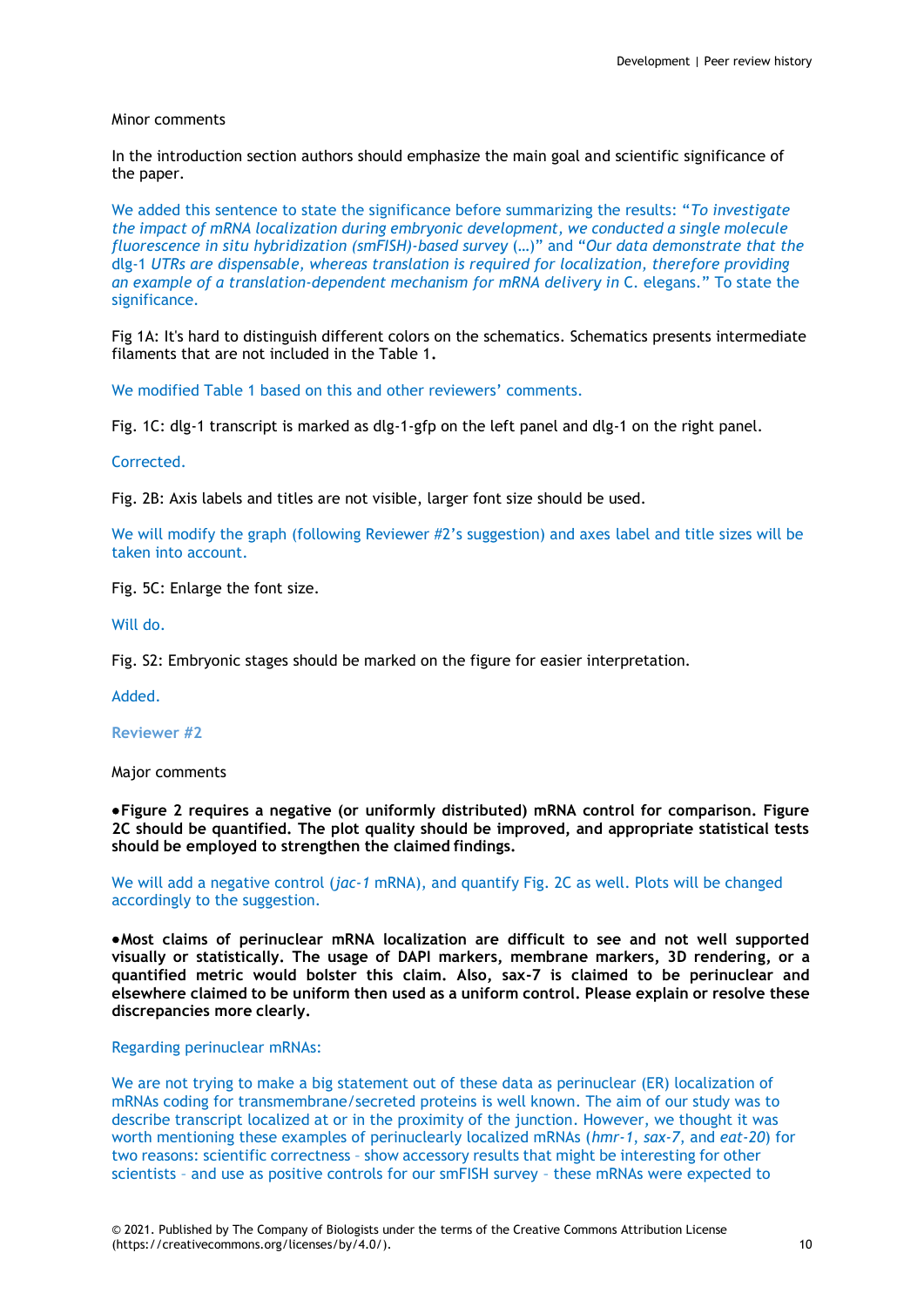### Minor comments

In the introduction section authors should emphasize the main goal and scientific significance of the paper.

We added this sentence to state the significance before summarizing the results: "*To investigate the impact of mRNA localization during embryonic development, we conducted a single molecule fluorescence in situ hybridization (smFISH)-based survey* (…)" and "*Our data demonstrate that the*  dlg-1 *UTRs are dispensable, whereas translation is required for localization, therefore providing an example of a translation-dependent mechanism for mRNA delivery in* C. elegans*.*" To state the significance.

Fig 1A: It's hard to distinguish different colors on the schematics. Schematics presents intermediate filaments that are not included in the Table 1**.**

We modified Table 1 based on this and other reviewers' comments.

Fig. 1C: dlg-1 transcript is marked as dlg-1-gfp on the left panel and dlg-1 on the right panel.

Corrected.

Fig. 2B: Axis labels and titles are not visible, larger font size should be used.

We will modify the graph (following Reviewer #2's suggestion) and axes label and title sizes will be taken into account.

Fig. 5C: Enlarge the font size.

Will do.

Fig. S2: Embryonic stages should be marked on the figure for easier interpretation.

Added.

**Reviewer #2**

Major comments

**Figure 2 requires a negative (or uniformly distributed) mRNA control for comparison. Figure 2C should be quantified. The plot quality should be improved, and appropriate statistical tests should be employed to strengthen the claimed findings.**

We will add a negative control (*jac-1* mRNA), and quantify Fig. 2C as well. Plots will be changed accordingly to the suggestion.

**Most claims of perinuclear mRNA localization are difficult to see and not well supported visually or statistically. The usage of DAPI markers, membrane markers, 3D rendering, or a quantified metric would bolster this claim. Also, sax-7 is claimed to be perinuclear and elsewhere claimed to be uniform then used as a uniform control. Please explain or resolve these discrepancies more clearly.**

Regarding perinuclear mRNAs:

We are not trying to make a big statement out of these data as perinuclear (ER) localization of mRNAs coding for transmembrane/secreted proteins is well known. The aim of our study was to describe transcript localized at or in the proximity of the junction. However, we thought it was worth mentioning these examples of perinuclearly localized mRNAs (*hmr-1*, *sax-7*, and *eat-20*) for two reasons: scientific correctness – show accessory results that might be interesting for other scientists – and use as positive controls for our smFISH survey – these mRNAs were expected to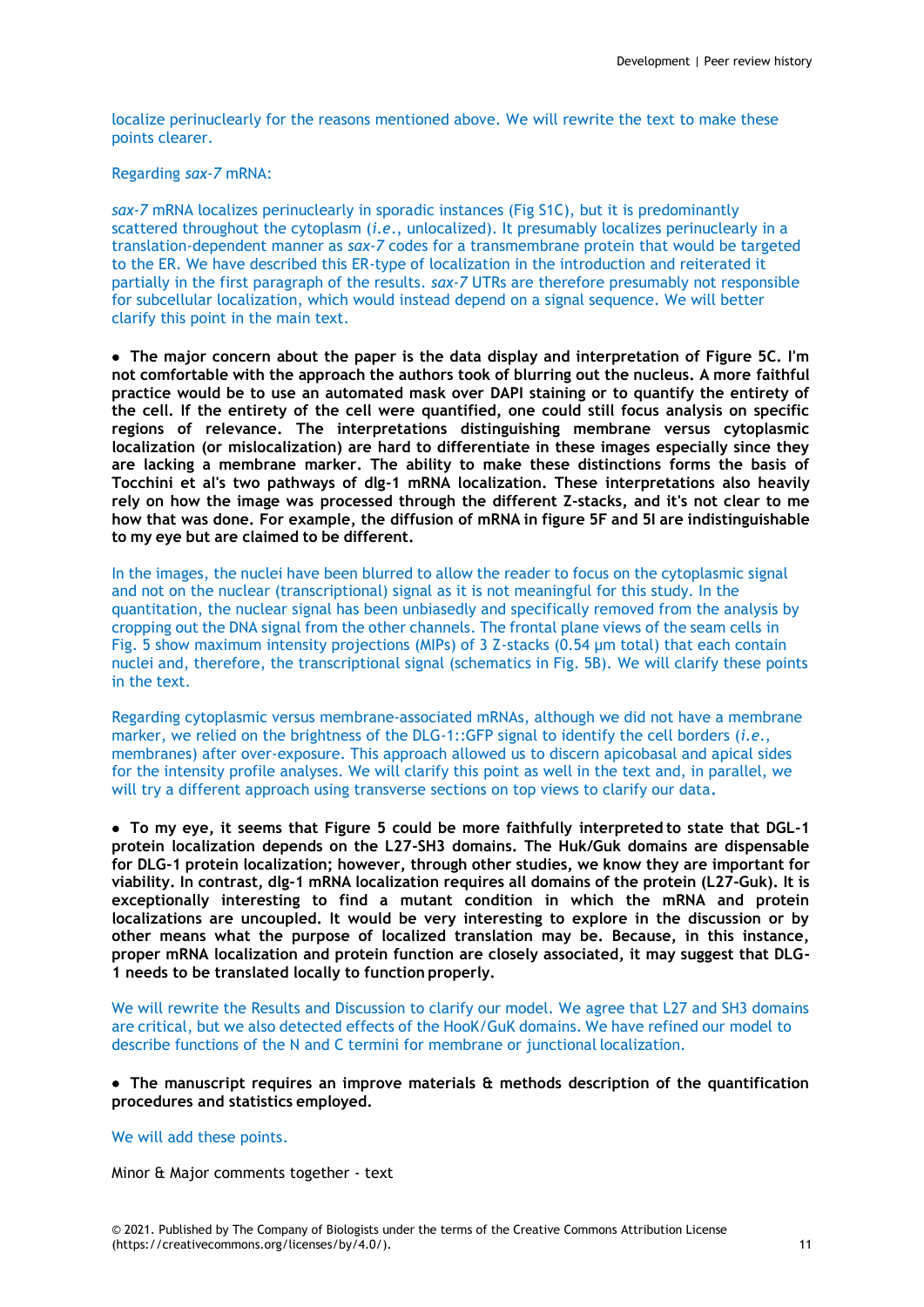localize perinuclearly for the reasons mentioned above. We will rewrite the text to make these points clearer.

Regarding *sax-7* mRNA:

*sax-7* mRNA localizes perinuclearly in sporadic instances (Fig S1C), but it is predominantly scattered throughout the cytoplasm (*i.e*., unlocalized). It presumably localizes perinuclearly in a translation-dependent manner as *sax-7* codes for a transmembrane protein that would be targeted to the ER. We have described this ER-type of localization in the introduction and reiterated it partially in the first paragraph of the results. *sax-7* UTRs are therefore presumably not responsible for subcellular localization, which would instead depend on a signal sequence. We will better clarify this point in the main text.

 **The major concern about the paper is the data display and interpretation of Figure 5C. I'm not comfortable with the approach the authors took of blurring out the nucleus. A more faithful practice would be to use an automated mask over DAPI staining or to quantify the entirety of the cell. If the entirety of the cell were quantified, one could still focus analysis on specific regions of relevance. The interpretations distinguishing membrane versus cytoplasmic localization (or mislocalization) are hard to differentiate in these images especially since they are lacking a membrane marker. The ability to make these distinctions forms the basis of Tocchini et al's two pathways of dlg-1 mRNA localization. These interpretations also heavily rely on how the image was processed through the different Z-stacks, and it's not clear to me how that was done. For example, the diffusion of mRNA in figure 5F and 5I are indistinguishable to my eye but are claimed to be different.**

In the images, the nuclei have been blurred to allow the reader to focus on the cytoplasmic signal and not on the nuclear (transcriptional) signal as it is not meaningful for this study. In the quantitation, the nuclear signal has been unbiasedly and specifically removed from the analysis by cropping out the DNA signal from the other channels. The frontal plane views of the seam cells in Fig. 5 show maximum intensity projections (MIPs) of 3 Z-stacks (0.54 µm total) that each contain nuclei and, therefore, the transcriptional signal (schematics in Fig. 5B). We will clarify these points in the text.

Regarding cytoplasmic versus membrane-associated mRNAs, although we did not have a membrane marker, we relied on the brightness of the DLG-1::GFP signal to identify the cell borders (*i.e*., membranes) after over-exposure. This approach allowed us to discern apicobasal and apical sides for the intensity profile analyses. We will clarify this point as well in the text and, in parallel, we will try a different approach using transverse sections on top views to clarify our data**.**

 **To my eye, it seems that Figure 5 could be more faithfully interpreted to state that DGL-1 protein localization depends on the L27-SH3 domains. The Huk/Guk domains are dispensable for DLG-1 protein localization; however, through other studies, we know they are important for viability. In contrast, dlg-1 mRNA localization requires all domains of the protein (L27-Guk). It is exceptionally interesting to find a mutant condition in which the mRNA and protein localizations are uncoupled. It would be very interesting to explore in the discussion or by other means what the purpose of localized translation may be. Because, in this instance, proper mRNA localization and protein function are closely associated, it may suggest that DLG-1 needs to be translated locally to function properly.**

We will rewrite the Results and Discussion to clarify our model. We agree that L27 and SH3 domains are critical, but we also detected effects of the HooK/GuK domains. We have refined our model to describe functions of the N and C termini for membrane or junctional localization.

 **The manuscript requires an improve materials & methods description of the quantification procedures and statistics employed.**

# We will add these points.

Minor & Major comments together - text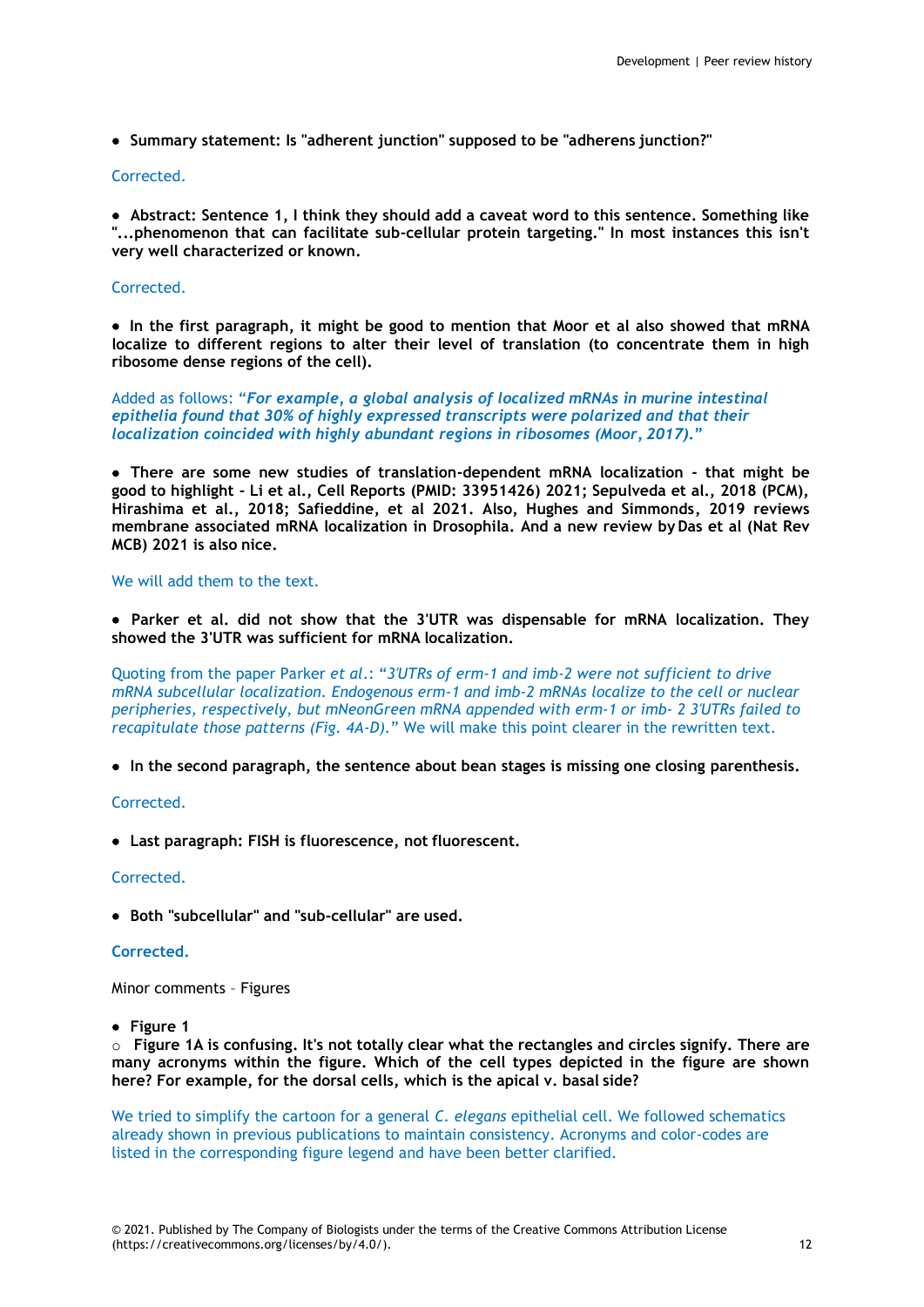**Summary statement: Is "adherent junction" supposed to be "adherens junction?"**

# Corrected.

 **Abstract: Sentence 1, I think they should add a caveat word to this sentence. Something like "...phenomenon that can facilitate sub-cellular protein targeting." In most instances this isn't very well characterized or known.**

# Corrected.

 **In the first paragraph, it might be good to mention that Moor et al also showed that mRNA localize to different regions to alter their level of translation (to concentrate them in high ribosome dense regions of the cell).**

Added as follows: "*For example, a global analysis of localized mRNAs in murine intestinal epithelia found that 30% of highly expressed transcripts were polarized and that their localization coincided with highly abundant regions in ribosomes (Moor, 2017)***."**

 **There are some new studies of translation-dependent mRNA localization - that might be good to highlight - Li et al., Cell Reports (PMID: 33951426) 2021; Sepulveda et al., 2018 (PCM), Hirashima et al., 2018; Safieddine, et al 2021. Also, Hughes and Simmonds, 2019 reviews membrane associated mRNA localization in Drosophila. And a new review by Das et al (Nat Rev MCB) 2021 is also nice.**

# We will add them to the text.

 **Parker et al. did not show that the 3'UTR was dispensable for mRNA localization. They showed the 3'UTR was sufficient for mRNA localization.**

Quoting from the paper Parker *et al*.: "*3′UTRs of erm-1 and imb-2 were not sufficient to drive mRNA subcellular localization. Endogenous erm-1 and imb-2 mRNAs localize to the cell or nuclear peripheries, respectively, but mNeonGreen mRNA appended with erm-1 or imb- 2 3′UTRs failed to recapitulate those patterns (Fig. 4A-D).*" We will make this point clearer in the rewritten text.

**In the second paragraph, the sentence about bean stages is missing one closing parenthesis.**

# Corrected.

**Last paragraph: FISH is fluorescence, not fluorescent.**

# Corrected.

**Both "subcellular" and "sub-cellular" are used.**

# **Corrected.**

Minor comments – Figures

**Figure 1**

o **Figure 1A is confusing. It's not totally clear what the rectangles and circles signify. There are many acronyms within the figure. Which of the cell types depicted in the figure are shown here? For example, for the dorsal cells, which is the apical v. basal side?**

We tried to simplify the cartoon for a general *C. elegans* epithelial cell. We followed schematics already shown in previous publications to maintain consistency. Acronyms and color-codes are listed in the corresponding figure legend and have been better clarified.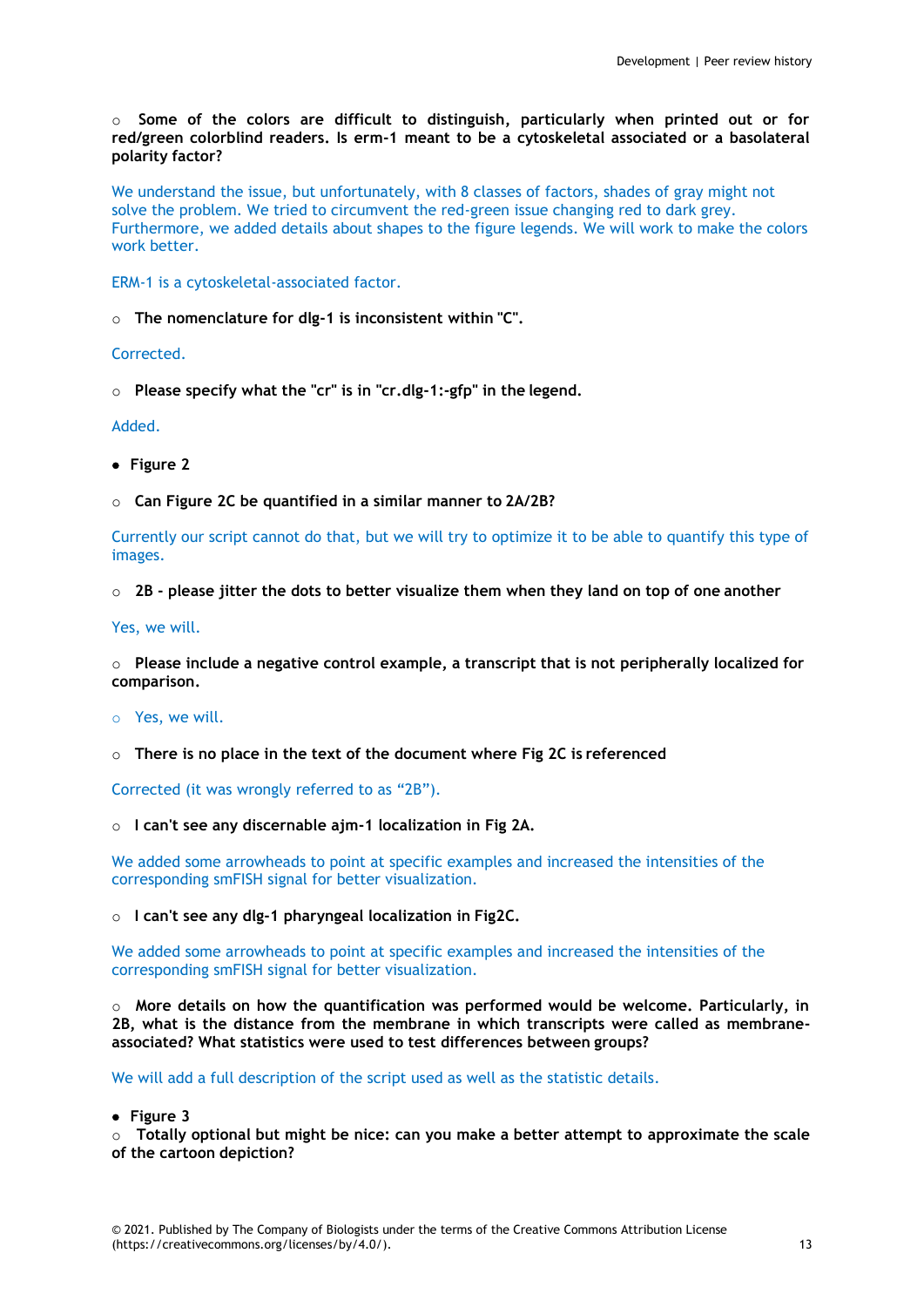o **Some of the colors are difficult to distinguish, particularly when printed out or for red/green colorblind readers. Is erm-1 meant to be a cytoskeletal associated or a basolateral polarity factor?**

We understand the issue, but unfortunately, with 8 classes of factors, shades of gray might not solve the problem. We tried to circumvent the red-green issue changing red to dark grey. Furthermore, we added details about shapes to the figure legends. We will work to make the colors work better.

ERM-1 is a cytoskeletal-associated factor.

o **The nomenclature for dlg-1 is inconsistent within "C".**

Corrected.

o **Please specify what the "cr" is in "cr.dlg-1:-gfp" in the legend.**

Added.

- **Figure 2**
- o **Can Figure 2C be quantified in a similar manner to 2A/2B?**

Currently our script cannot do that, but we will try to optimize it to be able to quantify this type of images.

# o **2B - please jitter the dots to better visualize them when they land on top of one another**

Yes, we will.

o **Please include a negative control example, a transcript that is not peripherally localized for comparison.**

o Yes, we will.

o **There is no place in the text of the document where Fig 2C is referenced**

Corrected (it was wrongly referred to as "2B").

o **I can't see any discernable ajm-1 localization in Fig 2A.**

We added some arrowheads to point at specific examples and increased the intensities of the corresponding smFISH signal for better visualization.

o **I can't see any dlg-1 pharyngeal localization in Fig2C.**

We added some arrowheads to point at specific examples and increased the intensities of the corresponding smFISH signal for better visualization.

o **More details on how the quantification was performed would be welcome. Particularly, in 2B, what is the distance from the membrane in which transcripts were called as membraneassociated? What statistics were used to test differences between groups?**

We will add a full description of the script used as well as the statistic details.

**Figure 3**

o **Totally optional but might be nice: can you make a better attempt to approximate the scale of the cartoon depiction?**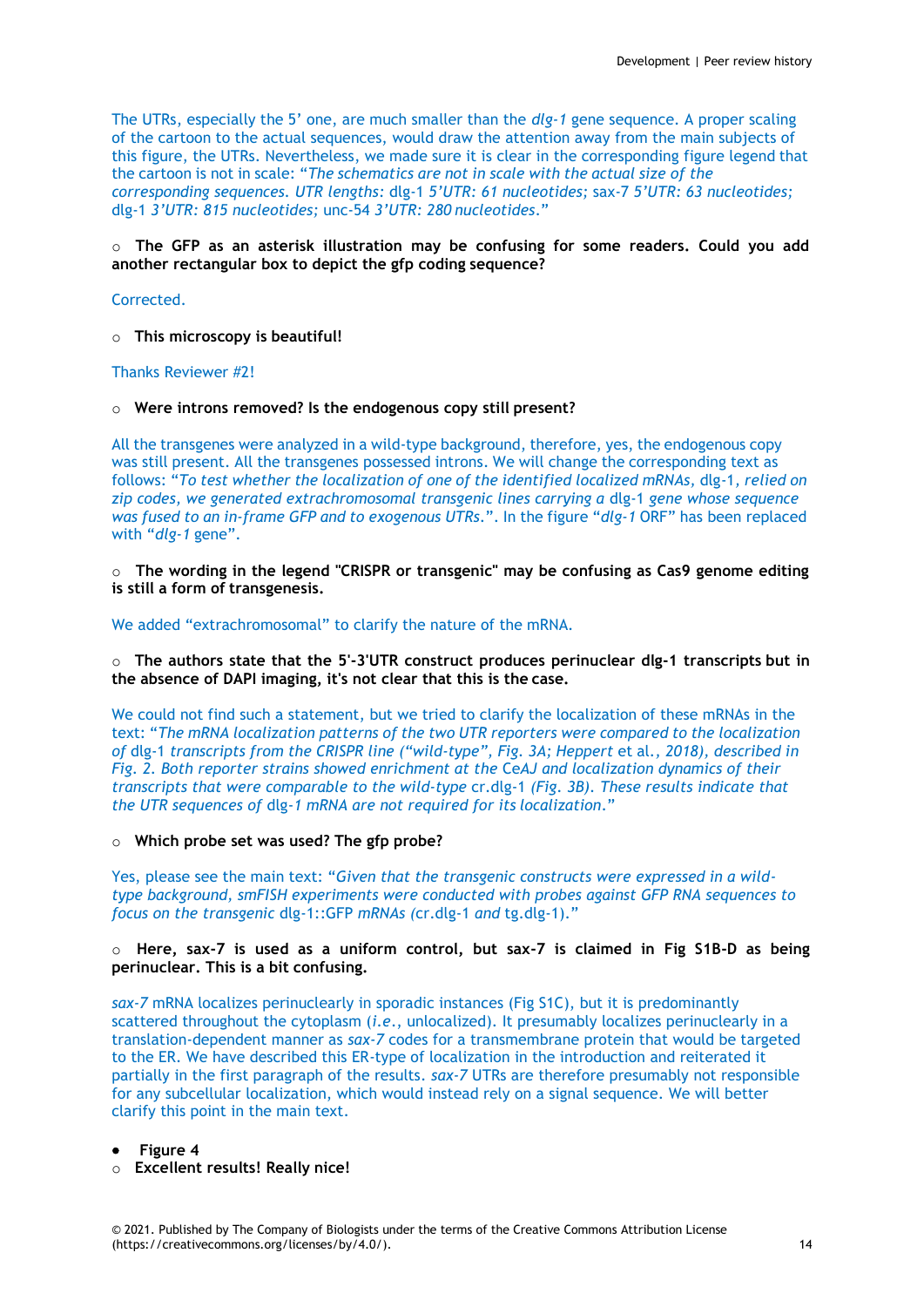The UTRs, especially the 5' one, are much smaller than the *dlg-1* gene sequence. A proper scaling of the cartoon to the actual sequences, would draw the attention away from the main subjects of this figure, the UTRs. Nevertheless, we made sure it is clear in the corresponding figure legend that the cartoon is not in scale: "*The schematics are not in scale with the actual size of the corresponding sequences. UTR lengths:* dlg-1 *5'UTR: 61 nucleotides;* sax-7 *5'UTR: 63 nucleotides;*  dlg-1 *3'UTR: 815 nucleotides;* unc-54 *3'UTR: 280 nucleotides*."

# o **The GFP as an asterisk illustration may be confusing for some readers. Could you add another rectangular box to depict the gfp coding sequence?**

Corrected.

o **This microscopy is beautiful!**

Thanks Reviewer #2!

### o **Were introns removed? Is the endogenous copy still present?**

All the transgenes were analyzed in a wild-type background, therefore, yes, the endogenous copy was still present. All the transgenes possessed introns. We will change the corresponding text as follows: "*To test whether the localization of one of the identified localized mRNAs,* dlg-1*, relied on zip codes, we generated extrachromosomal transgenic lines carrying a* dlg-1 *gene whose sequence was fused to an in-frame GFP and to exogenous UTRs*.". In the figure "*dlg-1* ORF" has been replaced with "*dlg-1* gene".

o **The wording in the legend "CRISPR or transgenic" may be confusing as Cas9 genome editing is still a form of transgenesis.**

We added "extrachromosomal" to clarify the nature of the mRNA.

o **The authors state that the 5'-3'UTR construct produces perinuclear dlg-1 transcripts but in the absence of DAPI imaging, it's not clear that this is the case.**

We could not find such a statement, but we tried to clarify the localization of these mRNAs in the text: "*The mRNA localization patterns of the two UTR reporters were compared to the localization of* dlg-1 *transcripts from the CRISPR line ("wild-type", Fig. 3A; Heppert* et al*., 2018), described in Fig. 2. Both reporter strains showed enrichment at the* Ce*AJ and localization dynamics of their transcripts that were comparable to the wild-type* cr.dlg-1 *(Fig. 3B). These results indicate that the UTR sequences of* dlg-*1 mRNA are not required for its localization*."

#### o **Which probe set was used? The gfp probe?**

Yes, please see the main text: "*Given that the transgenic constructs were expressed in a wildtype background, smFISH experiments were conducted with probes against GFP RNA sequences to focus on the transgenic* dlg-1::GFP *mRNAs (*cr.dlg-1 *and* tg.dlg-1)."

# o **Here, sax-7 is used as a uniform control, but sax-7 is claimed in Fig S1B-D as being perinuclear. This is a bit confusing.**

*sax-7* mRNA localizes perinuclearly in sporadic instances (Fig S1C), but it is predominantly scattered throughout the cytoplasm (*i.e*., unlocalized). It presumably localizes perinuclearly in a translation-dependent manner as *sax-7* codes for a transmembrane protein that would be targeted to the ER. We have described this ER-type of localization in the introduction and reiterated it partially in the first paragraph of the results. *sax-7* UTRs are therefore presumably not responsible for any subcellular localization, which would instead rely on a signal sequence. We will better clarify this point in the main text.

**Figure 4**

o **Excellent results! Really nice!**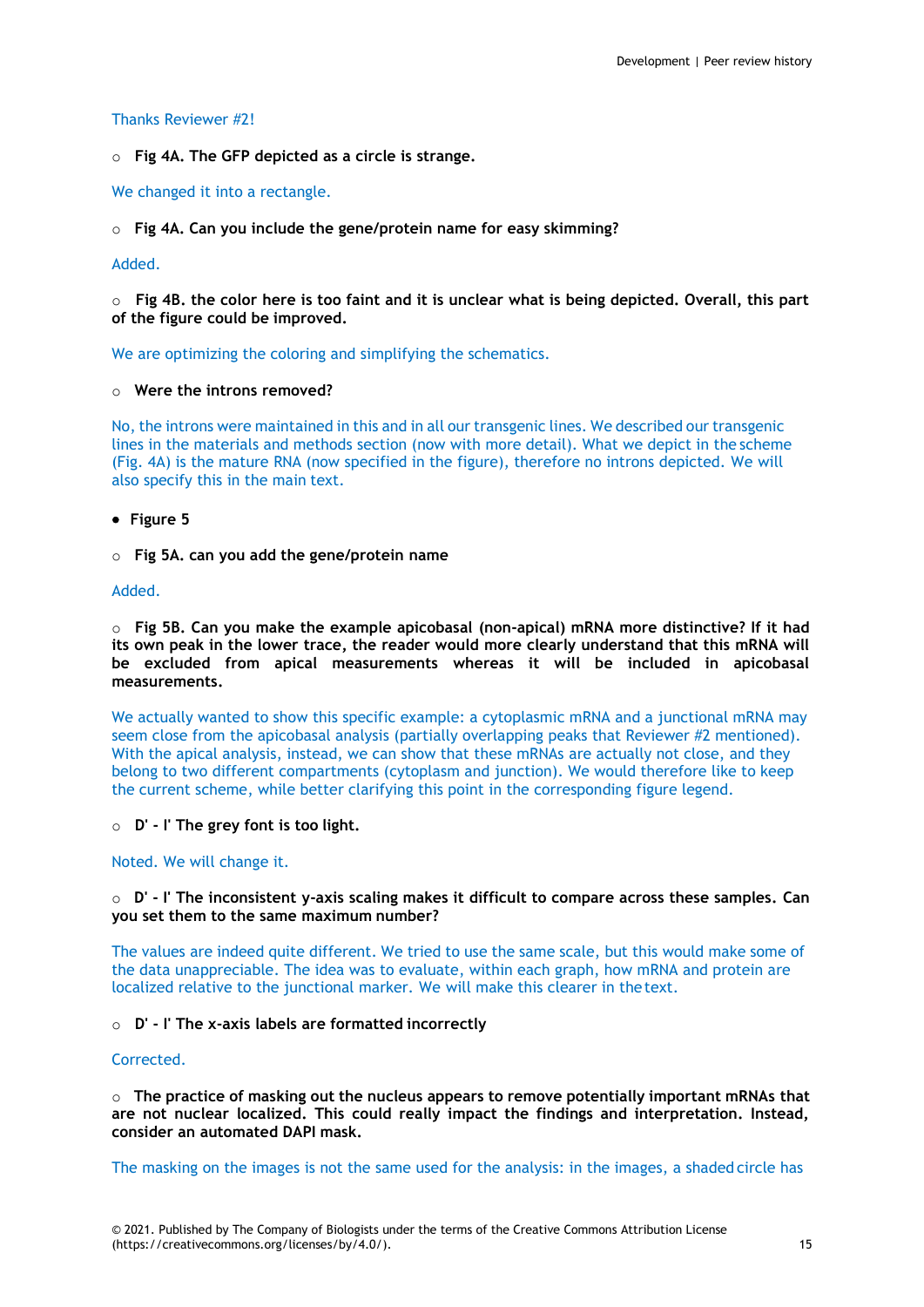### Thanks Reviewer #2!

o **Fig 4A. The GFP depicted as a circle is strange.**

We changed it into a rectangle.

o **Fig 4A. Can you include the gene/protein name for easy skimming?**

# Added.

o **Fig 4B. the color here is too faint and it is unclear what is being depicted. Overall, this part of the figure could be improved.**

We are optimizing the coloring and simplifying the schematics.

# o **Were the introns removed?**

No, the introns were maintained in this and in all our transgenic lines. We described our transgenic lines in the materials and methods section (now with more detail). What we depict in the scheme (Fig. 4A) is the mature RNA (now specified in the figure), therefore no introns depicted. We will also specify this in the main text.

- **Figure 5**
- o **Fig 5A. can you add the gene/protein name**

#### Added.

o **Fig 5B. Can you make the example apicobasal (non-apical) mRNA more distinctive? If it had its own peak in the lower trace, the reader would more clearly understand that this mRNA will be excluded from apical measurements whereas it will be included in apicobasal measurements.**

We actually wanted to show this specific example: a cytoplasmic mRNA and a junctional mRNA may seem close from the apicobasal analysis (partially overlapping peaks that Reviewer #2 mentioned). With the apical analysis, instead, we can show that these mRNAs are actually not close, and they belong to two different compartments (cytoplasm and junction). We would therefore like to keep the current scheme, while better clarifying this point in the corresponding figure legend.

o **D' - I' The grey font is too light.**

### Noted. We will change it.

### o **D' - I' The inconsistent y-axis scaling makes it difficult to compare across these samples. Can you set them to the same maximum number?**

The values are indeed quite different. We tried to use the same scale, but this would make some of the data unappreciable. The idea was to evaluate, within each graph, how mRNA and protein are localized relative to the junctional marker. We will make this clearer in thetext.

#### o **D' - I' The x-axis labels are formatted incorrectly**

### Corrected.

o **The practice of masking out the nucleus appears to remove potentially important mRNAs that are not nuclear localized. This could really impact the findings and interpretation. Instead, consider an automated DAPI mask.**

The masking on the images is not the same used for the analysis: in the images, a shaded circle has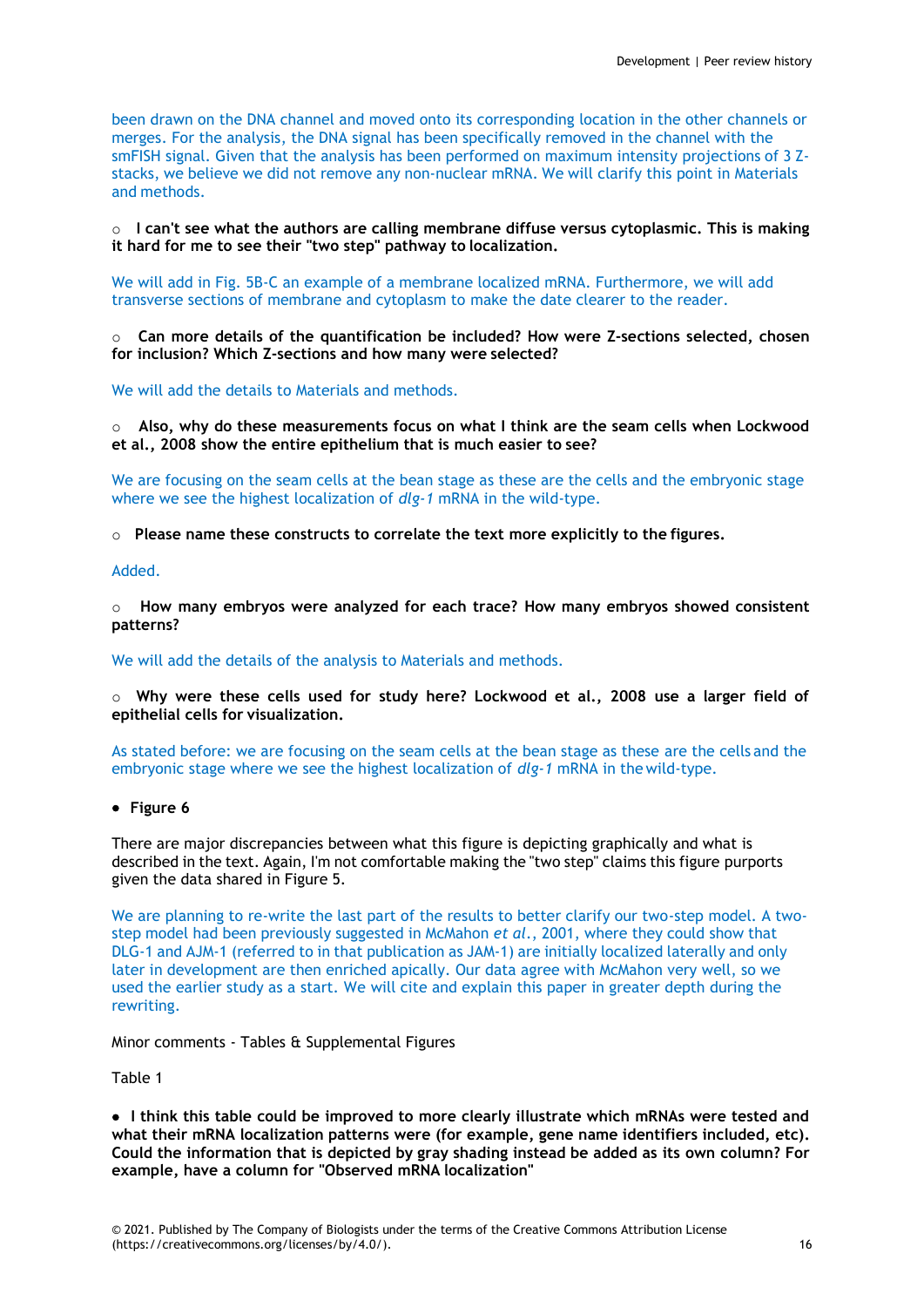been drawn on the DNA channel and moved onto its corresponding location in the other channels or merges. For the analysis, the DNA signal has been specifically removed in the channel with the smFISH signal. Given that the analysis has been performed on maximum intensity projections of 3 Zstacks, we believe we did not remove any non-nuclear mRNA. We will clarify this point in Materials and methods.

o **I can't see what the authors are calling membrane diffuse versus cytoplasmic. This is making it hard for me to see their "two step" pathway to localization.**

We will add in Fig. 5B-C an example of a membrane localized mRNA. Furthermore, we will add transverse sections of membrane and cytoplasm to make the date clearer to the reader.

o **Can more details of the quantification be included? How were Z-sections selected, chosen for inclusion? Which Z-sections and how many were selected?**

We will add the details to Materials and methods.

o **Also, why do these measurements focus on what I think are the seam cells when Lockwood et al., 2008 show the entire epithelium that is much easier to see?**

We are focusing on the seam cells at the bean stage as these are the cells and the embryonic stage where we see the highest localization of *dlg-1* mRNA in the wild-type.

o **Please name these constructs to correlate the text more explicitly to the figures.**

Added.

o **How many embryos were analyzed for each trace? How many embryos showed consistent patterns?**

We will add the details of the analysis to Materials and methods.

o **Why were these cells used for study here? Lockwood et al., 2008 use a larger field of epithelial cells for visualization.**

As stated before: we are focusing on the seam cells at the bean stage as these are the cells and the embryonic stage where we see the highest localization of *dlg-1* mRNA in the wild-type.

**Figure 6**

There are major discrepancies between what this figure is depicting graphically and what is described in the text. Again, I'm not comfortable making the "two step" claims this figure purports given the data shared in Figure 5.

We are planning to re-write the last part of the results to better clarify our two-step model. A twostep model had been previously suggested in McMahon *et al*., 2001, where they could show that DLG-1 and AJM-1 (referred to in that publication as JAM-1) are initially localized laterally and only later in development are then enriched apically. Our data agree with McMahon very well, so we used the earlier study as a start. We will cite and explain this paper in greater depth during the rewriting.

Minor comments - Tables & Supplemental Figures

Table 1

 **I think this table could be improved to more clearly illustrate which mRNAs were tested and what their mRNA localization patterns were (for example, gene name identifiers included, etc). Could the information that is depicted by gray shading instead be added as its own column? For example, have a column for "Observed mRNA localization"**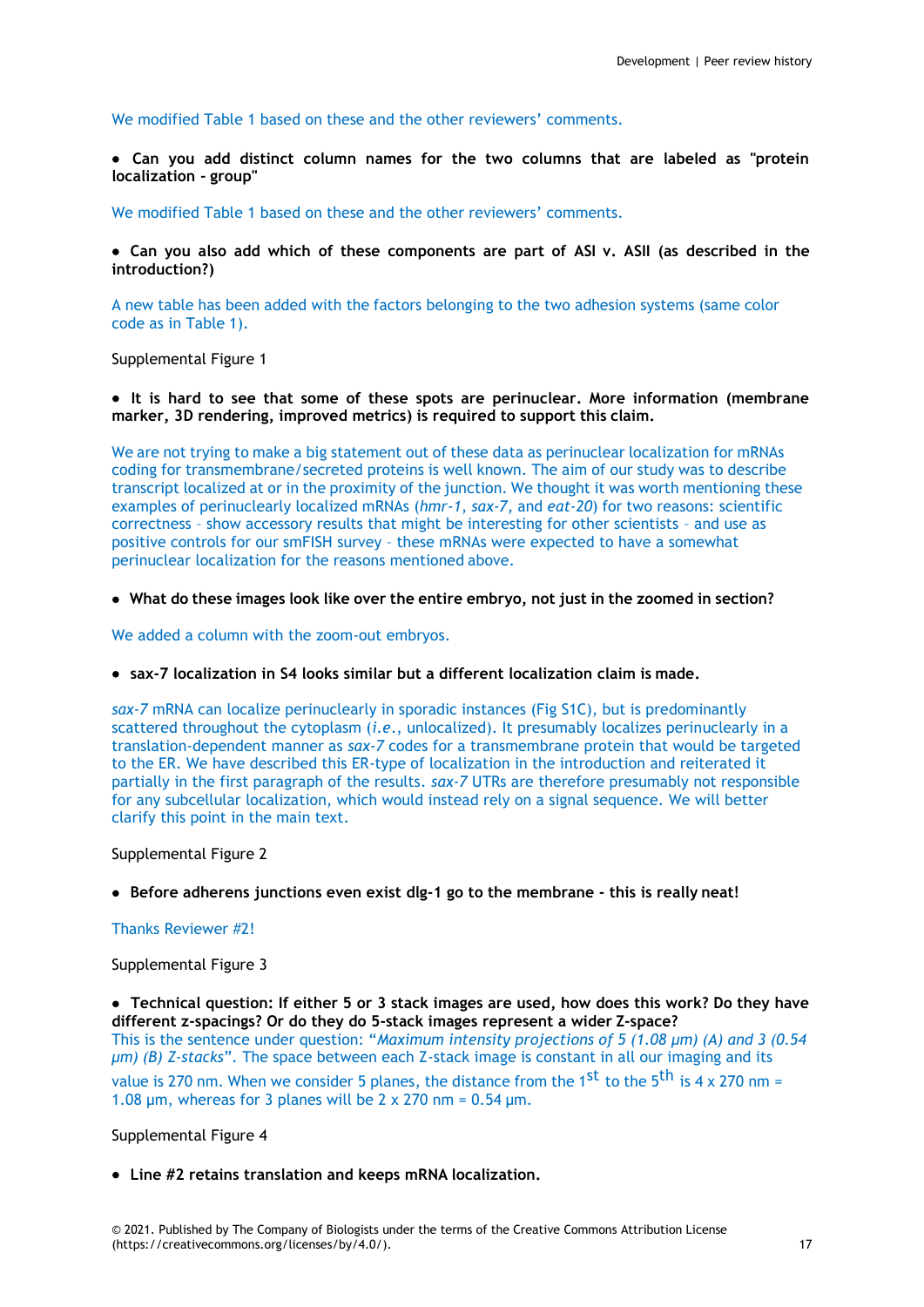We modified Table 1 based on these and the other reviewers' comments.

 **Can you add distinct column names for the two columns that are labeled as "protein localization - group"**

We modified Table 1 based on these and the other reviewers' comments.

 **Can you also add which of these components are part of ASI v. ASII (as described in the introduction?)**

A new table has been added with the factors belonging to the two adhesion systems (same color code as in Table 1).

Supplemental Figure 1

 **It is hard to see that some of these spots are perinuclear. More information (membrane marker, 3D rendering, improved metrics) is required to support this claim.**

We are not trying to make a big statement out of these data as perinuclear localization for mRNAs coding for transmembrane/secreted proteins is well known. The aim of our study was to describe transcript localized at or in the proximity of the junction. We thought it was worth mentioning these examples of perinuclearly localized mRNAs (*hmr-1*, *sax-7*, and *eat-20*) for two reasons: scientific correctness – show accessory results that might be interesting for other scientists – and use as positive controls for our smFISH survey – these mRNAs were expected to have a somewhat perinuclear localization for the reasons mentioned above.

**What do these images look like over the entire embryo, not just in the zoomed in section?**

We added a column with the zoom-out embryos.

**sax-7 localization in S4 looks similar but a different localization claim is made.**

*sax-7* mRNA can localize perinuclearly in sporadic instances (Fig S1C), but is predominantly scattered throughout the cytoplasm (*i.e*., unlocalized). It presumably localizes perinuclearly in a translation-dependent manner as *sax-7* codes for a transmembrane protein that would be targeted to the ER. We have described this ER-type of localization in the introduction and reiterated it partially in the first paragraph of the results. *sax-7* UTRs are therefore presumably not responsible for any subcellular localization, which would instead rely on a signal sequence. We will better clarify this point in the main text.

Supplemental Figure 2

**Before adherens junctions even exist dlg-1 go to the membrane - this is really neat!**

Thanks Reviewer #2!

Supplemental Figure 3

 **Technical question: If either 5 or 3 stack images are used, how does this work? Do they have different z-spacings? Or do they do 5-stack images represent a wider Z-space?** This is the sentence under question: "*Maximum intensity projections of 5 (1.08 µm) (A) and 3 (0.54* 

*µm) (B) Z-stacks*". The space between each Z-stack image is constant in all our imaging and its value is 270 nm. When we consider 5 planes, the distance from the 1<sup>st</sup> to the 5<sup>th</sup> is 4 x 270 nm = 1.08  $\mu$ m, whereas for 3 planes will be 2 x 270 nm = 0.54  $\mu$ m.

Supplemental Figure 4

**Line #2 retains translation and keeps mRNA localization.**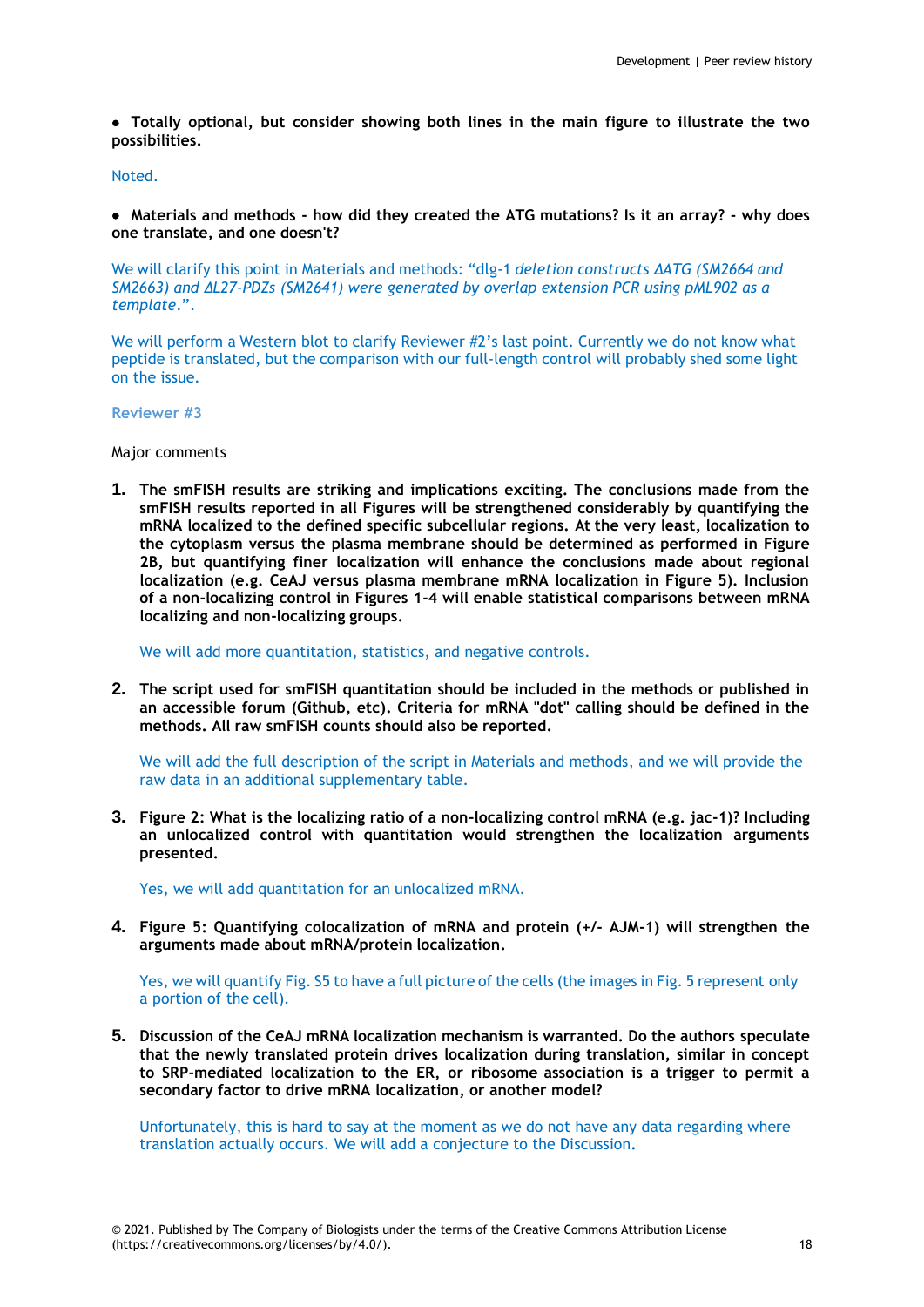**Totally optional, but consider showing both lines in the main figure to illustrate the two possibilities.**

#### Noted.

 **Materials and methods - how did they created the ATG mutations? Is it an array? - why does one translate, and one doesn't?**

We will clarify this point in Materials and methods: "dlg-1 *deletion constructs ΔATG (SM2664 and SM2663) and ΔL27-PDZs (SM2641) were generated by overlap extension PCR using pML902 as a template*.".

We will perform a Western blot to clarify Reviewer #2's last point. Currently we do not know what peptide is translated, but the comparison with our full-length control will probably shed some light on the issue.

#### **Reviewer #3**

Major comments

**1. The smFISH results are striking and implications exciting. The conclusions made from the smFISH results reported in all Figures will be strengthened considerably by quantifying the mRNA localized to the defined specific subcellular regions. At the very least, localization to the cytoplasm versus the plasma membrane should be determined as performed in Figure 2B, but quantifying finer localization will enhance the conclusions made about regional localization (e.g. CeAJ versus plasma membrane mRNA localization in Figure 5). Inclusion of a non-localizing control in Figures 1-4 will enable statistical comparisons between mRNA localizing and non-localizing groups.**

We will add more quantitation, statistics, and negative controls.

**2. The script used for smFISH quantitation should be included in the methods or published in an accessible forum (Github, etc). Criteria for mRNA "dot" calling should be defined in the methods. All raw smFISH counts should also be reported.**

We will add the full description of the script in Materials and methods, and we will provide the raw data in an additional supplementary table.

**3. Figure 2: What is the localizing ratio of a non-localizing control mRNA (e.g. jac-1)? Including an unlocalized control with quantitation would strengthen the localization arguments presented.**

Yes, we will add quantitation for an unlocalized mRNA.

**4. Figure 5: Quantifying colocalization of mRNA and protein (+/- AJM-1) will strengthen the arguments made about mRNA/protein localization.**

Yes, we will quantify Fig. S5 to have a full picture of the cells (the images in Fig. 5 represent only a portion of the cell).

**5. Discussion of the CeAJ mRNA localization mechanism is warranted. Do the authors speculate that the newly translated protein drives localization during translation, similar in concept to SRP-mediated localization to the ER, or ribosome association is a trigger to permit a secondary factor to drive mRNA localization, or another model?**

Unfortunately, this is hard to say at the moment as we do not have any data regarding where translation actually occurs. We will add a conjecture to the Discussion**.**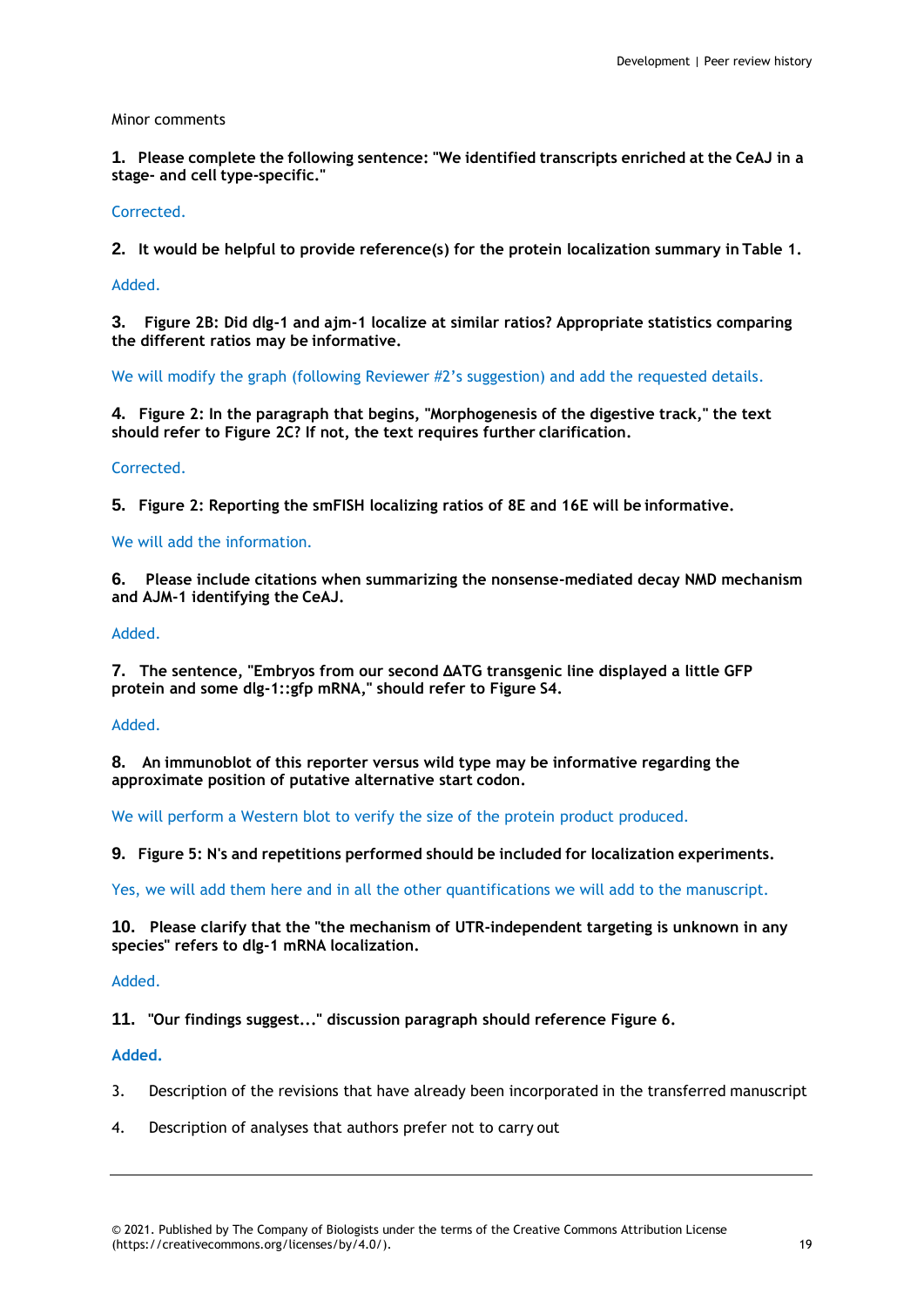# Minor comments

**1. Please complete the following sentence: "We identified transcripts enriched at the CeAJ in a stage- and cell type-specific."**

# Corrected.

**2. It would be helpful to provide reference(s) for the protein localization summary in Table 1.**

### Added.

**3. Figure 2B: Did dlg-1 and ajm-1 localize at similar ratios? Appropriate statistics comparing the different ratios may be informative.**

We will modify the graph (following Reviewer #2's suggestion) and add the requested details.

**4. Figure 2: In the paragraph that begins, "Morphogenesis of the digestive track," the text should refer to Figure 2C? If not, the text requires further clarification.**

# Corrected.

**5. Figure 2: Reporting the smFISH localizing ratios of 8E and 16E will be informative.**

# We will add the information.

**6. Please include citations when summarizing the nonsense-mediated decay NMD mechanism and AJM-1 identifying the CeAJ.**

### Added.

**7. The sentence, "Embryos from our second ΔATG transgenic line displayed a little GFP protein and some dlg-1::gfp mRNA," should refer to Figure S4.**

### Added.

**8. An immunoblot of this reporter versus wild type may be informative regarding the approximate position of putative alternative start codon.**

We will perform a Western blot to verify the size of the protein product produced.

**9. Figure 5: N's and repetitions performed should be included for localization experiments.**

Yes, we will add them here and in all the other quantifications we will add to the manuscript.

**10. Please clarify that the "the mechanism of UTR-independent targeting is unknown in any species" refers to dlg-1 mRNA localization.**

#### Added.

**11. "Our findings suggest..." discussion paragraph should reference Figure 6.**

#### **Added.**

- 3. Description of the revisions that have already been incorporated in the transferred manuscript
- 4. Description of analyses that authors prefer not to carry out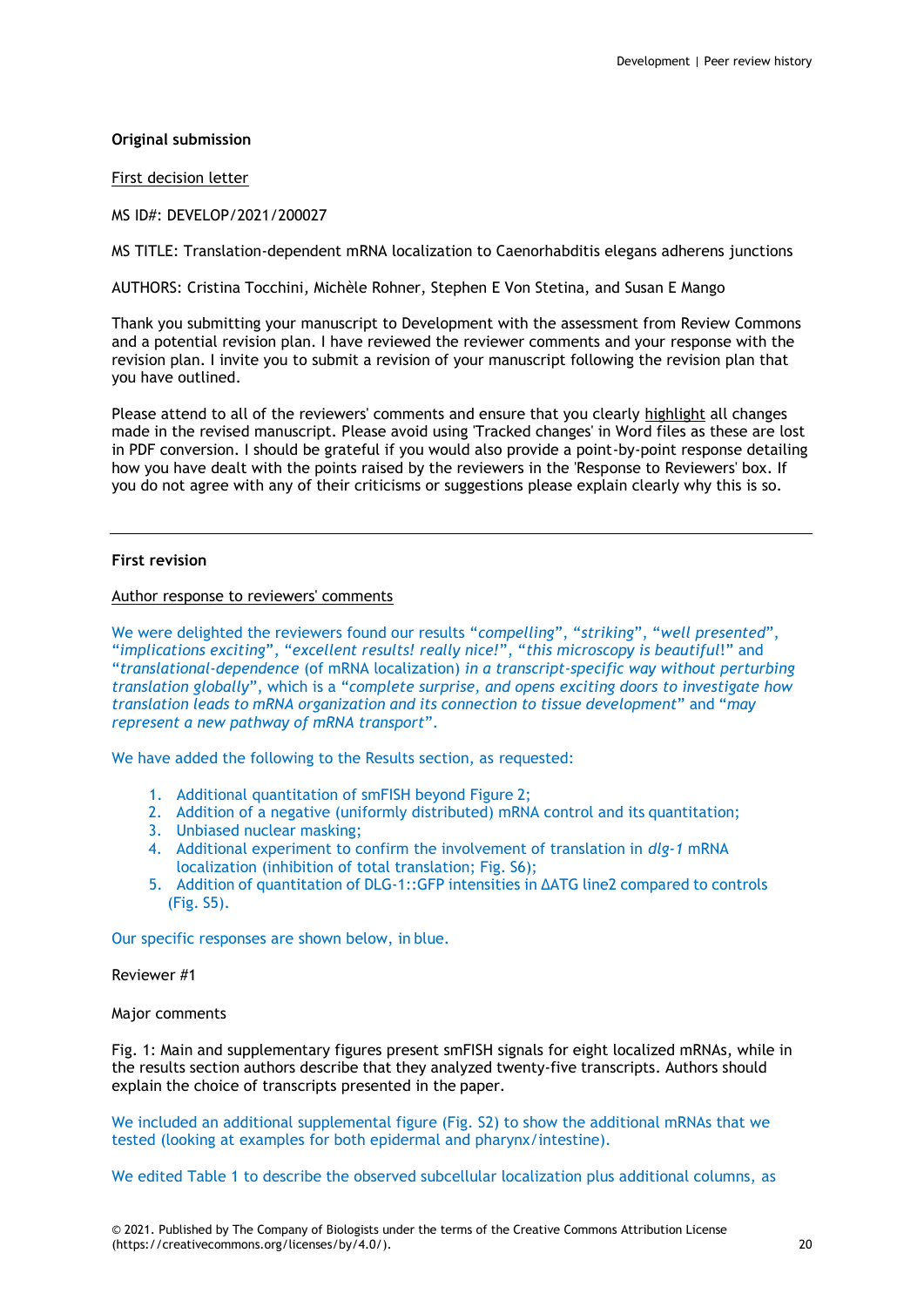# **Original submission**

First decision letter

MS ID#: DEVELOP/2021/200027

MS TITLE: Translation-dependent mRNA localization to Caenorhabditis elegans adherens junctions

AUTHORS: Cristina Tocchini, Michèle Rohner, Stephen E Von Stetina, and Susan E Mango

Thank you submitting your manuscript to Development with the assessment from Review Commons and a potential revision plan. I have reviewed the reviewer comments and your response with the revision plan. I invite you to submit a revision of your manuscript following the revision plan that you have outlined.

Please attend to all of the reviewers' comments and ensure that you clearly highlight all changes made in the revised manuscript. Please avoid using 'Tracked changes' in Word files as these are lost in PDF conversion. I should be grateful if you would also provide a point-by-point response detailing how you have dealt with the points raised by the reviewers in the 'Response to Reviewers' box. If you do not agree with any of their criticisms or suggestions please explain clearly why this is so.

# **First revision**

Author response to reviewers' comments

We were delighted the reviewers found our results "*compelling*", "*striking*", "*well presented*", "*implications exciting*", "*excellent results! really nice!*", "*this microscopy is beautiful*!" and "*translational-dependence* (of mRNA localization) *in a transcript-specific way without perturbing translation globally*", which is a "*complete surprise, and opens exciting doors to investigate how translation leads to mRNA organization and its connection to tissue development*" and "*may represent a new pathway of mRNA transport*".

We have added the following to the Results section, as requested:

- 1. Additional quantitation of smFISH beyond Figure 2;
- 2. Addition of a negative (uniformly distributed) mRNA control and its quantitation;
- 3. Unbiased nuclear masking;
- 4. Additional experiment to confirm the involvement of translation in *dlg-1* mRNA localization (inhibition of total translation; Fig. S6);
- 5. Addition of quantitation of DLG-1::GFP intensities in ΔATG line2 compared to controls (Fig. S5).

Our specific responses are shown below, in blue.

Reviewer #1

Major comments

Fig. 1: Main and supplementary figures present smFISH signals for eight localized mRNAs, while in the results section authors describe that they analyzed twenty-five transcripts. Authors should explain the choice of transcripts presented in the paper.

We included an additional supplemental figure (Fig. S2) to show the additional mRNAs that we tested (looking at examples for both epidermal and pharynx/intestine).

We edited Table 1 to describe the observed subcellular localization plus additional columns, as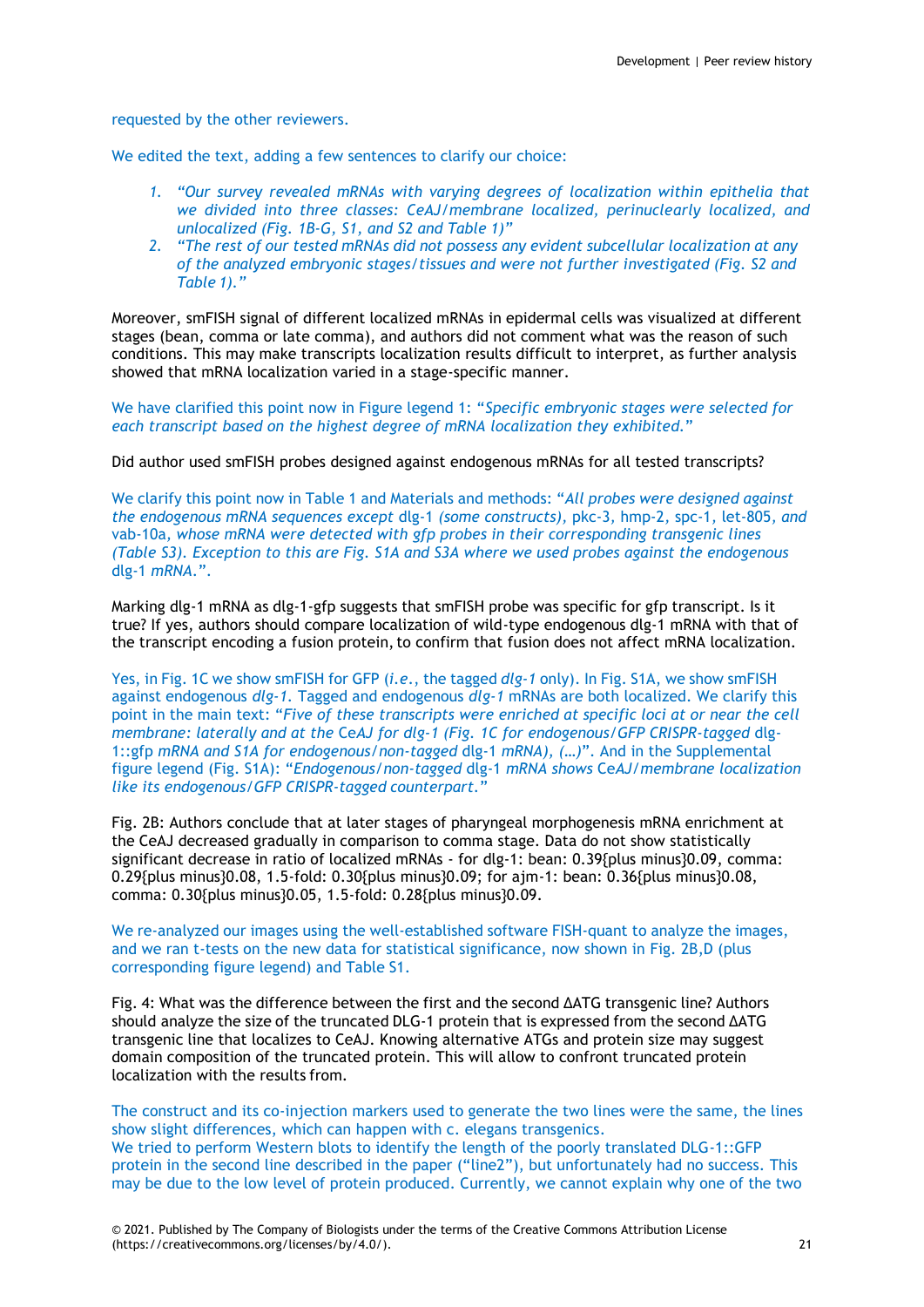requested by the other reviewers.

We edited the text, adding a few sentences to clarify our choice:

- *1. "Our survey revealed mRNAs with varying degrees of localization within epithelia that we divided into three classes: CeAJ/membrane localized, perinuclearly localized, and unlocalized (Fig. 1B-G, S1, and S2 and Table 1)"*
- *2. "The rest of our tested mRNAs did not possess any evident subcellular localization at any of the analyzed embryonic stages/tissues and were not further investigated (Fig. S2 and Table 1)."*

Moreover, smFISH signal of different localized mRNAs in epidermal cells was visualized at different stages (bean, comma or late comma), and authors did not comment what was the reason of such conditions. This may make transcripts localization results difficult to interpret, as further analysis showed that mRNA localization varied in a stage-specific manner.

We have clarified this point now in Figure legend 1: "*Specific embryonic stages were selected for each transcript based on the highest degree of mRNA localization they exhibited.*"

Did author used smFISH probes designed against endogenous mRNAs for all tested transcripts?

We clarify this point now in Table 1 and Materials and methods: "*All probes were designed against the endogenous mRNA sequences except* dlg-1 *(some constructs),* pkc-3*,* hmp-2*,* spc-1*,* let-805*, and* vab-10a*, whose mRNA were detected with gfp probes in their corresponding transgenic lines (Table S3). Exception to this are Fig. S1A and S3A where we used probes against the endogenous*  dlg-1 *mRNA.*".

Marking dlg-1 mRNA as dlg-1-gfp suggests that smFISH probe was specific for gfp transcript. Is it true? If yes, authors should compare localization of wild-type endogenous dlg-1 mRNA with that of the transcript encoding a fusion protein, to confirm that fusion does not affect mRNA localization.

Yes, in Fig. 1C we show smFISH for GFP (*i.e*., the tagged *dlg-1* only). In Fig. S1A, we show smFISH against endogenous *dlg-1.* Tagged and endogenous *dlg-1* mRNAs are both localized. We clarify this point in the main text: "*Five of these transcripts were enriched at specific loci at or near the cell membrane: laterally and at the* Ce*AJ for dlg-1 (Fig. 1C for endogenous/GFP CRISPR-tagged* dlg-1::gfp *mRNA and S1A for endogenous/non-tagged* dlg-1 *mRNA), (…)*". And in the Supplemental figure legend (Fig. S1A): "*Endogenous/non-tagged* dlg-1 *mRNA shows* Ce*AJ/membrane localization like its endogenous/GFP CRISPR-tagged counterpart.*"

Fig. 2B: Authors conclude that at later stages of pharyngeal morphogenesis mRNA enrichment at the CeAJ decreased gradually in comparison to comma stage. Data do not show statistically significant decrease in ratio of localized mRNAs - for dlg-1: bean: 0.39{plus minus}0.09, comma: 0.29{plus minus}0.08, 1.5-fold: 0.30{plus minus}0.09; for ajm-1: bean: 0.36{plus minus}0.08, comma: 0.30{plus minus}0.05, 1.5-fold: 0.28{plus minus}0.09.

We re-analyzed our images using the well-established software FISH-quant to analyze the images, and we ran t-tests on the new data for statistical significance, now shown in Fig. 2B,D (plus corresponding figure legend) and Table S1.

Fig. 4: What was the difference between the first and the second ΔATG transgenic line? Authors should analyze the size of the truncated DLG-1 protein that is expressed from the second ΔATG transgenic line that localizes to CeAJ. Knowing alternative ATGs and protein size may suggest domain composition of the truncated protein. This will allow to confront truncated protein localization with the results from.

The construct and its co-injection markers used to generate the two lines were the same, the lines show slight differences, which can happen with c. elegans transgenics. We tried to perform Western blots to identify the length of the poorly translated DLG-1::GFP protein in the second line described in the paper ("line2"), but unfortunately had no success. This may be due to the low level of protein produced. Currently, we cannot explain why one of the two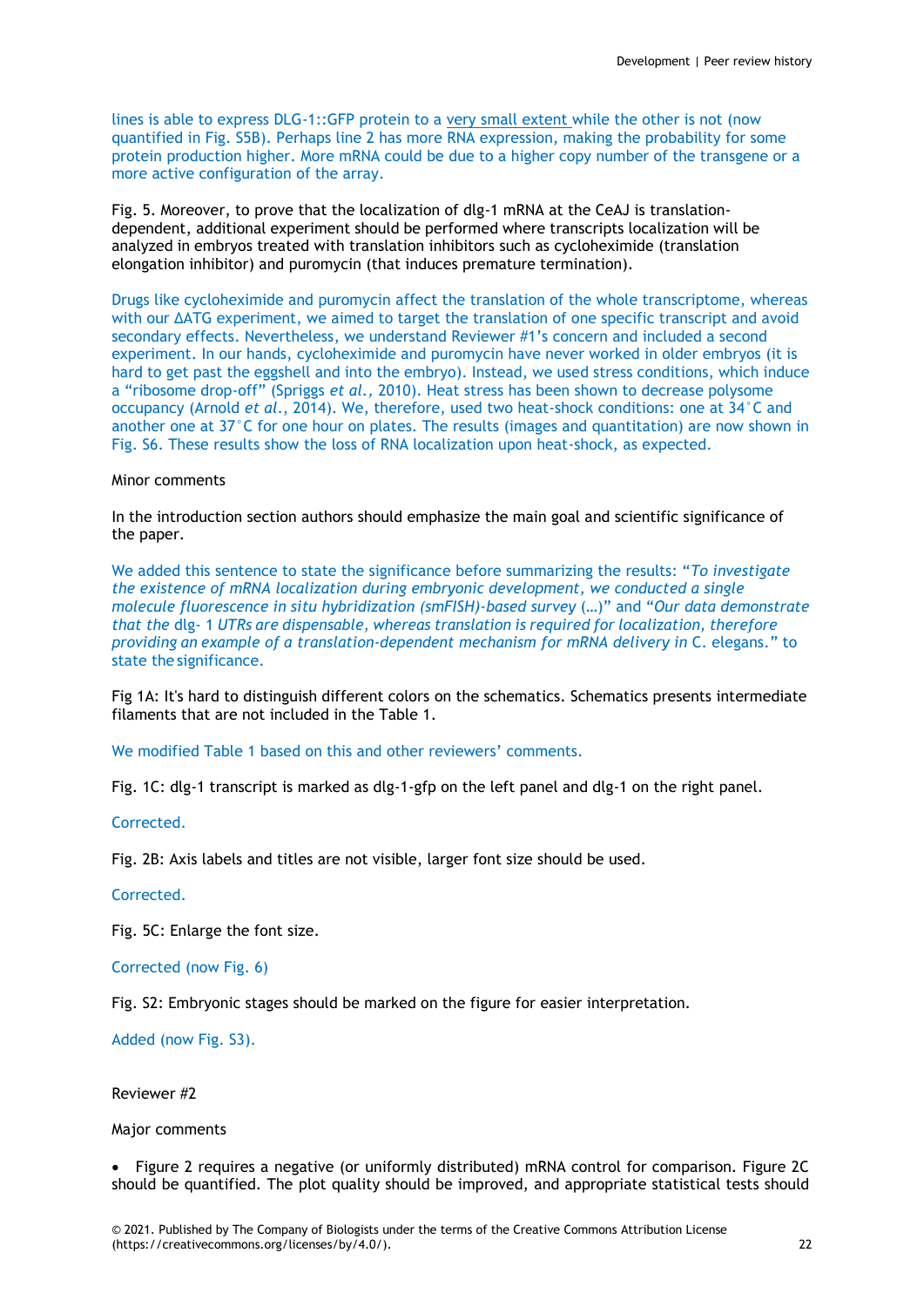lines is able to express DLG-1::GFP protein to a very small extent while the other is not (now quantified in Fig. S5B). Perhaps line 2 has more RNA expression, making the probability for some protein production higher. More mRNA could be due to a higher copy number of the transgene or a more active configuration of the array.

Fig. 5. Moreover, to prove that the localization of dlg-1 mRNA at the CeAJ is translationdependent, additional experiment should be performed where transcripts localization will be analyzed in embryos treated with translation inhibitors such as cycloheximide (translation elongation inhibitor) and puromycin (that induces premature termination).

Drugs like cycloheximide and puromycin affect the translation of the whole transcriptome, whereas with our ΔATG experiment, we aimed to target the translation of one specific transcript and avoid secondary effects. Nevertheless, we understand Reviewer #1's concern and included a second experiment. In our hands, cycloheximide and puromycin have never worked in older embryos (it is hard to get past the eggshell and into the embryo). Instead, we used stress conditions, which induce a "ribosome drop-off" (Spriggs *et al.,* 2010). Heat stress has been shown to decrease polysome occupancy (Arnold *et al*., 2014). We, therefore, used two heat-shock conditions: one at 34°C and another one at 37°C for one hour on plates. The results (images and quantitation) are now shown in Fig. S6. These results show the loss of RNA localization upon heat-shock, as expected.

# Minor comments

In the introduction section authors should emphasize the main goal and scientific significance of the paper.

We added this sentence to state the significance before summarizing the results: "*To investigate the existence of mRNA localization during embryonic development, we conducted a single molecule fluorescence in situ hybridization (smFISH)-based survey* (…)" and "*Our data demonstrate that the* dlg- 1 *UTRs are dispensable, whereas translation is required for localization, therefore providing an example of a translation-dependent mechanism for mRNA delivery in* C. elegans*.*" to state the significance.

Fig 1A: It's hard to distinguish different colors on the schematics. Schematics presents intermediate filaments that are not included in the Table 1.

We modified Table 1 based on this and other reviewers' comments.

Fig. 1C: dlg-1 transcript is marked as dlg-1-gfp on the left panel and dlg-1 on the right panel.

Corrected.

Fig. 2B: Axis labels and titles are not visible, larger font size should be used.

Corrected.

Fig. 5C: Enlarge the font size.

Corrected (now Fig. 6)

Fig. S2: Embryonic stages should be marked on the figure for easier interpretation.

Added (now Fig. S3).

Reviewer #2

Major comments

• Figure 2 requires a negative (or uniformly distributed) mRNA control for comparison. Figure 2C should be quantified. The plot quality should be improved, and appropriate statistical tests should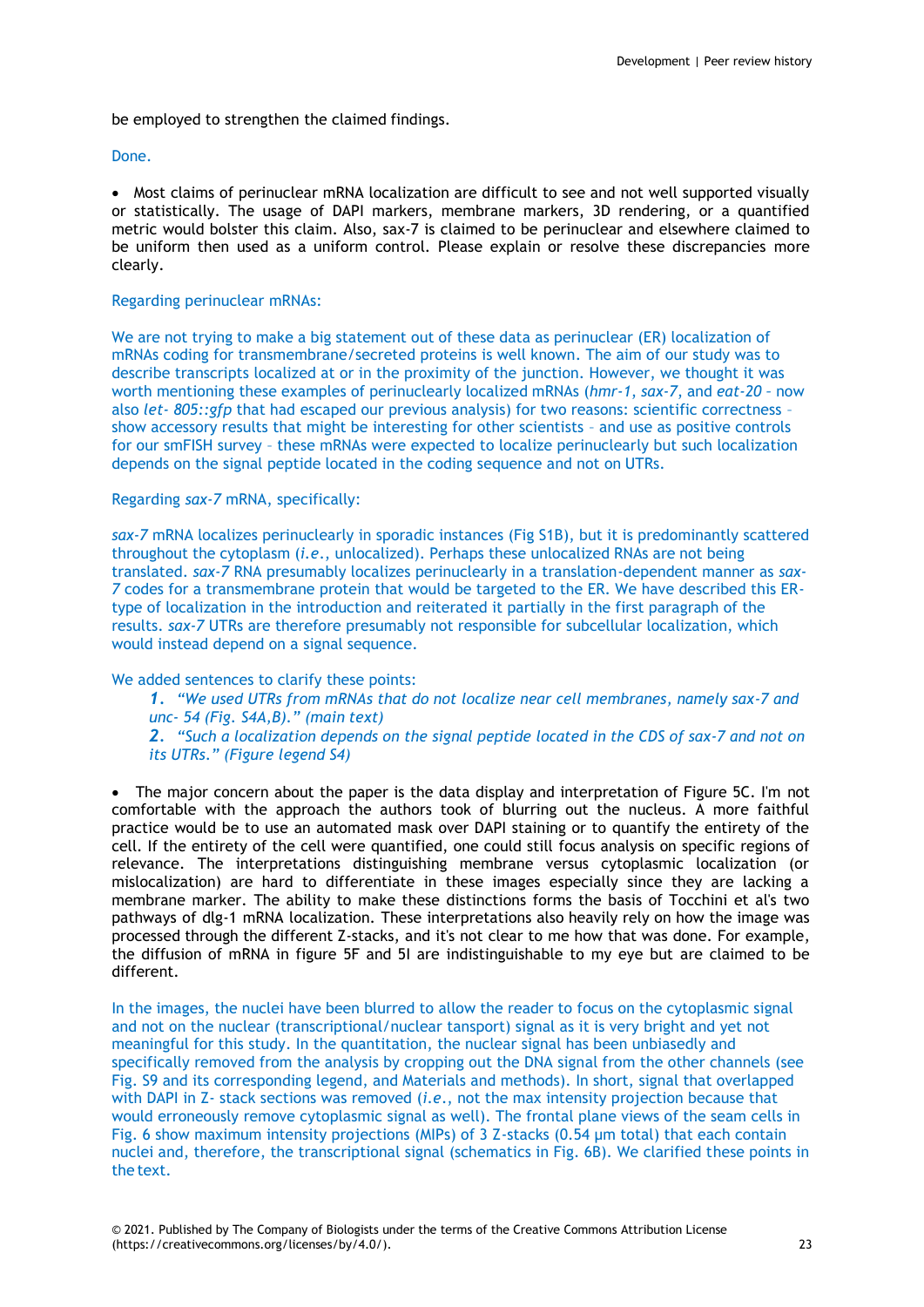be employed to strengthen the claimed findings.

# Done.

 Most claims of perinuclear mRNA localization are difficult to see and not well supported visually or statistically. The usage of DAPI markers, membrane markers, 3D rendering, or a quantified metric would bolster this claim. Also, sax-7 is claimed to be perinuclear and elsewhere claimed to be uniform then used as a uniform control. Please explain or resolve these discrepancies more clearly.

# Regarding perinuclear mRNAs:

We are not trying to make a big statement out of these data as perinuclear (ER) localization of mRNAs coding for transmembrane/secreted proteins is well known. The aim of our study was to describe transcripts localized at or in the proximity of the junction. However, we thought it was worth mentioning these examples of perinuclearly localized mRNAs (*hmr-1*, *sax-7*, and *eat-20 –* now also *let- 805::gfp* that had escaped our previous analysis) for two reasons: scientific correctness – show accessory results that might be interesting for other scientists – and use as positive controls for our smFISH survey – these mRNAs were expected to localize perinuclearly but such localization depends on the signal peptide located in the coding sequence and not on UTRs.

# Regarding *sax-7* mRNA, specifically:

*sax-7* mRNA localizes perinuclearly in sporadic instances (Fig S1B), but it is predominantly scattered throughout the cytoplasm (*i.e*., unlocalized). Perhaps these unlocalized RNAs are not being translated. *sax-7* RNA presumably localizes perinuclearly in a translation-dependent manner as *sax-7* codes for a transmembrane protein that would be targeted to the ER. We have described this ERtype of localization in the introduction and reiterated it partially in the first paragraph of the results. *sax-7* UTRs are therefore presumably not responsible for subcellular localization, which would instead depend on a signal sequence.

We added sentences to clarify these points:

*1. "We used UTRs from mRNAs that do not localize near cell membranes, namely sax-7 and unc- 54 (Fig. S4A,B)." (main text) 2. "Such a localization depends on the signal peptide located in the CDS of sax-7 and not on its UTRs." (Figure legend S4)*

• The major concern about the paper is the data display and interpretation of Figure 5C. I'm not comfortable with the approach the authors took of blurring out the nucleus. A more faithful practice would be to use an automated mask over DAPI staining or to quantify the entirety of the cell. If the entirety of the cell were quantified, one could still focus analysis on specific regions of relevance. The interpretations distinguishing membrane versus cytoplasmic localization (or mislocalization) are hard to differentiate in these images especially since they are lacking a membrane marker. The ability to make these distinctions forms the basis of Tocchini et al's two pathways of dlg-1 mRNA localization. These interpretations also heavily rely on how the image was processed through the different Z-stacks, and it's not clear to me how that was done. For example, the diffusion of mRNA in figure 5F and 5I are indistinguishable to my eye but are claimed to be different.

In the images, the nuclei have been blurred to allow the reader to focus on the cytoplasmic signal and not on the nuclear (transcriptional/nuclear tansport) signal as it is very bright and yet not meaningful for this study. In the quantitation, the nuclear signal has been unbiasedly and specifically removed from the analysis by cropping out the DNA signal from the other channels (see Fig. S9 and its corresponding legend, and Materials and methods). In short, signal that overlapped with DAPI in Z- stack sections was removed (*i.e*., not the max intensity projection because that would erroneously remove cytoplasmic signal as well). The frontal plane views of the seam cells in Fig. 6 show maximum intensity projections (MIPs) of 3 Z-stacks (0.54 µm total) that each contain nuclei and, therefore, the transcriptional signal (schematics in Fig. 6B). We clarified these points in the text.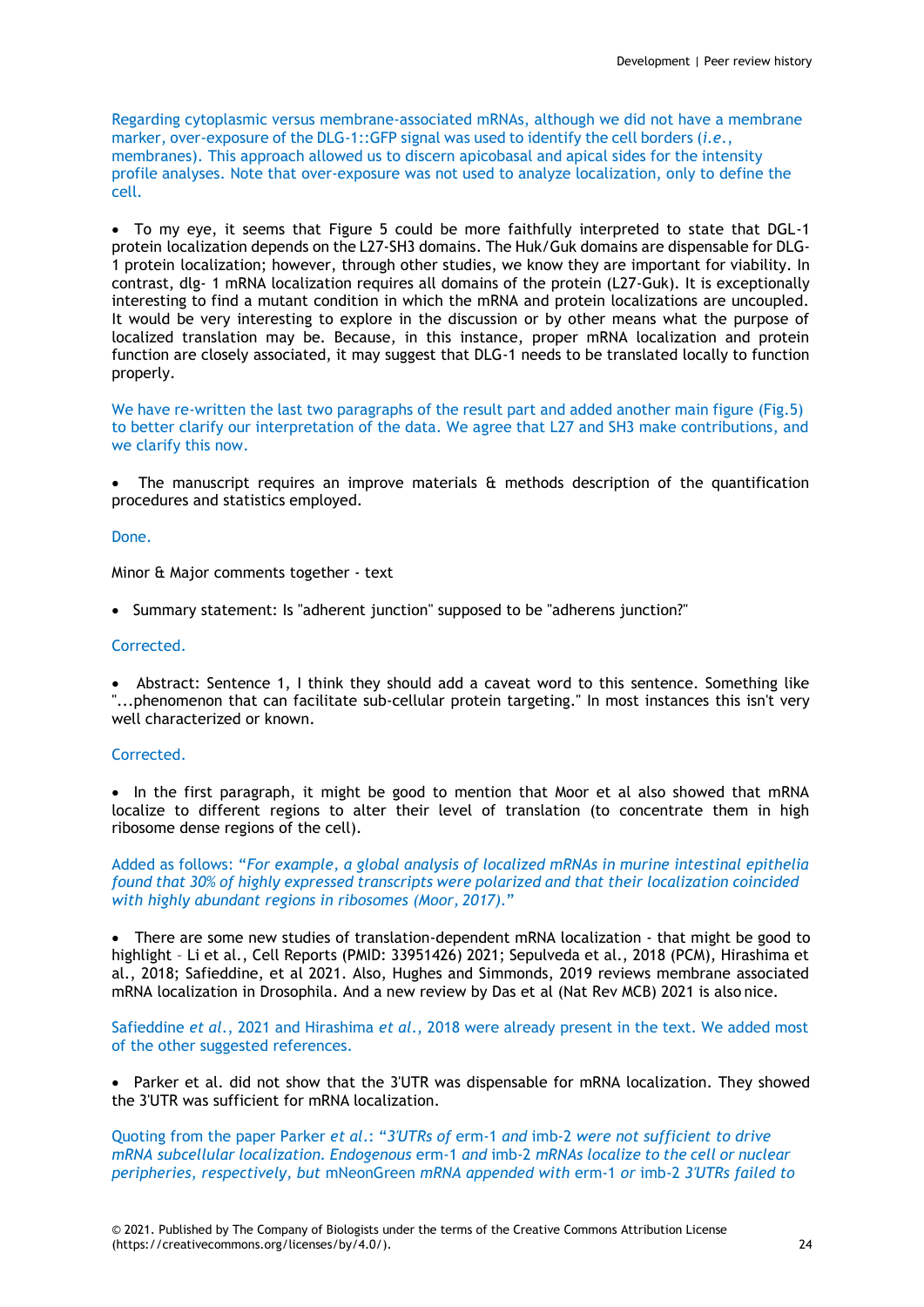Regarding cytoplasmic versus membrane-associated mRNAs, although we did not have a membrane marker, over-exposure of the DLG-1::GFP signal was used to identify the cell borders (*i.e*., membranes). This approach allowed us to discern apicobasal and apical sides for the intensity profile analyses. Note that over-exposure was not used to analyze localization, only to define the cell.

 To my eye, it seems that Figure 5 could be more faithfully interpreted to state that DGL-1 protein localization depends on the L27-SH3 domains. The Huk/Guk domains are dispensable for DLG-1 protein localization; however, through other studies, we know they are important for viability. In contrast, dlg- 1 mRNA localization requires all domains of the protein (L27-Guk). It is exceptionally interesting to find a mutant condition in which the mRNA and protein localizations are uncoupled. It would be very interesting to explore in the discussion or by other means what the purpose of localized translation may be. Because, in this instance, proper mRNA localization and protein function are closely associated, it may suggest that DLG-1 needs to be translated locally to function properly.

We have re-written the last two paragraphs of the result part and added another main figure (Fig.5) to better clarify our interpretation of the data. We agree that L27 and SH3 make contributions, and we clarify this now.

The manuscript requires an improve materials  $\mathbf{\hat{a}}$  methods description of the quantification procedures and statistics employed.

#### Done.

Minor & Major comments together - text

• Summary statement: Is "adherent junction" supposed to be "adherens junction?"

#### Corrected.

• Abstract: Sentence 1, I think they should add a caveat word to this sentence. Something like "...phenomenon that can facilitate sub-cellular protein targeting." In most instances this isn't very well characterized or known.

# Corrected.

• In the first paragraph, it might be good to mention that Moor et al also showed that mRNA localize to different regions to alter their level of translation (to concentrate them in high ribosome dense regions of the cell).

Added as follows: "*For example, a global analysis of localized mRNAs in murine intestinal epithelia found that 30% of highly expressed transcripts were polarized and that their localization coincided with highly abundant regions in ribosomes (Moor, 2017)*."

 There are some new studies of translation-dependent mRNA localization - that might be good to highlight – Li et al., Cell Reports (PMID: 33951426) 2021; Sepulveda et al., 2018 (PCM), Hirashima et al., 2018; Safieddine, et al 2021. Also, Hughes and Simmonds, 2019 reviews membrane associated mRNA localization in Drosophila. And a new review by Das et al (Nat Rev MCB) 2021 is also nice.

Safieddine *et al*., 2021 and Hirashima *et al*., 2018 were already present in the text. We added most of the other suggested references.

• Parker et al. did not show that the 3'UTR was dispensable for mRNA localization. They showed the 3'UTR was sufficient for mRNA localization.

Quoting from the paper Parker *et al*.: "*3′UTRs of* erm-1 *and* imb-2 *were not sufficient to drive mRNA subcellular localization. Endogenous* erm-1 *and* imb-2 *mRNAs localize to the cell or nuclear peripheries, respectively, but* mNeonGreen *mRNA appended with* erm-1 *or* imb-2 *3′UTRs failed to*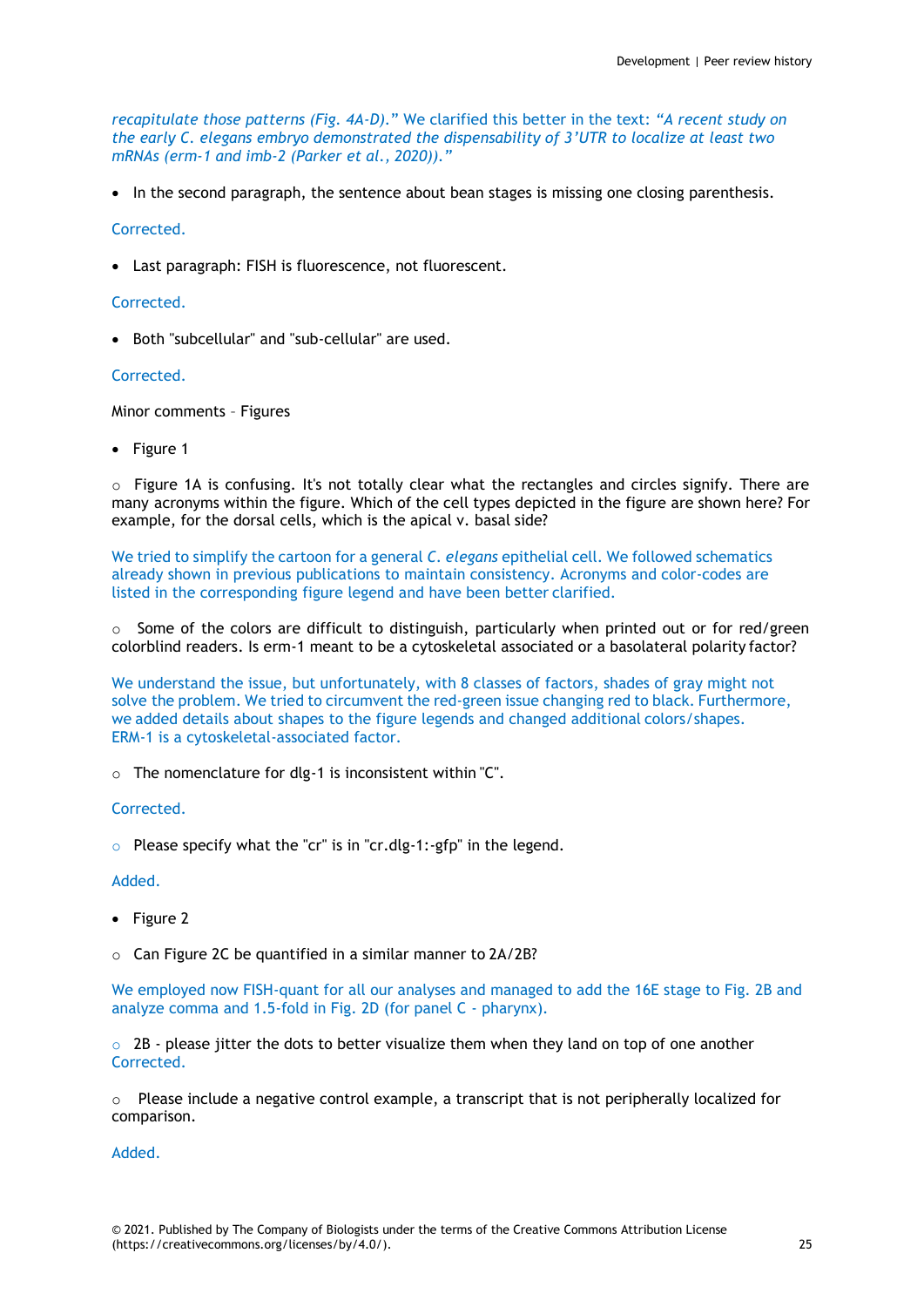*recapitulate those patterns (Fig. 4A-D).*" We clarified this better in the text: *"A recent study on the early C. elegans embryo demonstrated the dispensability of 3'UTR to localize at least two mRNAs (erm-1 and imb-2 (Parker et al., 2020))."*

• In the second paragraph, the sentence about bean stages is missing one closing parenthesis.

# Corrected.

Last paragraph: FISH is fluorescence, not fluorescent.

# Corrected.

Both "subcellular" and "sub-cellular" are used.

# Corrected.

Minor comments – Figures

• Figure 1

 $\circ$  Figure 1A is confusing. It's not totally clear what the rectangles and circles signify. There are many acronyms within the figure. Which of the cell types depicted in the figure are shown here? For example, for the dorsal cells, which is the apical v. basal side?

We tried to simplify the cartoon for a general *C. elegans* epithelial cell. We followed schematics already shown in previous publications to maintain consistency. Acronyms and color-codes are listed in the corresponding figure legend and have been better clarified.

o Some of the colors are difficult to distinguish, particularly when printed out or for red/green colorblind readers. Is erm-1 meant to be a cytoskeletal associated or a basolateral polarity factor?

We understand the issue, but unfortunately, with 8 classes of factors, shades of gray might not solve the problem. We tried to circumvent the red-green issue changing red to black. Furthermore, we added details about shapes to the figure legends and changed additional colors/shapes. ERM-1 is a cytoskeletal-associated factor.

o The nomenclature for dlg-1 is inconsistent within "C".

Corrected.

 $\circ$  Please specify what the "cr" is in "cr.dlg-1:-gfp" in the legend.

# Added.

- Figure 2
- o Can Figure 2C be quantified in a similar manner to 2A/2B?

We employed now FISH-quant for all our analyses and managed to add the 16E stage to Fig. 2B and analyze comma and 1.5-fold in Fig. 2D (for panel C - pharynx).

 $\circ$  2B - please jitter the dots to better visualize them when they land on top of one another Corrected.

 $\circ$  Please include a negative control example, a transcript that is not peripherally localized for comparison.

Added.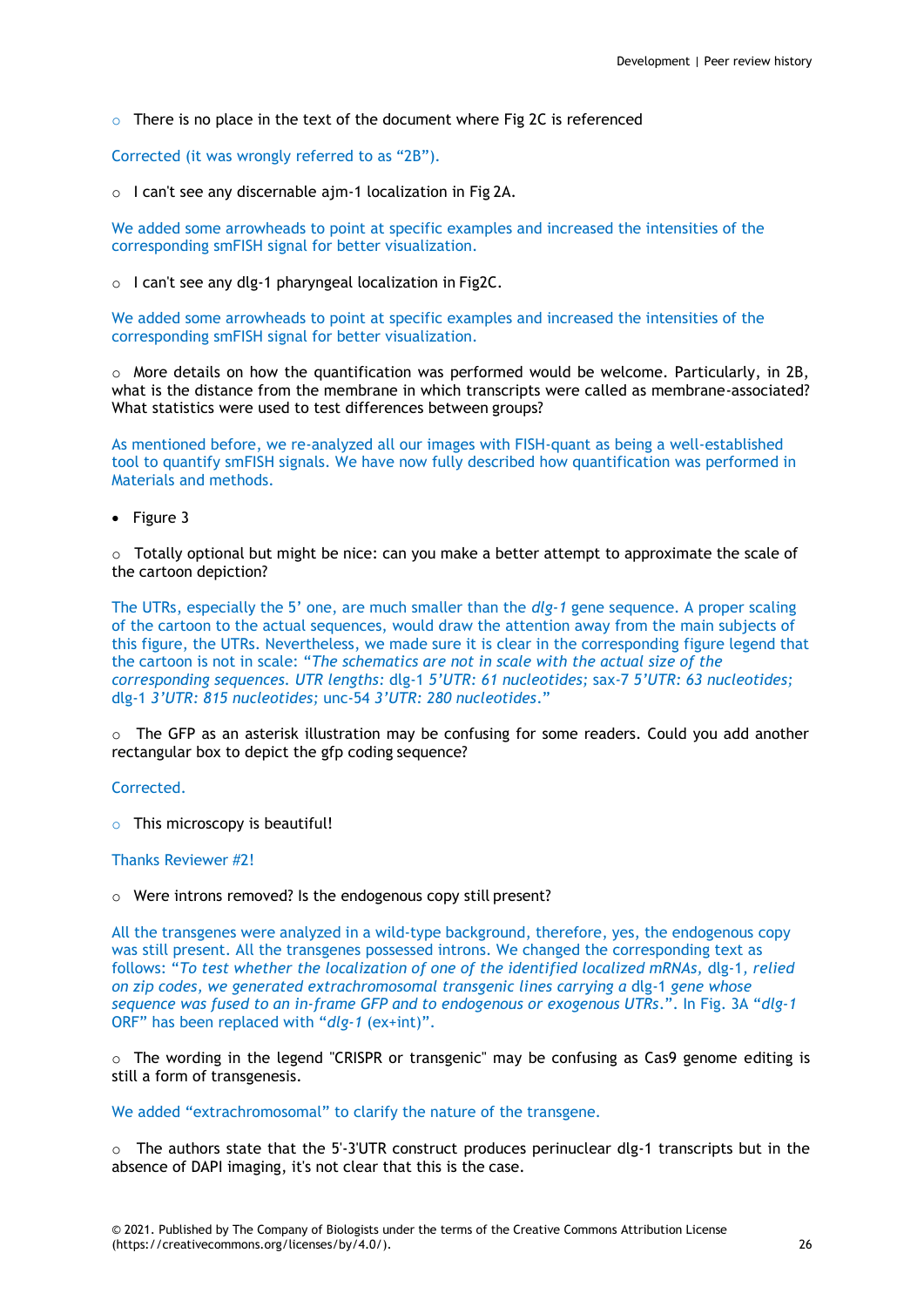$\circ$  There is no place in the text of the document where Fig 2C is referenced

Corrected (it was wrongly referred to as "2B").

o I can't see any discernable ajm-1 localization in Fig 2A.

We added some arrowheads to point at specific examples and increased the intensities of the corresponding smFISH signal for better visualization.

o I can't see any dlg-1 pharyngeal localization in Fig2C.

We added some arrowheads to point at specific examples and increased the intensities of the corresponding smFISH signal for better visualization.

 $\circ$  More details on how the quantification was performed would be welcome. Particularly, in 2B, what is the distance from the membrane in which transcripts were called as membrane-associated? What statistics were used to test differences between groups?

As mentioned before, we re-analyzed all our images with FISH-quant as being a well-established tool to quantify smFISH signals. We have now fully described how quantification was performed in Materials and methods.

• Figure 3

 $\circ$  Totally optional but might be nice: can you make a better attempt to approximate the scale of the cartoon depiction?

The UTRs, especially the 5' one, are much smaller than the *dlg-1* gene sequence. A proper scaling of the cartoon to the actual sequences, would draw the attention away from the main subjects of this figure, the UTRs. Nevertheless, we made sure it is clear in the corresponding figure legend that the cartoon is not in scale: "*The schematics are not in scale with the actual size of the corresponding sequences. UTR lengths:* dlg-1 *5'UTR: 61 nucleotides;* sax-7 *5'UTR: 63 nucleotides;*  dlg-1 *3'UTR: 815 nucleotides;* unc-54 *3'UTR: 280 nucleotides*."

 $\circ$  The GFP as an asterisk illustration may be confusing for some readers. Could you add another rectangular box to depict the gfp coding sequence?

Corrected.

 $\circ$  This microscopy is beautiful!

# Thanks Reviewer #2!

o Were introns removed? Is the endogenous copy still present?

All the transgenes were analyzed in a wild-type background, therefore, yes, the endogenous copy was still present. All the transgenes possessed introns. We changed the corresponding text as follows: "*To test whether the localization of one of the identified localized mRNAs,* dlg-1*, relied on zip codes, we generated extrachromosomal transgenic lines carrying a* dlg-1 *gene whose sequence was fused to an in-frame GFP and to endogenous or exogenous UTRs*.". In Fig. 3A "*dlg-1*  ORF" has been replaced with "*dlg-1* (ex+int)".

 $\circ$  The wording in the legend "CRISPR or transgenic" may be confusing as Cas9 genome editing is still a form of transgenesis.

We added "extrachromosomal" to clarify the nature of the transgene.

 $\circ$  The authors state that the 5'-3'UTR construct produces perinuclear dlg-1 transcripts but in the absence of DAPI imaging, it's not clear that this is the case.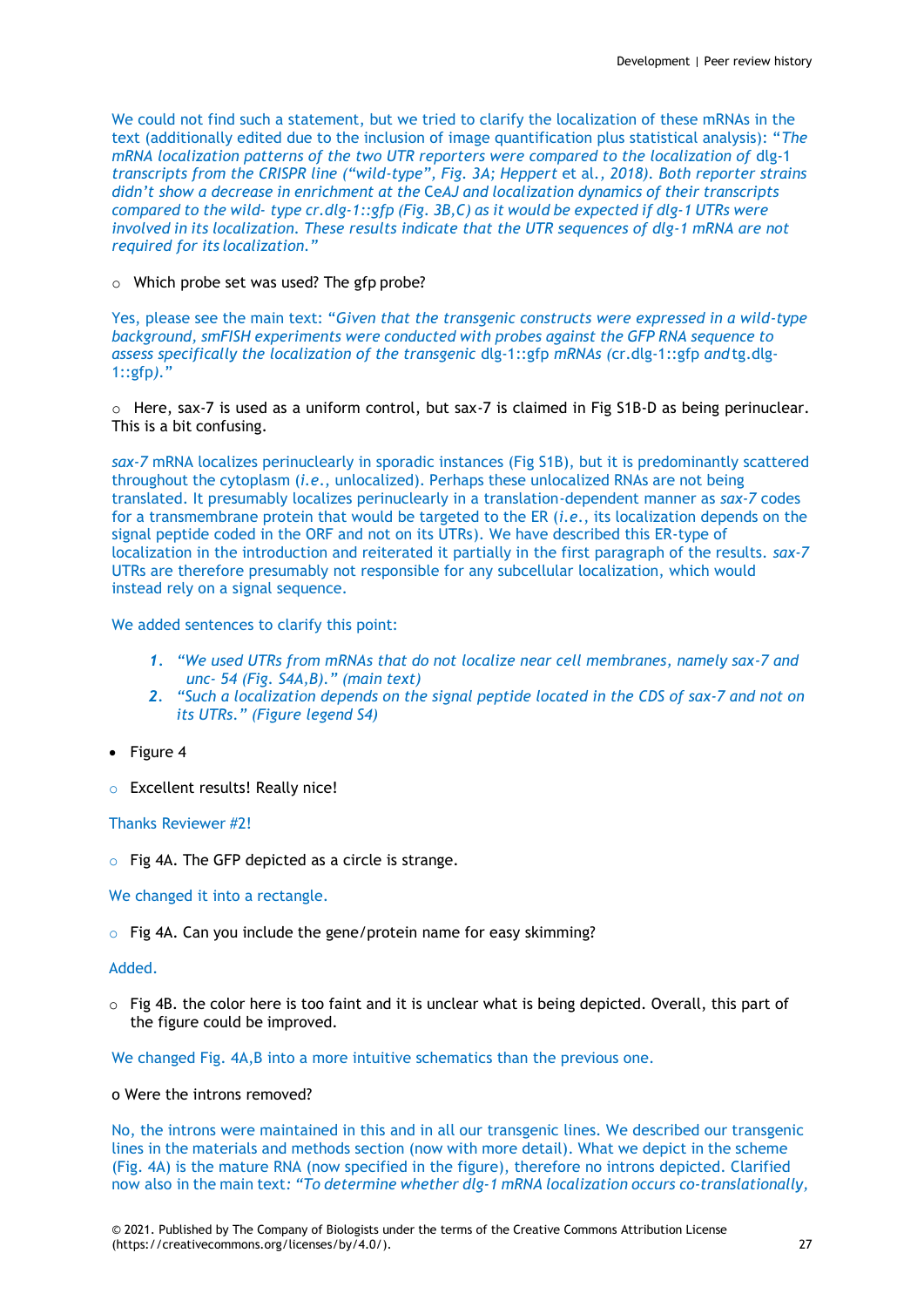We could not find such a statement, but we tried to clarify the localization of these mRNAs in the text (additionally edited due to the inclusion of image quantification plus statistical analysis): "*The mRNA localization patterns of the two UTR reporters were compared to the localization of dlg-1 transcripts from the CRISPR line ("wild-type", Fig. 3A; Heppert* et al*., 2018). Both reporter strains didn't show a decrease in enrichment at the* Ce*AJ and localization dynamics of their transcripts compared to the wild- type cr.dlg-1::gfp (Fig. 3B,C) as it would be expected if dlg-1 UTRs were involved in its localization. These results indicate that the UTR sequences of dlg-1 mRNA are not required for its localization."*

o Which probe set was used? The gfp probe?

Yes, please see the main text: "*Given that the transgenic constructs were expressed in a wild-type background, smFISH experiments were conducted with probes against the GFP RNA sequence to assess specifically the localization of the transgenic* dlg-1::gfp *mRNAs (*cr.dlg-1::gfp *and* tg.dlg-1::gfp*).*"

 $\circ$  Here, sax-7 is used as a uniform control, but sax-7 is claimed in Fig S1B-D as being perinuclear. This is a bit confusing.

*sax-7* mRNA localizes perinuclearly in sporadic instances (Fig S1B), but it is predominantly scattered throughout the cytoplasm (*i.e*., unlocalized). Perhaps these unlocalized RNAs are not being translated. It presumably localizes perinuclearly in a translation-dependent manner as *sax-7* codes for a transmembrane protein that would be targeted to the ER (*i.e*., its localization depends on the signal peptide coded in the ORF and not on its UTRs). We have described this ER-type of localization in the introduction and reiterated it partially in the first paragraph of the results. *sax-7*  UTRs are therefore presumably not responsible for any subcellular localization, which would instead rely on a signal sequence.

We added sentences to clarify this point:

- *1. "We used UTRs from mRNAs that do not localize near cell membranes, namely sax-7 and unc- 54 (Fig. S4A,B)." (main text)*
- *2. "Such a localization depends on the signal peptide located in the CDS of sax-7 and not on its UTRs." (Figure legend S4)*
- Figure 4
- o Excellent results! Really nice!

Thanks Reviewer #2!

o Fig 4A. The GFP depicted as a circle is strange.

We changed it into a rectangle.

o Fig 4A. Can you include the gene/protein name for easy skimming?

# Added.

 $\circ$  Fig 4B. the color here is too faint and it is unclear what is being depicted. Overall, this part of the figure could be improved.

We changed Fig. 4A,B into a more intuitive schematics than the previous one.

# o Were the introns removed?

No, the introns were maintained in this and in all our transgenic lines. We described our transgenic lines in the materials and methods section (now with more detail). What we depict in the scheme (Fig. 4A) is the mature RNA (now specified in the figure), therefore no introns depicted. Clarified now also in the main text*: "To determine whether dlg-1 mRNA localization occurs co-translationally,*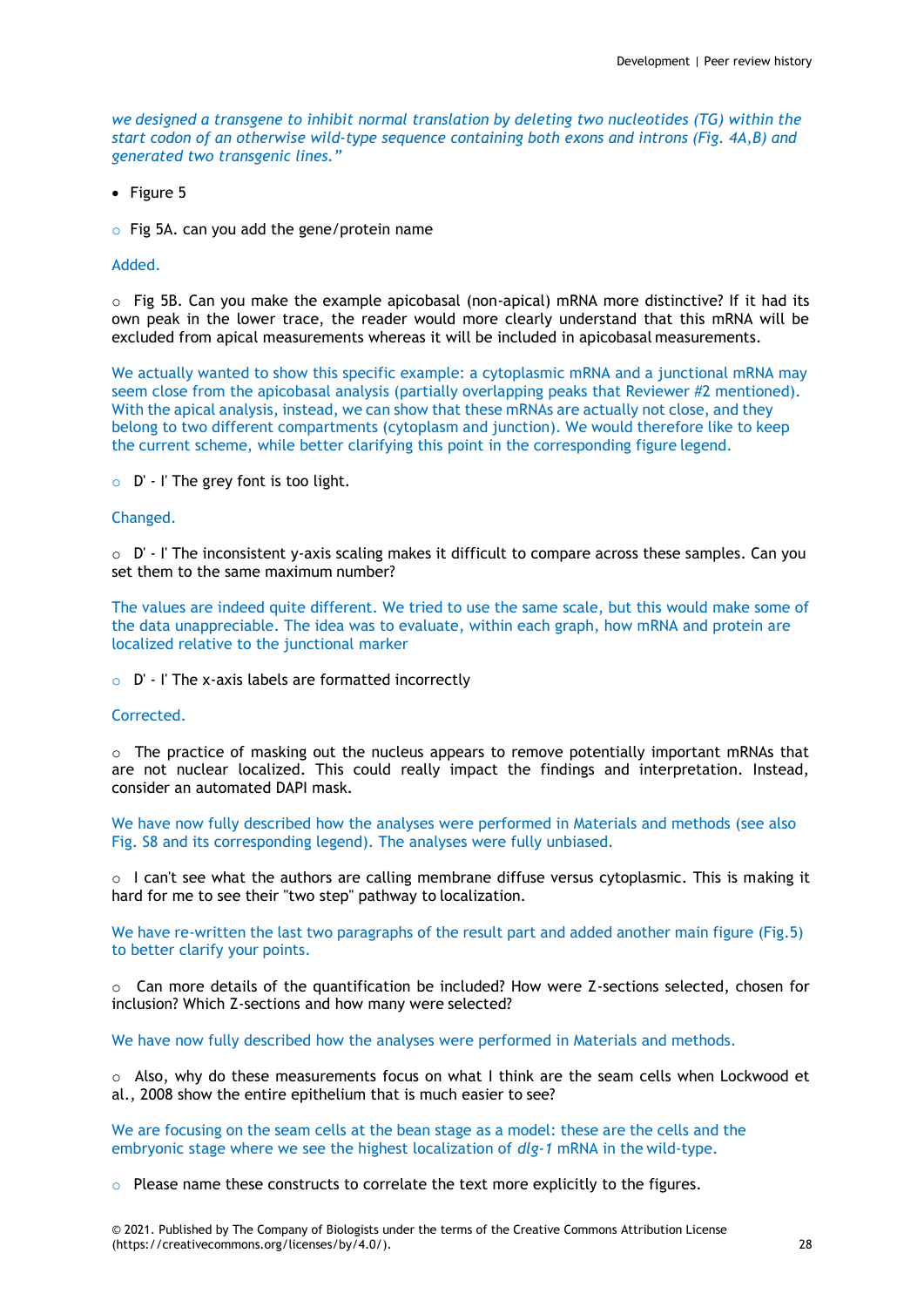*we designed a transgene to inhibit normal translation by deleting two nucleotides (TG) within the start codon of an otherwise wild-type sequence containing both exons and introns (Fig. 4A,B) and generated two transgenic lines."*

 $\bullet$  Figure 5

 $\circ$  Fig 5A. can you add the gene/protein name

#### Added.

 $\circ$  Fig 5B. Can you make the example apicobasal (non-apical) mRNA more distinctive? If it had its own peak in the lower trace, the reader would more clearly understand that this mRNA will be excluded from apical measurements whereas it will be included in apicobasal measurements.

We actually wanted to show this specific example: a cytoplasmic mRNA and a junctional mRNA may seem close from the apicobasal analysis (partially overlapping peaks that Reviewer #2 mentioned). With the apical analysis, instead, we can show that these mRNAs are actually not close, and they belong to two different compartments (cytoplasm and junction). We would therefore like to keep the current scheme, while better clarifying this point in the corresponding figure legend.

 $\circ$  D' - I' The grey font is too light.

#### Changed.

 $\circ$  D' - I' The inconsistent v-axis scaling makes it difficult to compare across these samples. Can you set them to the same maximum number?

The values are indeed quite different. We tried to use the same scale, but this would make some of the data unappreciable. The idea was to evaluate, within each graph, how mRNA and protein are localized relative to the junctional marker

#### o D' - I' The x-axis labels are formatted incorrectly

#### Corrected.

 $\circ$  The practice of masking out the nucleus appears to remove potentially important mRNAs that are not nuclear localized. This could really impact the findings and interpretation. Instead, consider an automated DAPI mask.

We have now fully described how the analyses were performed in Materials and methods (see also Fig. S8 and its corresponding legend). The analyses were fully unbiased.

 $\circ$  I can't see what the authors are calling membrane diffuse versus cytoplasmic. This is making it hard for me to see their "two step" pathway to localization.

We have re-written the last two paragraphs of the result part and added another main figure (Fig.5) to better clarify your points.

 $\circ$  Can more details of the quantification be included? How were Z-sections selected, chosen for inclusion? Which Z-sections and how many were selected?

We have now fully described how the analyses were performed in Materials and methods.

o Also, why do these measurements focus on what I think are the seam cells when Lockwood et al., 2008 show the entire epithelium that is much easier to see?

We are focusing on the seam cells at the bean stage as a model: these are the cells and the embryonic stage where we see the highest localization of *dlg-1* mRNA in the wild-type.

 $\circ$  Please name these constructs to correlate the text more explicitly to the figures.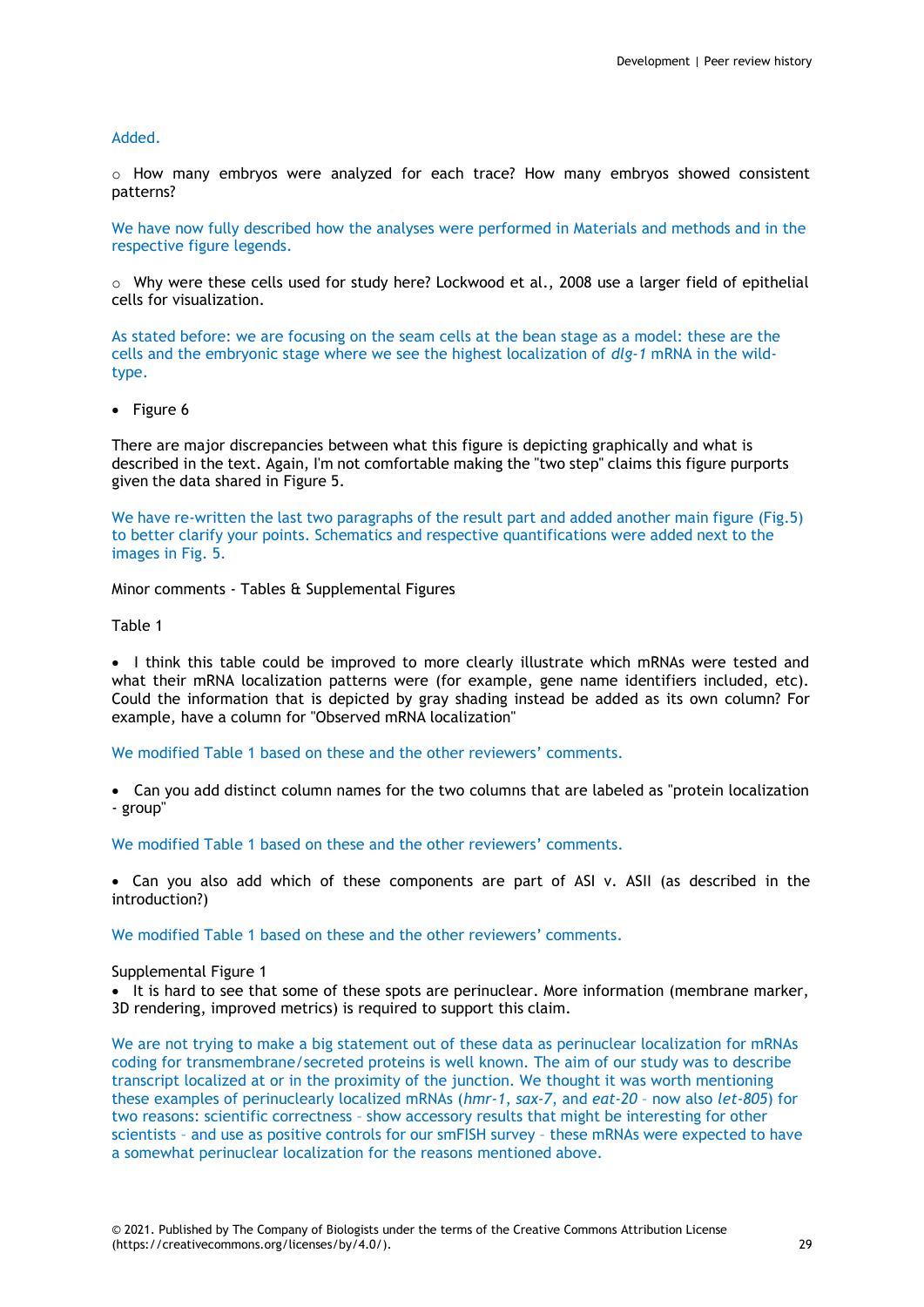# Added.

 $\circ$  How many embryos were analyzed for each trace? How many embryos showed consistent patterns?

We have now fully described how the analyses were performed in Materials and methods and in the respective figure legends.

 $\circ$  Why were these cells used for study here? Lockwood et al., 2008 use a larger field of epithelial cells for visualization.

As stated before: we are focusing on the seam cells at the bean stage as a model: these are the cells and the embryonic stage where we see the highest localization of *dlg-1* mRNA in the wildtype.

• Figure 6

There are major discrepancies between what this figure is depicting graphically and what is described in the text. Again, I'm not comfortable making the "two step" claims this figure purports given the data shared in Figure 5.

We have re-written the last two paragraphs of the result part and added another main figure (Fig.5) to better clarify your points. Schematics and respective quantifications were added next to the images in Fig. 5.

Minor comments - Tables & Supplemental Figures

Table 1

• I think this table could be improved to more clearly illustrate which mRNAs were tested and what their mRNA localization patterns were (for example, gene name identifiers included, etc). Could the information that is depicted by gray shading instead be added as its own column? For example, have a column for "Observed mRNA localization"

We modified Table 1 based on these and the other reviewers' comments.

 Can you add distinct column names for the two columns that are labeled as "protein localization - group"

We modified Table 1 based on these and the other reviewers' comments.

 Can you also add which of these components are part of ASI v. ASII (as described in the introduction?)

We modified Table 1 based on these and the other reviewers' comments.

#### Supplemental Figure 1

• It is hard to see that some of these spots are perinuclear. More information (membrane marker, 3D rendering, improved metrics) is required to support this claim.

We are not trying to make a big statement out of these data as perinuclear localization for mRNAs coding for transmembrane/secreted proteins is well known. The aim of our study was to describe transcript localized at or in the proximity of the junction. We thought it was worth mentioning these examples of perinuclearly localized mRNAs (*hmr-1*, *sax-7*, and *eat-20* – now also *let-805*) for two reasons: scientific correctness – show accessory results that might be interesting for other scientists – and use as positive controls for our smFISH survey – these mRNAs were expected to have a somewhat perinuclear localization for the reasons mentioned above.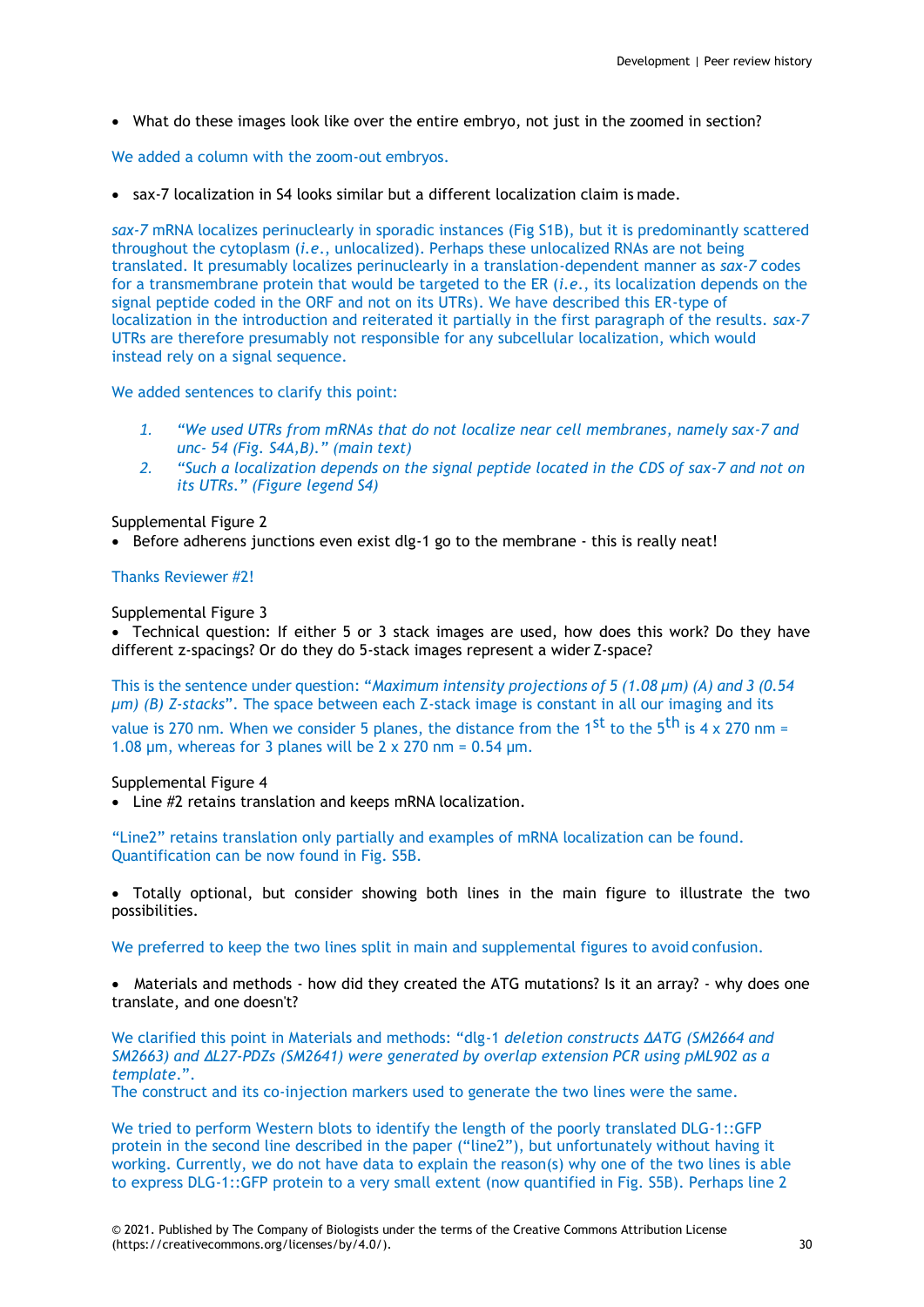What do these images look like over the entire embryo, not just in the zoomed in section?

We added a column with the zoom-out embryos.

sax-7 localization in S4 looks similar but a different localization claim is made.

*sax-7* mRNA localizes perinuclearly in sporadic instances (Fig S1B), but it is predominantly scattered throughout the cytoplasm (*i.e*., unlocalized). Perhaps these unlocalized RNAs are not being translated. It presumably localizes perinuclearly in a translation-dependent manner as *sax-7* codes for a transmembrane protein that would be targeted to the ER (*i.e*., its localization depends on the signal peptide coded in the ORF and not on its UTRs). We have described this ER-type of localization in the introduction and reiterated it partially in the first paragraph of the results. *sax-7*  UTRs are therefore presumably not responsible for any subcellular localization, which would instead rely on a signal sequence.

We added sentences to clarify this point:

- *1. "We used UTRs from mRNAs that do not localize near cell membranes, namely sax-7 and unc- 54 (Fig. S4A,B)." (main text)*
- *2. "Such a localization depends on the signal peptide located in the CDS of sax-7 and not on its UTRs." (Figure legend S4)*

Supplemental Figure 2

 $\bullet$  Before adherens junctions even exist dlg-1 go to the membrane - this is really neat!

# Thanks Reviewer #2!

Supplemental Figure 3

 Technical question: If either 5 or 3 stack images are used, how does this work? Do they have different z-spacings? Or do they do 5-stack images represent a wider Z-space?

This is the sentence under question: "*Maximum intensity projections of 5 (1.08 µm) (A) and 3 (0.54 µm) (B) Z-stacks*". The space between each Z-stack image is constant in all our imaging and its value is 270 nm. When we consider 5 planes, the distance from the 1<sup>st</sup> to the 5<sup>th</sup> is 4 x 270 nm = 1.08  $\mu$ m, whereas for 3 planes will be 2 x 270 nm = 0.54  $\mu$ m.

# Supplemental Figure 4

Line #2 retains translation and keeps mRNA localization.

"Line2" retains translation only partially and examples of mRNA localization can be found. Quantification can be now found in Fig. S5B.

 Totally optional, but consider showing both lines in the main figure to illustrate the two possibilities.

We preferred to keep the two lines split in main and supplemental figures to avoid confusion.

• Materials and methods - how did they created the ATG mutations? Is it an array? - why does one translate, and one doesn't?

We clarified this point in Materials and methods: "dlg-1 *deletion constructs ΔATG (SM2664 and SM2663) and ΔL27-PDZs (SM2641) were generated by overlap extension PCR using pML902 as a template*.".

The construct and its co-injection markers used to generate the two lines were the same.

We tried to perform Western blots to identify the length of the poorly translated DLG-1::GFP protein in the second line described in the paper ("line2"), but unfortunately without having it working. Currently, we do not have data to explain the reason(s) why one of the two lines is able to express DLG-1::GFP protein to a very small extent (now quantified in Fig. S5B). Perhaps line 2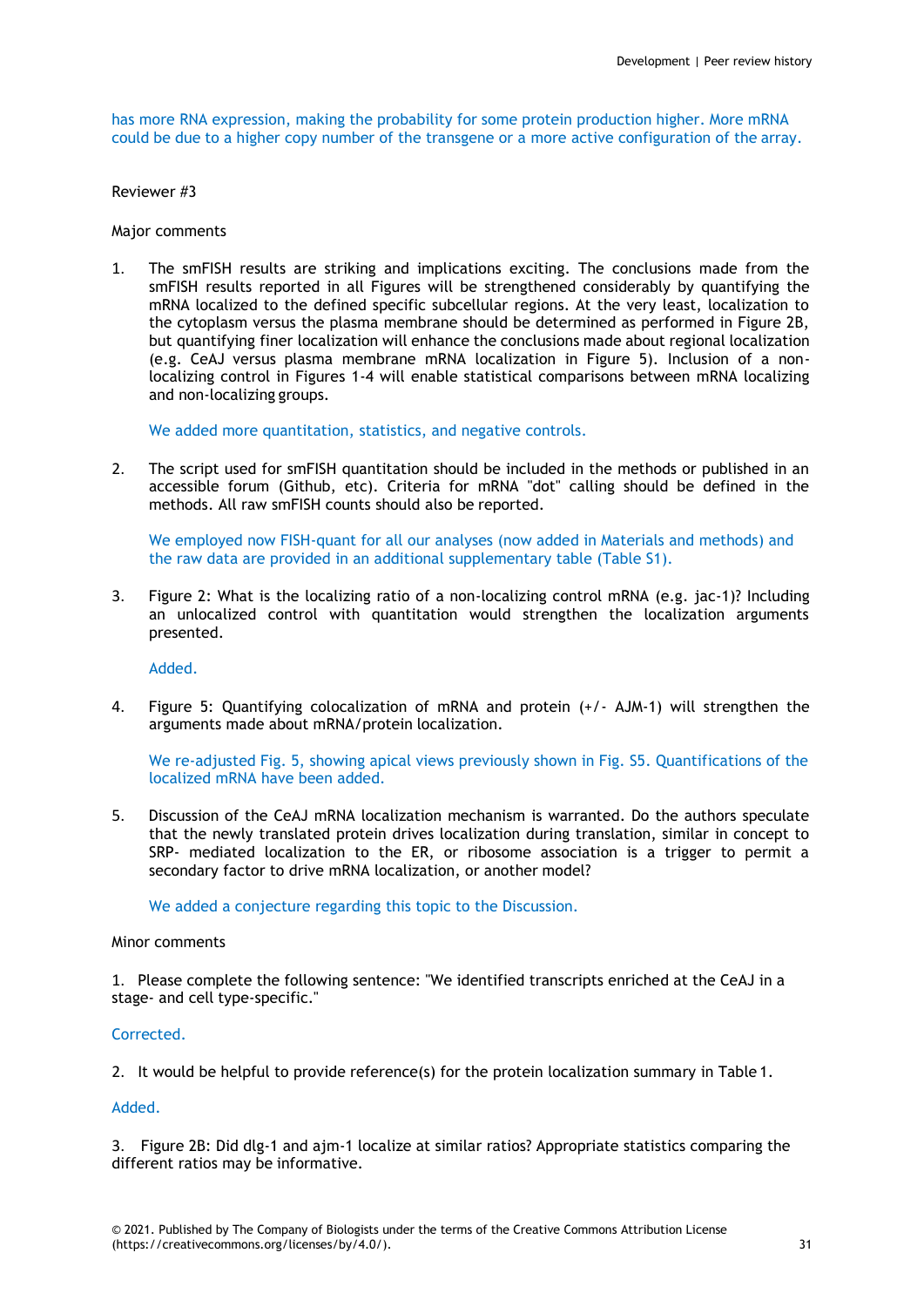has more RNA expression, making the probability for some protein production higher. More mRNA could be due to a higher copy number of the transgene or a more active configuration of the array.

Reviewer #3

Major comments

1. The smFISH results are striking and implications exciting. The conclusions made from the smFISH results reported in all Figures will be strengthened considerably by quantifying the mRNA localized to the defined specific subcellular regions. At the very least, localization to the cytoplasm versus the plasma membrane should be determined as performed in Figure 2B, but quantifying finer localization will enhance the conclusions made about regional localization (e.g. CeAJ versus plasma membrane mRNA localization in Figure 5). Inclusion of a nonlocalizing control in Figures 1-4 will enable statistical comparisons between mRNA localizing and non-localizing groups.

We added more quantitation, statistics, and negative controls.

2. The script used for smFISH quantitation should be included in the methods or published in an accessible forum (Github, etc). Criteria for mRNA "dot" calling should be defined in the methods. All raw smFISH counts should also be reported.

We employed now FISH-quant for all our analyses (now added in Materials and methods) and the raw data are provided in an additional supplementary table (Table S1).

3. Figure 2: What is the localizing ratio of a non-localizing control mRNA (e.g. jac-1)? Including an unlocalized control with quantitation would strengthen the localization arguments presented.

Added.

4. Figure 5: Quantifying colocalization of mRNA and protein (+/- AJM-1) will strengthen the arguments made about mRNA/protein localization.

We re-adjusted Fig. 5, showing apical views previously shown in Fig. S5. Quantifications of the localized mRNA have been added.

5. Discussion of the CeAJ mRNA localization mechanism is warranted. Do the authors speculate that the newly translated protein drives localization during translation, similar in concept to SRP- mediated localization to the ER, or ribosome association is a trigger to permit a secondary factor to drive mRNA localization, or another model?

We added a conjecture regarding this topic to the Discussion.

# Minor comments

1. Please complete the following sentence: "We identified transcripts enriched at the CeAJ in a stage- and cell type-specific."

# **Corrected**

2. It would be helpful to provide reference(s) for the protein localization summary in Table 1.

# Added.

3. Figure 2B: Did dlg-1 and ajm-1 localize at similar ratios? Appropriate statistics comparing the different ratios may be informative.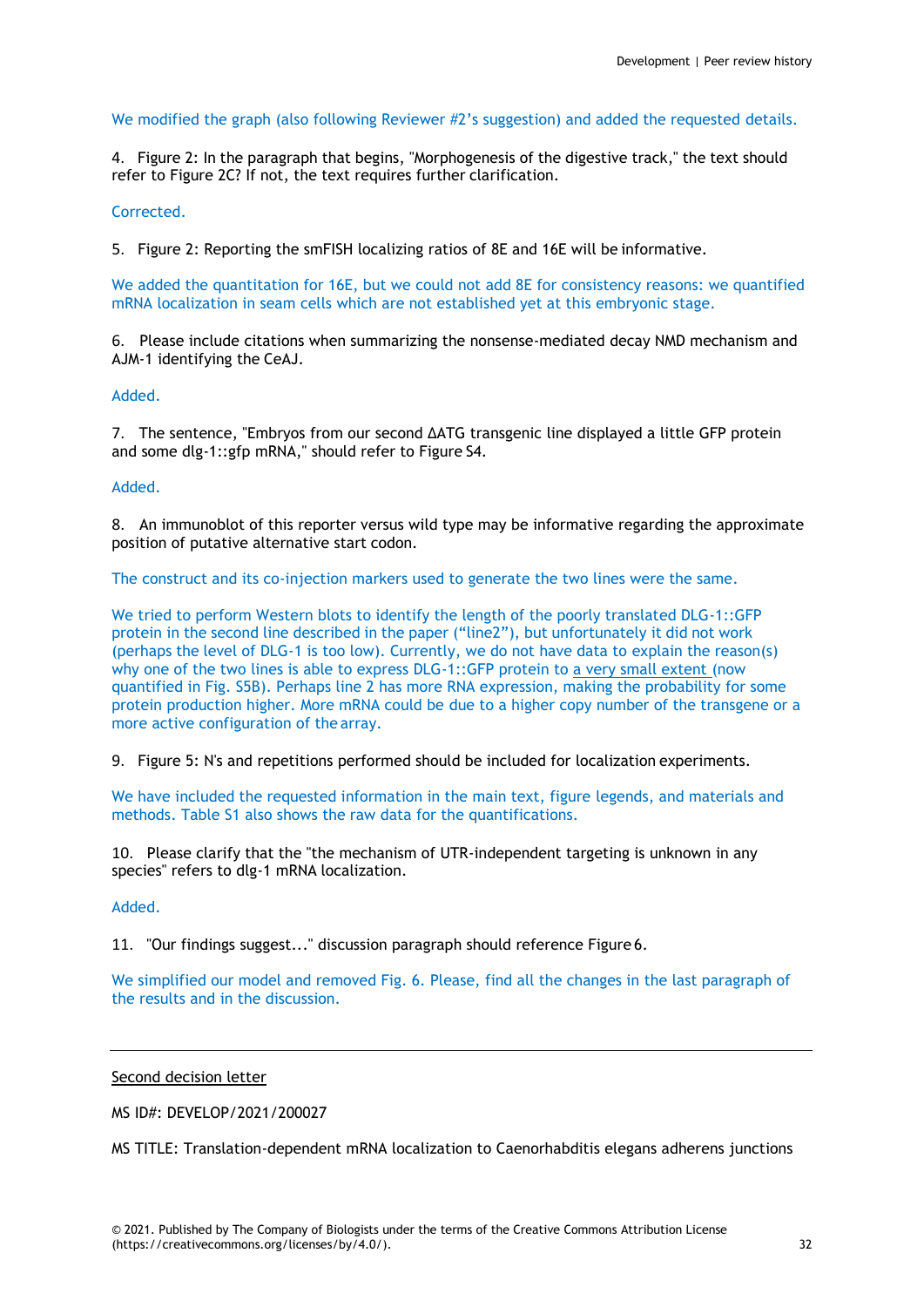# We modified the graph (also following Reviewer #2's suggestion) and added the requested details.

4. Figure 2: In the paragraph that begins, "Morphogenesis of the digestive track," the text should refer to Figure 2C? If not, the text requires further clarification.

Corrected.

5. Figure 2: Reporting the smFISH localizing ratios of 8E and 16E will be informative.

We added the quantitation for 16E, but we could not add 8E for consistency reasons: we quantified mRNA localization in seam cells which are not established yet at this embryonic stage.

6. Please include citations when summarizing the nonsense-mediated decay NMD mechanism and AJM-1 identifying the CeAJ.

Added.

7. The sentence, "Embryos from our second ΔATG transgenic line displayed a little GFP protein and some dlg-1::gfp mRNA," should refer to Figure S4.

# Added.

8. An immunoblot of this reporter versus wild type may be informative regarding the approximate position of putative alternative start codon.

The construct and its co-injection markers used to generate the two lines were the same.

We tried to perform Western blots to identify the length of the poorly translated DLG-1::GFP protein in the second line described in the paper ("line2"), but unfortunately it did not work (perhaps the level of DLG-1 is too low). Currently, we do not have data to explain the reason(s) why one of the two lines is able to express DLG-1::GFP protein to a very small extent (now quantified in Fig. S5B). Perhaps line 2 has more RNA expression, making the probability for some protein production higher. More mRNA could be due to a higher copy number of the transgene or a more active configuration of the array.

9. Figure 5: N's and repetitions performed should be included for localization experiments.

We have included the requested information in the main text, figure legends, and materials and methods. Table S1 also shows the raw data for the quantifications.

10. Please clarify that the "the mechanism of UTR-independent targeting is unknown in any species" refers to dlg-1 mRNA localization.

Added.

11. "Our findings suggest..." discussion paragraph should reference Figure 6.

We simplified our model and removed Fig. 6. Please, find all the changes in the last paragraph of the results and in the discussion.

# Second decision letter

MS ID#: DEVELOP/2021/200027

MS TITLE: Translation-dependent mRNA localization to Caenorhabditis elegans adherens junctions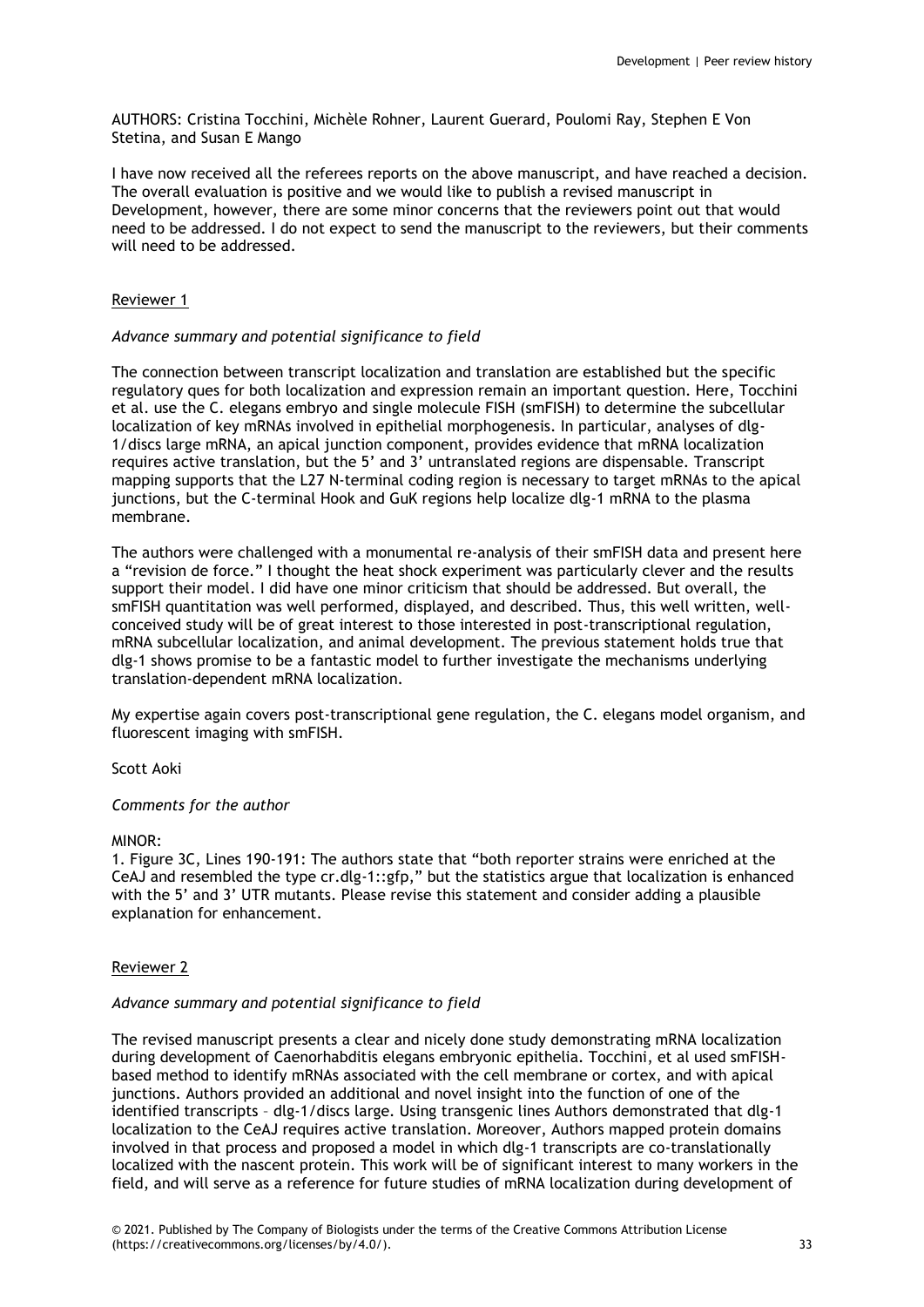AUTHORS: Cristina Tocchini, Michèle Rohner, Laurent Guerard, Poulomi Ray, Stephen E Von Stetina, and Susan E Mango

I have now received all the referees reports on the above manuscript, and have reached a decision. The overall evaluation is positive and we would like to publish a revised manuscript in Development, however, there are some minor concerns that the reviewers point out that would need to be addressed. I do not expect to send the manuscript to the reviewers, but their comments will need to be addressed.

# Reviewer 1

# *Advance summary and potential significance to field*

The connection between transcript localization and translation are established but the specific regulatory ques for both localization and expression remain an important question. Here, Tocchini et al. use the C. elegans embryo and single molecule FISH (smFISH) to determine the subcellular localization of key mRNAs involved in epithelial morphogenesis. In particular, analyses of dlg-1/discs large mRNA, an apical junction component, provides evidence that mRNA localization requires active translation, but the 5' and 3' untranslated regions are dispensable. Transcript mapping supports that the L27 N-terminal coding region is necessary to target mRNAs to the apical junctions, but the C-terminal Hook and GuK regions help localize dlg-1 mRNA to the plasma membrane.

The authors were challenged with a monumental re-analysis of their smFISH data and present here a "revision de force." I thought the heat shock experiment was particularly clever and the results support their model. I did have one minor criticism that should be addressed. But overall, the smFISH quantitation was well performed, displayed, and described. Thus, this well written, wellconceived study will be of great interest to those interested in post-transcriptional regulation, mRNA subcellular localization, and animal development. The previous statement holds true that dlg-1 shows promise to be a fantastic model to further investigate the mechanisms underlying translation-dependent mRNA localization.

My expertise again covers post-transcriptional gene regulation, the C. elegans model organism, and fluorescent imaging with smFISH.

Scott Aoki

# *Comments for the author*

# MINOR:

1. Figure 3C, Lines 190-191: The authors state that "both reporter strains were enriched at the CeAJ and resembled the type cr.dlg-1::gfp," but the statistics argue that localization is enhanced with the 5' and 3' UTR mutants. Please revise this statement and consider adding a plausible explanation for enhancement.

# Reviewer 2

# *Advance summary and potential significance to field*

The revised manuscript presents a clear and nicely done study demonstrating mRNA localization during development of Caenorhabditis elegans embryonic epithelia. Tocchini, et al used smFISHbased method to identify mRNAs associated with the cell membrane or cortex, and with apical junctions. Authors provided an additional and novel insight into the function of one of the identified transcripts – dlg-1/discs large. Using transgenic lines Authors demonstrated that dlg-1 localization to the CeAJ requires active translation. Moreover, Authors mapped protein domains involved in that process and proposed a model in which dlg-1 transcripts are co-translationally localized with the nascent protein. This work will be of significant interest to many workers in the field, and will serve as a reference for future studies of mRNA localization during development of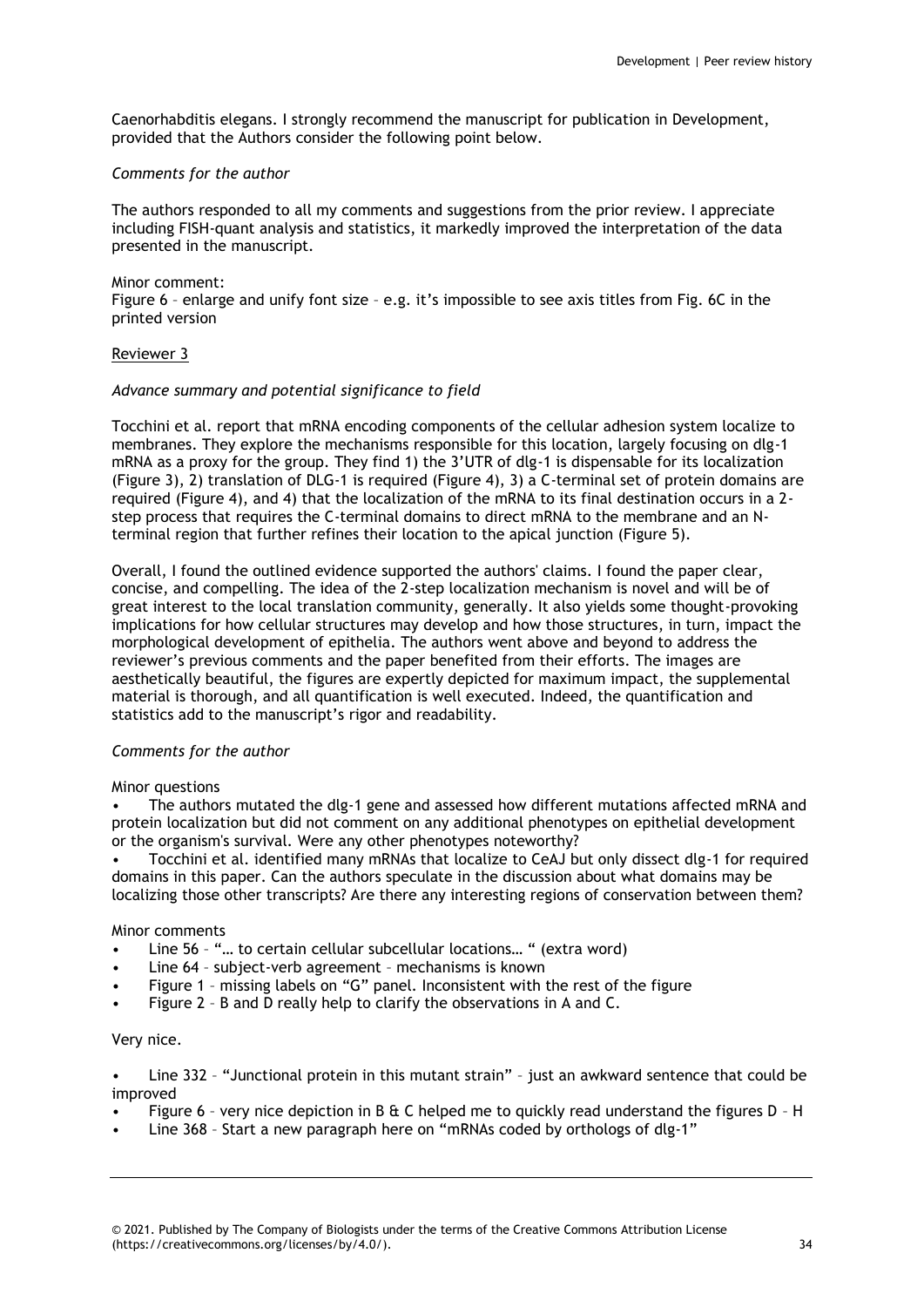Caenorhabditis elegans. I strongly recommend the manuscript for publication in Development, provided that the Authors consider the following point below.

# *Comments for the author*

The authors responded to all my comments and suggestions from the prior review. I appreciate including FISH-quant analysis and statistics, it markedly improved the interpretation of the data presented in the manuscript.

#### Minor comment: Figure 6 – enlarge and unify font size – e.g. it's impossible to see axis titles from Fig. 6C in the printed version

# Reviewer 3

# *Advance summary and potential significance to field*

Tocchini et al. report that mRNA encoding components of the cellular adhesion system localize to membranes. They explore the mechanisms responsible for this location, largely focusing on dlg-1 mRNA as a proxy for the group. They find 1) the 3'UTR of dlg-1 is dispensable for its localization (Figure 3), 2) translation of DLG-1 is required (Figure 4), 3) a C-terminal set of protein domains are required (Figure 4), and 4) that the localization of the mRNA to its final destination occurs in a 2 step process that requires the C-terminal domains to direct mRNA to the membrane and an Nterminal region that further refines their location to the apical junction (Figure 5).

Overall, I found the outlined evidence supported the authors' claims. I found the paper clear, concise, and compelling. The idea of the 2-step localization mechanism is novel and will be of great interest to the local translation community, generally. It also yields some thought-provoking implications for how cellular structures may develop and how those structures, in turn, impact the morphological development of epithelia. The authors went above and beyond to address the reviewer's previous comments and the paper benefited from their efforts. The images are aesthetically beautiful, the figures are expertly depicted for maximum impact, the supplemental material is thorough, and all quantification is well executed. Indeed, the quantification and statistics add to the manuscript's rigor and readability.

# *Comments for the author*

# Minor questions

• The authors mutated the dlg-1 gene and assessed how different mutations affected mRNA and protein localization but did not comment on any additional phenotypes on epithelial development or the organism's survival. Were any other phenotypes noteworthy?

• Tocchini et al. identified many mRNAs that localize to CeAJ but only dissect dlg-1 for required domains in this paper. Can the authors speculate in the discussion about what domains may be localizing those other transcripts? Are there any interesting regions of conservation between them?

# Minor comments

- Line 56 "… to certain cellular subcellular locations… " (extra word)
- Line 64 subject-verb agreement mechanisms is known
- Figure 1 missing labels on "G" panel. Inconsistent with the rest of the figure
- Figure 2 B and D really help to clarify the observations in A and C.

# Very nice.

• Line 332 – "Junctional protein in this mutant strain" – just an awkward sentence that could be improved

- Figure 6 very nice depiction in B  $\&$  C helped me to quickly read understand the figures D H
- Line 368 Start a new paragraph here on "mRNAs coded by orthologs of dlg-1"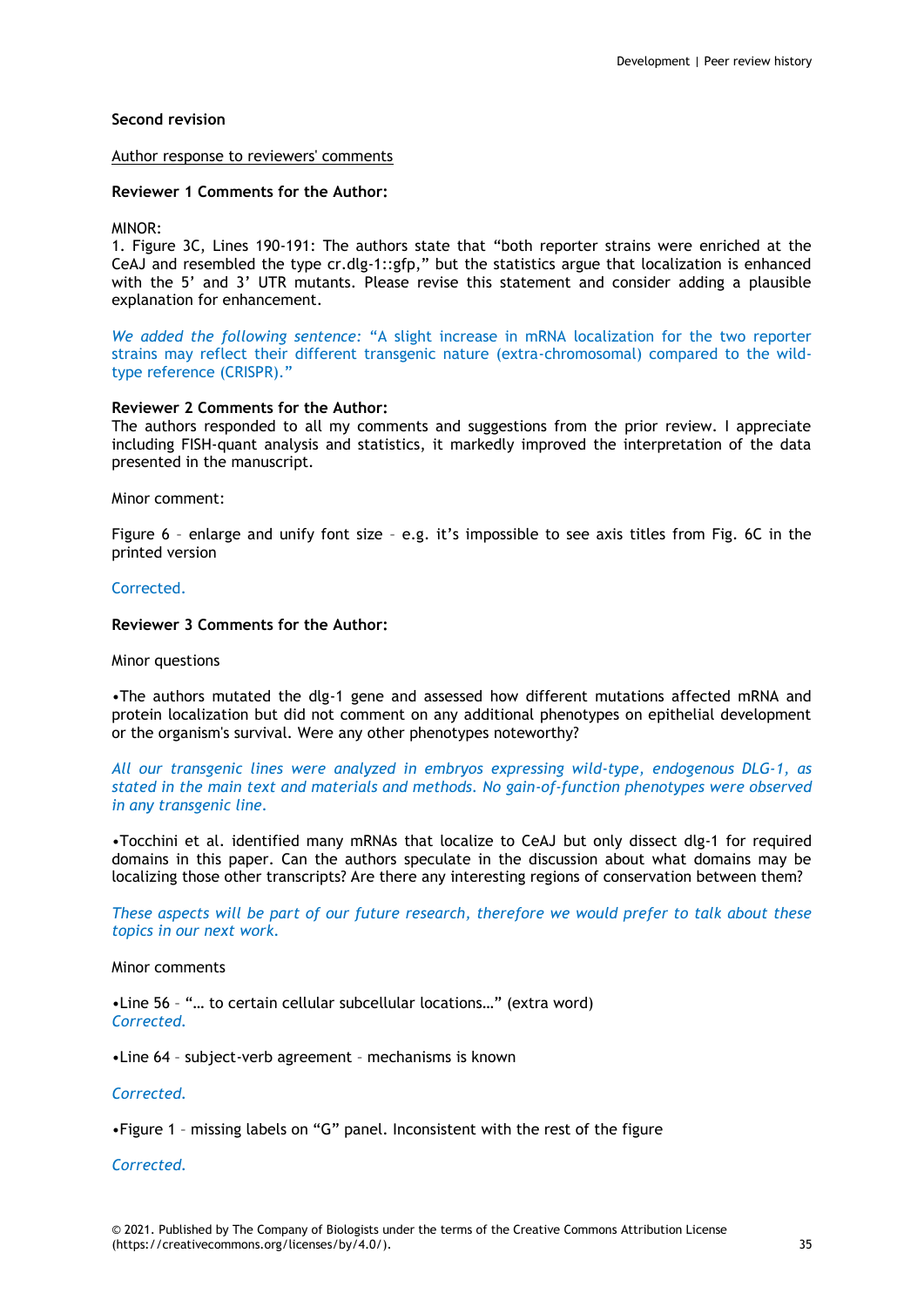# **Second revision**

### Author response to reviewers' comments

### **Reviewer 1 Comments for the Author:**

### MINOR:

1. Figure 3C, Lines 190-191: The authors state that "both reporter strains were enriched at the CeAJ and resembled the type cr.dlg-1::gfp," but the statistics argue that localization is enhanced with the 5' and 3' UTR mutants. Please revise this statement and consider adding a plausible explanation for enhancement.

*We added the following sentence:* "A slight increase in mRNA localization for the two reporter strains may reflect their different transgenic nature (extra-chromosomal) compared to the wildtype reference (CRISPR)."

# **Reviewer 2 Comments for the Author:**

The authors responded to all my comments and suggestions from the prior review. I appreciate including FISH-quant analysis and statistics, it markedly improved the interpretation of the data presented in the manuscript.

#### Minor comment:

Figure 6 – enlarge and unify font size – e.g. it's impossible to see axis titles from Fig. 6C in the printed version

# Corrected.

# **Reviewer 3 Comments for the Author:**

#### Minor questions

•The authors mutated the dlg-1 gene and assessed how different mutations affected mRNA and protein localization but did not comment on any additional phenotypes on epithelial development or the organism's survival. Were any other phenotypes noteworthy?

*All our transgenic lines were analyzed in embryos expressing wild-type, endogenous DLG-1, as stated in the main text and materials and methods. No gain-of-function phenotypes were observed in any transgenic line.*

•Tocchini et al. identified many mRNAs that localize to CeAJ but only dissect dlg-1 for required domains in this paper. Can the authors speculate in the discussion about what domains may be localizing those other transcripts? Are there any interesting regions of conservation between them?

*These aspects will be part of our future research, therefore we would prefer to talk about these topics in our next work.*

# Minor comments

•Line 56 – "… to certain cellular subcellular locations…" (extra word) *Corrected.*

•Line 64 – subject-verb agreement – mechanisms is known

# *Corrected.*

•Figure 1 – missing labels on "G" panel. Inconsistent with the rest of the figure

*Corrected.*